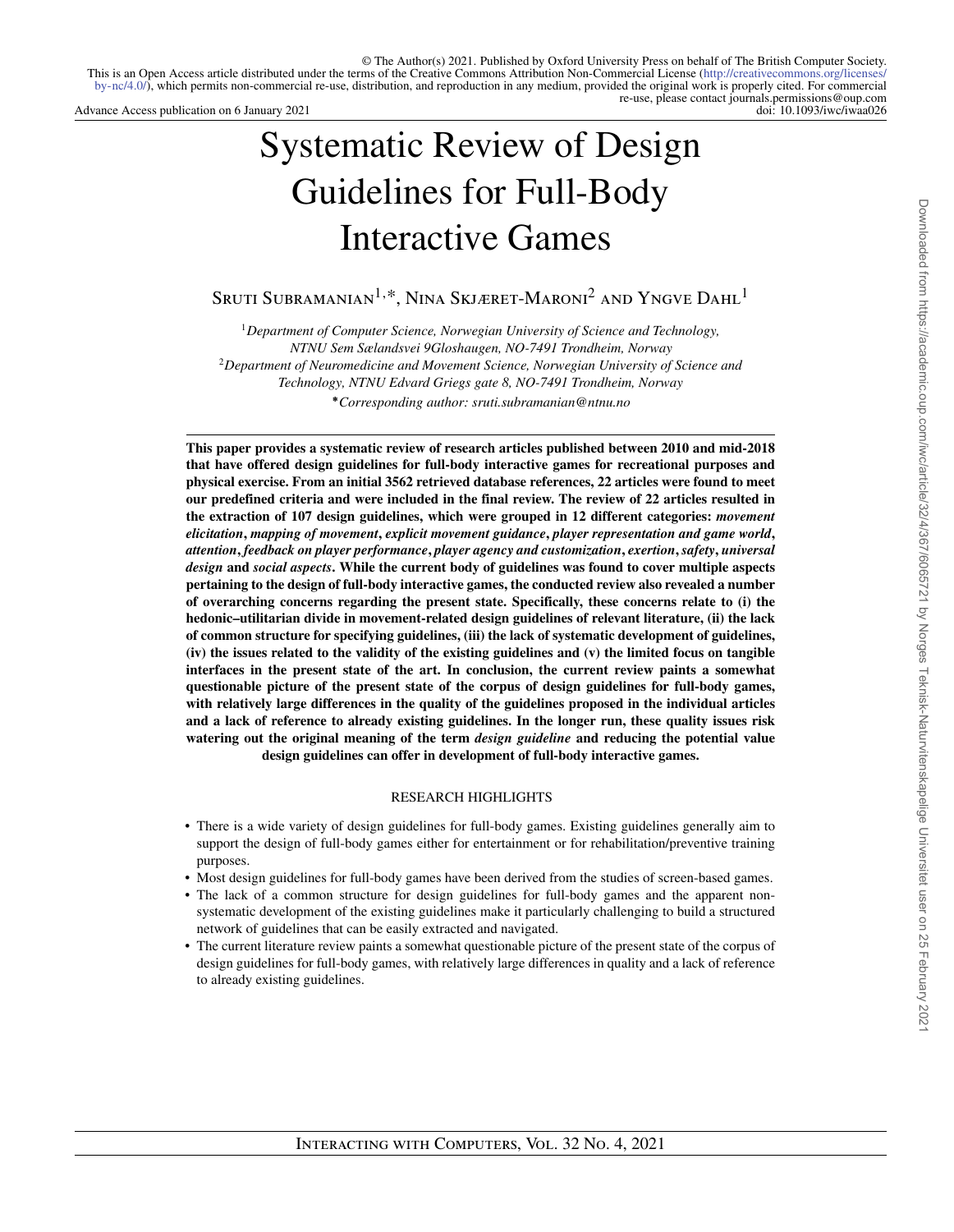Advance Access publication on 6 January 2021

# Systematic Review of Design Guidelines for Full-Body Interactive Games

SRUTI SUBRAMANIAN<sup>1,\*</sup>, NINA SKJÆRET-MARONI<sup>2</sup> AND YNGVE  $\mathrm{DAHL}^1$ 

<sup>1</sup>*Department of Computer Science, Norwegian University of Science and Technology, NTNU Sem Sælandsvei 9Gloshaugen, NO-7491 Trondheim, Norway* <sup>2</sup>*Department of Neuromedicine and Movement Science, Norwegian University of Science and Technology, NTNU Edvard Griegs gate 8, NO-7491 Trondheim, Norway* **∗***Corresponding author: sruti.subramanian@ntnu.no*

**This paper provides a systematic review of research articles published between 2010 and mid-2018 that have offered design guidelines for full-body interactive games for recreational purposes and physical exercise. From an initial 3562 retrieved database references, 22 articles were found to meet our predefined criteria and were included in the final review. The review of 22 articles resulted in the extraction of 107 design guidelines, which were grouped in 12 different categories:** *movement elicitation***,** *mapping of movement***,** *explicit movement guidance***,** *player representation and game world***,** *attention***,** *feedback on player performance***,** *player agency and customization***,** *exertion***,** *safety***,** *universal design* **and** *social aspects***. While the current body of guidelines was found to cover multiple aspects pertaining to the design of full-body interactive games, the conducted review also revealed a number of overarching concerns regarding the present state. Specifically, these concerns relate to (i) the hedonic–utilitarian divide in movement-related design guidelines of relevant literature, (ii) the lack of common structure for specifying guidelines, (iii) the lack of systematic development of guidelines, (iv) the issues related to the validity of the existing guidelines and (v) the limited focus on tangible interfaces in the present state of the art. In conclusion, the current review paints a somewhat questionable picture of the present state of the corpus of design guidelines for full-body games, with relatively large differences in the quality of the guidelines proposed in the individual articles and a lack of reference to already existing guidelines. In the longer run, these quality issues risk watering out the original meaning of the term** *design guideline* **and reducing the potential value design guidelines can offer in development of full-body interactive games.**

# RESEARCH HIGHLIGHTS

- There is a wide variety of design guidelines for full-body games. Existing guidelines generally aim to support the design of full-body games either for entertainment or for rehabilitation/preventive training purposes.
- Most design guidelines for full-body games have been derived from the studies of screen-based games.
- The lack of a common structure for design guidelines for full-body games and the apparent nonsystematic development of the existing guidelines make it particularly challenging to build a structured network of guidelines that can be easily extracted and navigated.
- The current literature review paints a somewhat questionable picture of the present state of the corpus of design guidelines for full-body games, with relatively large differences in quality and a lack of reference to already existing guidelines.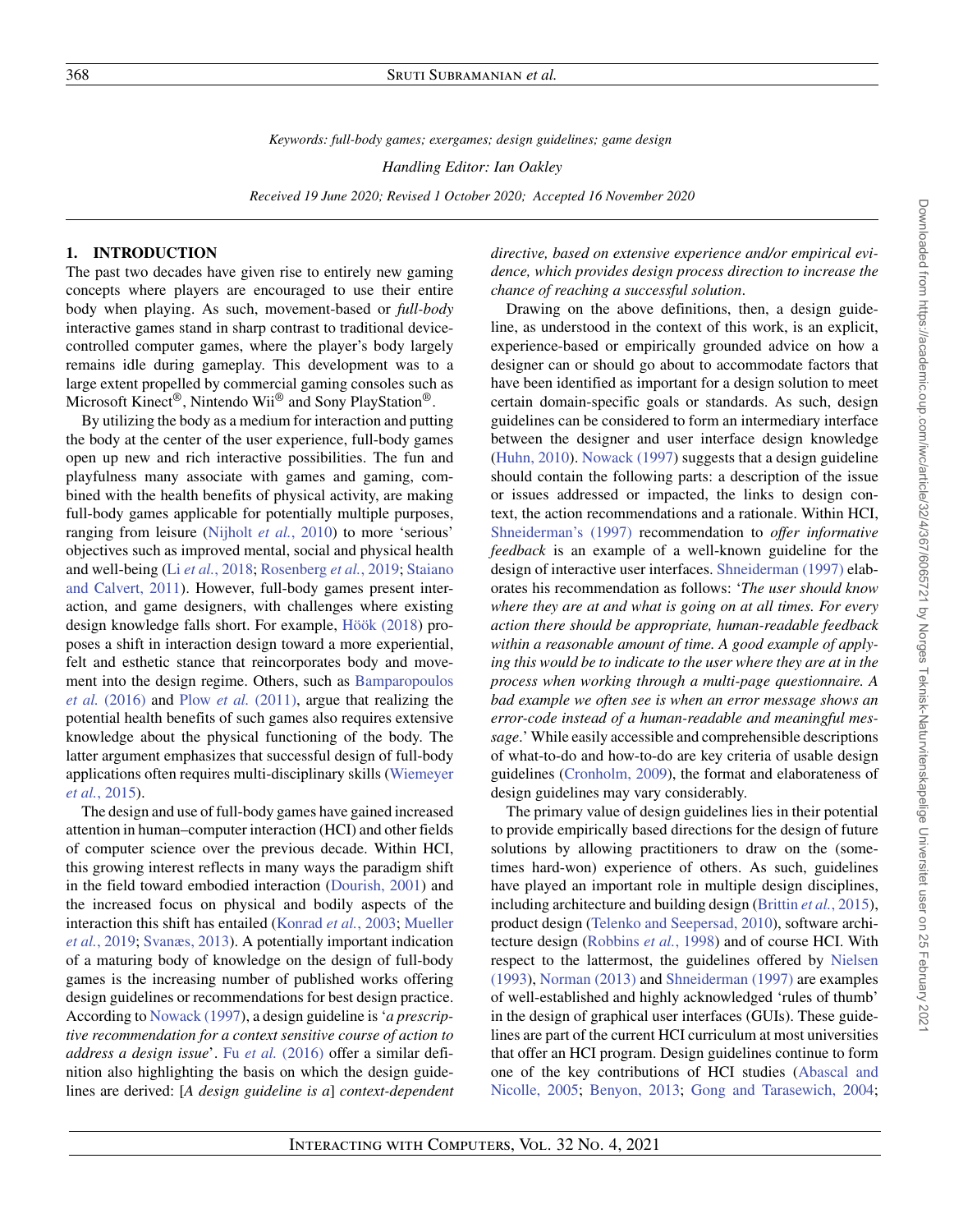*Keywords: full-body games; exergames; design guidelines; game design*

*Handling Editor: Ian Oakley*

*Received 19 June 2020; Revised 1 October 2020; Accepted 16 November 2020*

# **1. INTRODUCTION**

The past two decades have given rise to entirely new gaming concepts where players are encouraged to use their entire body when playing. As such, movement-based or *full-body* interactive games stand in sharp contrast to traditional devicecontrolled computer games, where the player's body largely remains idle during gameplay. This development was to a large extent propelled by commercial gaming consoles such as Microsoft Kinect®, Nintendo Wii® and Sony PlayStation®.

By utilizing the body as a medium for interaction and putting the body at the center of the user experience, full-body games open up new and rich interactive possibilities. The fun and playfulness many associate with games and gaming, combined with the health benefits of physical activity, are making full-body games applicable for potentially multiple purposes, ranging from leisure [\(Nijholt](#page-38-0) *et al.*, 2010) to more 'serious' objectives such as improved mental, social and physical health and well-being (Li *et al.*[, 2018;](#page-37-0) [Rosenberg](#page-38-1) *et al.*, 2019; Staiano [and Calvert, 2011\). However, full-body games present inter](#page-38-2)action, and game designers, with challenges where existing design knowledge falls short. For example, [Höök \(2018\)](#page-37-1) proposes a shift in interaction design toward a more experiential, felt and esthetic stance that reincorporates body and move[ment into the design regime. Others, such as](#page-36-0) Bamparopoulos *et al.* (2016) and Plow *et al.* [\(2011\),](#page-38-3) argue that realizing the potential health benefits of such games also requires extensive knowledge about the physical functioning of the body. The latter argument emphasizes that successful design of full-body [applications often requires multi-disciplinary skills \(Wiemeyer](#page-39-0) *et al.*, 2015).

The design and use of full-body games have gained increased attention in human–computer interaction (HCI) and other fields of computer science over the previous decade. Within HCI, this growing interest reflects in many ways the paradigm shift in the field toward embodied interaction [\(Dourish, 2001\)](#page-36-1) and the increased focus on physical and bodily aspects of the interaction this shift has entailed [\(Konrad](#page-37-2) *et al.*, 2003; Mueller *et al.*, 2019; [Svanæs, 2013\). A potentially important indication](#page-38-4) of a maturing body of knowledge on the design of full-body games is the increasing number of published works offering design guidelines or recommendations for best design practice. According to [Nowack \(1997\)](#page-38-6), a design guideline is '*a prescriptive recommendation for a context sensitive course of action to address a design issue*'. Fu *et al.* [\(2016\)](#page-37-3) offer a similar definition also highlighting the basis on which the design guidelines are derived: [*A design guideline is a*] *context-dependent* *directive, based on extensive experience and/or empirical evidence, which provides design process direction to increase the chance of reaching a successful solution*.

Drawing on the above definitions, then, a design guideline, as understood in the context of this work, is an explicit, experience-based or empirically grounded advice on how a designer can or should go about to accommodate factors that have been identified as important for a design solution to meet certain domain-specific goals or standards. As such, design guidelines can be considered to form an intermediary interface between the designer and user interface design knowledge [\(Huhn, 2010\)](#page-37-4). [Nowack \(1997\)](#page-38-6) suggests that a design guideline should contain the following parts: a description of the issue or issues addressed or impacted, the links to design context, the action recommendations and a rationale. Within HCI, [Shneiderman's \(1997\)](#page-38-7) recommendation to *offer informative feedback* is an example of a well-known guideline for the design of interactive user interfaces. [Shneiderman \(1997\)](#page-38-7) elaborates his recommendation as follows: '*The user should know where they are at and what is going on at all times. For every action there should be appropriate, human-readable feedback within a reasonable amount of time. A good example of applying this would be to indicate to the user where they are at in the process when working through a multi-page questionnaire. A bad example we often see is when an error message shows an error-code instead of a human-readable and meaningful message*.' While easily accessible and comprehensible descriptions of what-to-do and how-to-do are key criteria of usable design guidelines [\(Cronholm, 2009\)](#page-36-2), the format and elaborateness of design guidelines may vary considerably.

The primary value of design guidelines lies in their potential to provide empirically based directions for the design of future solutions by allowing practitioners to draw on the (sometimes hard-won) experience of others. As such, guidelines have played an important role in multiple design disciplines, including architecture and building design [\(Brittin](#page-36-3) *et al.*, 2015), product design [\(Telenko and Seepersad, 2010\)](#page-38-8), software architecture design [\(Robbins](#page-38-9) *et al.*, 1998) and of course HCI. With [respect to the lattermost, the guidelines offered by](#page-38-10) Nielsen (1993), [Norman \(2013\)](#page-38-11) and [Shneiderman \(1997\)](#page-38-7) are examples of well-established and highly acknowledged 'rules of thumb' in the design of graphical user interfaces (GUIs). These guidelines are part of the current HCI curriculum at most universities that offer an HCI program. Design guidelines continue to form [one of the key contributions of HCI studies \(Abascal and](#page-36-4) Nicolle, 2005; [Benyon, 2013;](#page-36-5) [Gong and Tarasewich, 2004;](#page-37-5)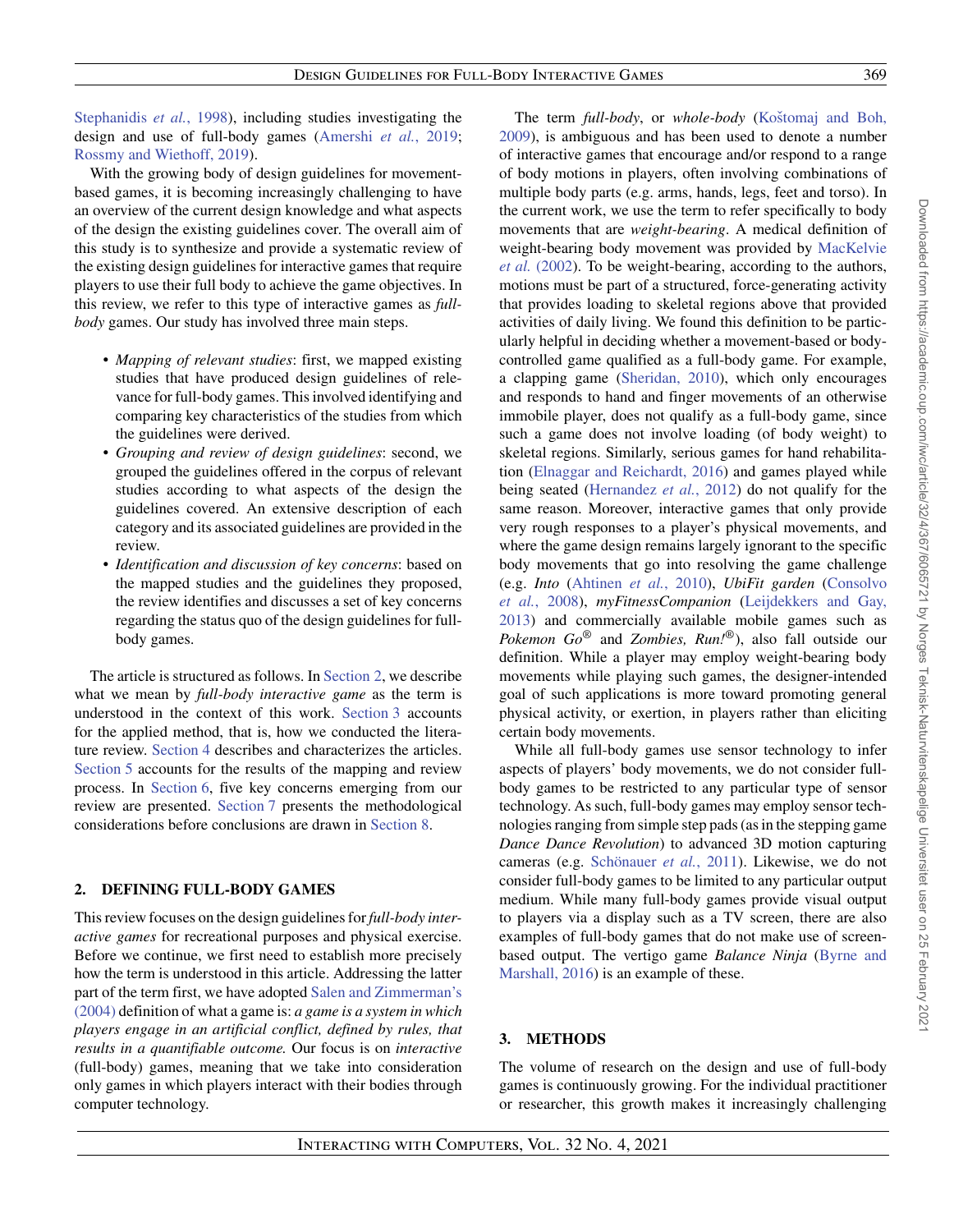[Stephanidis](#page-38-12) *et al.*, 1998), including studies investigating the design and use of full-body games [\(Amershi](#page-36-6) *et al.*, 2019; [Rossmy and Wiethoff, 2019\)](#page-38-13).

With the growing body of design guidelines for movementbased games, it is becoming increasingly challenging to have an overview of the current design knowledge and what aspects of the design the existing guidelines cover. The overall aim of this study is to synthesize and provide a systematic review of the existing design guidelines for interactive games that require players to use their full body to achieve the game objectives. In this review, we refer to this type of interactive games as *fullbody* games. Our study has involved three main steps.

- *Mapping of relevant studies*: first, we mapped existing studies that have produced design guidelines of relevance for full-body games. This involved identifying and comparing key characteristics of the studies from which the guidelines were derived.
- *Grouping and review of design guidelines*: second, we grouped the guidelines offered in the corpus of relevant studies according to what aspects of the design the guidelines covered. An extensive description of each category and its associated guidelines are provided in the review.
- *Identification and discussion of key concerns*: based on the mapped studies and the guidelines they proposed, the review identifies and discusses a set of key concerns regarding the status quo of the design guidelines for fullbody games.

The article is structured as follows. In [Section 2,](#page-2-0) we describe what we mean by *full-body interactive game* as the term is understood in the context of this work. [Section 3](#page-2-1) accounts for the applied method, that is, how we conducted the literature review. [Section 4](#page-4-0) describes and characterizes the articles. [Section 5](#page-14-0) accounts for the results of the mapping and review process. In [Section 6,](#page-32-0) five key concerns emerging from our review are presented. [Section 7](#page-35-0) presents the methodological considerations before conclusions are drawn in [Section 8.](#page-35-1)

# <span id="page-2-0"></span>**2. DEFINING FULL-BODY GAMES**

This review focuses on the design guidelines for *full-body interactive games* for recreational purposes and physical exercise. Before we continue, we first need to establish more precisely how the term is understood in this article. Addressing the latter [part of the term first, we have adopted](#page-38-14) Salen and Zimmerman's (2004) definition of what a game is: *a game is a system in which players engage in an artificial conflict, defined by rules, that results in a quantifiable outcome.* Our focus is on *interactive* (full-body) games, meaning that we take into consideration only games in which players interact with their bodies through computer technology.

The term *full-body*, or *whole-body* (Koštomaj and Boh, [2009\), is ambiguous and has been used to denote a number](#page-37-6) of interactive games that encourage and/or respond to a range of body motions in players, often involving combinations of multiple body parts (e.g. arms, hands, legs, feet and torso). In the current work, we use the term to refer specifically to body movements that are *weight-bearing*. A medical definition of weight-bearing body movement was provided by MacKelvie *et al.* [\(2002\). To be weight-bearing, according to the authors,](#page-37-7) motions must be part of a structured, force-generating activity that provides loading to skeletal regions above that provided activities of daily living. We found this definition to be particularly helpful in deciding whether a movement-based or bodycontrolled game qualified as a full-body game. For example, a clapping game [\(Sheridan, 2010\)](#page-38-15), which only encourages and responds to hand and finger movements of an otherwise immobile player, does not qualify as a full-body game, since such a game does not involve loading (of body weight) to skeletal regions. Similarly, serious games for hand rehabilitation [\(Elnaggar and Reichardt, 2016\)](#page-37-8) and games played while being seated [\(Hernandez](#page-37-9) *et al.*, 2012) do not qualify for the same reason. Moreover, interactive games that only provide very rough responses to a player's physical movements, and where the game design remains largely ignorant to the specific body movements that go into resolving the game challenge (e.g. *Into* [\(Ahtinen](#page-36-7) *et al.*, 2010), *UbiFit garden* (Consolvo *et al.*, 2008), *myFitnessCompanion* [\(Leijdekkers and Gay,](#page-36-8) [2013\) and commercially available mobile games such as](#page-37-10) *Pokemon Go*® and *Zombies, Run!*®), also fall outside our definition. While a player may employ weight-bearing body movements while playing such games, the designer-intended goal of such applications is more toward promoting general physical activity, or exertion, in players rather than eliciting certain body movements.

While all full-body games use sensor technology to infer aspects of players' body movements, we do not consider fullbody games to be restricted to any particular type of sensor technology. As such, full-body games may employ sensor technologies ranging from simple step pads (as in the stepping game *Dance Dance Revolution*) to advanced 3D motion capturing cameras (e.g. [Schönauer](#page-38-16) *et al.*, 2011). Likewise, we do not consider full-body games to be limited to any particular output medium. While many full-body games provide visual output to players via a display such as a TV screen, there are also examples of full-body games that do not make use of screenbased output. The vertigo game *Balance Ninja* (Byrne and [Marshall, 2016\) is an example of these.](#page-36-9)

# <span id="page-2-1"></span>**3. METHODS**

The volume of research on the design and use of full-body games is continuously growing. For the individual practitioner or researcher, this growth makes it increasingly challenging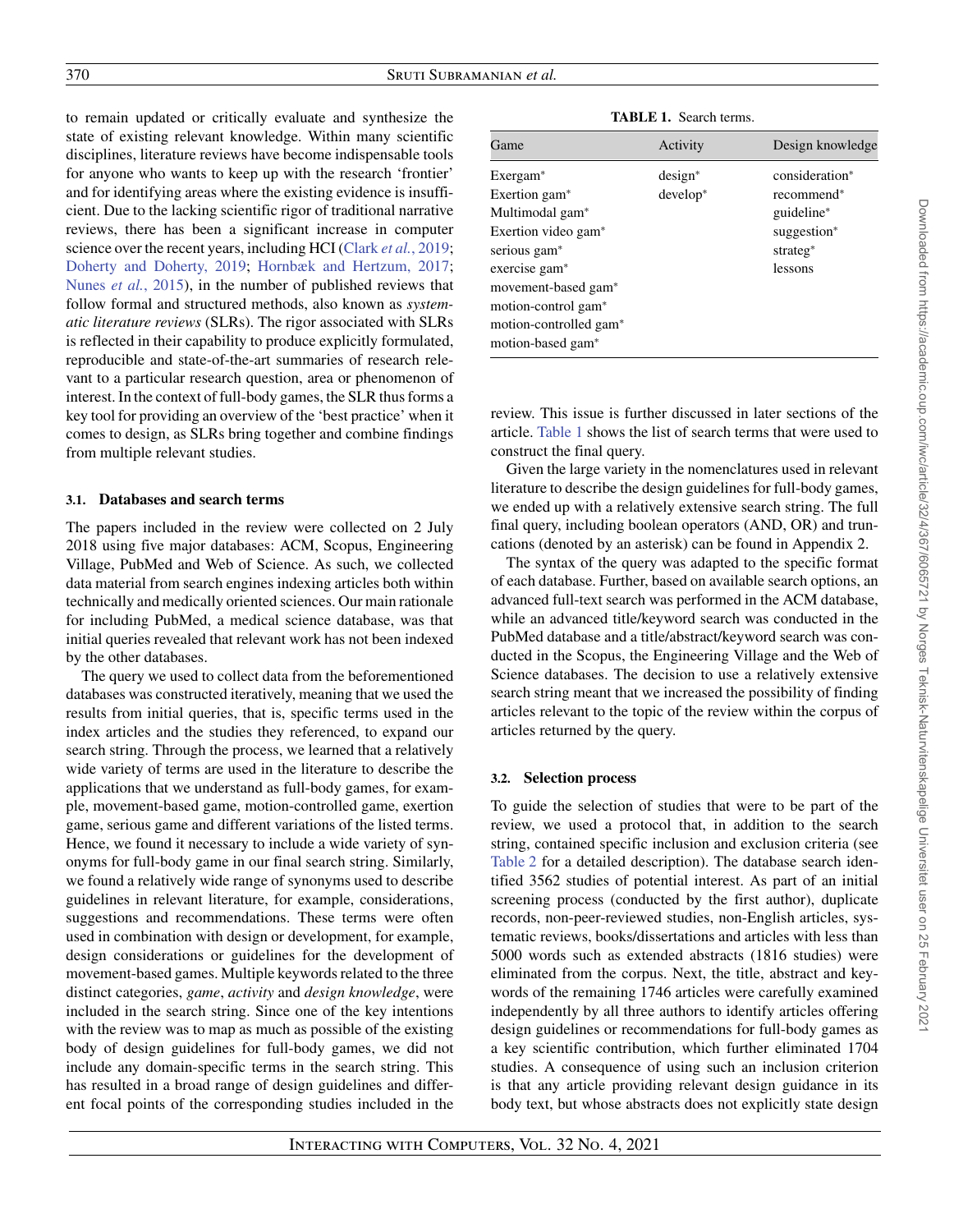to remain updated or critically evaluate and synthesize the state of existing relevant knowledge. Within many scientific disciplines, literature reviews have become indispensable tools for anyone who wants to keep up with the research 'frontier' and for identifying areas where the existing evidence is insufficient. Due to the lacking scientific rigor of traditional narrative reviews, there has been a significant increase in computer science over the recent years, including HCI (Clark *et al.*[, 2019;](#page-36-10) [Doherty and Doherty, 2019;](#page-36-11) [Hornbæk and Hertzum, 2017;](#page-37-11) Nunes *et al.*[, 2015\)](#page-38-17), in the number of published reviews that follow formal and structured methods, also known as *systematic literature reviews* (SLRs). The rigor associated with SLRs is reflected in their capability to produce explicitly formulated, reproducible and state-of-the-art summaries of research relevant to a particular research question, area or phenomenon of interest. In the context of full-body games, the SLR thus forms a key tool for providing an overview of the 'best practice' when it comes to design, as SLRs bring together and combine findings from multiple relevant studies.

## **3.1. Databases and search terms**

The papers included in the review were collected on 2 July 2018 using five major databases: ACM, Scopus, Engineering Village, PubMed and Web of Science. As such, we collected data material from search engines indexing articles both within technically and medically oriented sciences. Our main rationale for including PubMed, a medical science database, was that initial queries revealed that relevant work has not been indexed by the other databases.

The query we used to collect data from the beforementioned databases was constructed iteratively, meaning that we used the results from initial queries, that is, specific terms used in the index articles and the studies they referenced, to expand our search string. Through the process, we learned that a relatively wide variety of terms are used in the literature to describe the applications that we understand as full-body games, for example, movement-based game, motion-controlled game, exertion game, serious game and different variations of the listed terms. Hence, we found it necessary to include a wide variety of synonyms for full-body game in our final search string. Similarly, we found a relatively wide range of synonyms used to describe guidelines in relevant literature, for example, considerations, suggestions and recommendations. These terms were often used in combination with design or development, for example, design considerations or guidelines for the development of movement-based games. Multiple keywords related to the three distinct categories, *game*, *activity* and *design knowledge*, were included in the search string. Since one of the key intentions with the review was to map as much as possible of the existing body of design guidelines for full-body games, we did not include any domain-specific terms in the search string. This has resulted in a broad range of design guidelines and different focal points of the corresponding studies included in the

**TABLE 1.** Search terms.

<span id="page-3-0"></span>

| $design^*$<br>consideration*<br>$develop*$<br>recommend*<br>guideline*<br>suggestion*<br>strateg*<br>lessons | Game                                                                                                                                                                                                                                                          | Activity | Design knowledge |
|--------------------------------------------------------------------------------------------------------------|---------------------------------------------------------------------------------------------------------------------------------------------------------------------------------------------------------------------------------------------------------------|----------|------------------|
|                                                                                                              | Exergam <sup>*</sup><br>Exertion gam <sup>*</sup><br>Multimodal gam <sup>*</sup><br>Exertion video gam <sup>*</sup><br>serious gam <sup>*</sup><br>exercise gam*<br>movement-based gam*<br>motion-control gam*<br>motion-controlled gam*<br>motion-based gam* |          |                  |

review. This issue is further discussed in later sections of the article. [Table 1](#page-3-0) shows the list of search terms that were used to construct the final query.

Given the large variety in the nomenclatures used in relevant literature to describe the design guidelines for full-body games, we ended up with a relatively extensive search string. The full final query, including boolean operators (AND, OR) and truncations (denoted by an asterisk) can be found in Appendix 2.

The syntax of the query was adapted to the specific format of each database. Further, based on available search options, an advanced full-text search was performed in the ACM database, while an advanced title/keyword search was conducted in the PubMed database and a title/abstract/keyword search was conducted in the Scopus, the Engineering Village and the Web of Science databases. The decision to use a relatively extensive search string meant that we increased the possibility of finding articles relevant to the topic of the review within the corpus of articles returned by the query.

# **3.2. Selection process**

To guide the selection of studies that were to be part of the review, we used a protocol that, in addition to the search string, contained specific inclusion and exclusion criteria (see [Table 2](#page-4-1) for a detailed description). The database search identified 3562 studies of potential interest. As part of an initial screening process (conducted by the first author), duplicate records, non-peer-reviewed studies, non-English articles, systematic reviews, books/dissertations and articles with less than 5000 words such as extended abstracts (1816 studies) were eliminated from the corpus. Next, the title, abstract and keywords of the remaining 1746 articles were carefully examined independently by all three authors to identify articles offering design guidelines or recommendations for full-body games as a key scientific contribution, which further eliminated 1704 studies. A consequence of using such an inclusion criterion is that any article providing relevant design guidance in its body text, but whose abstracts does not explicitly state design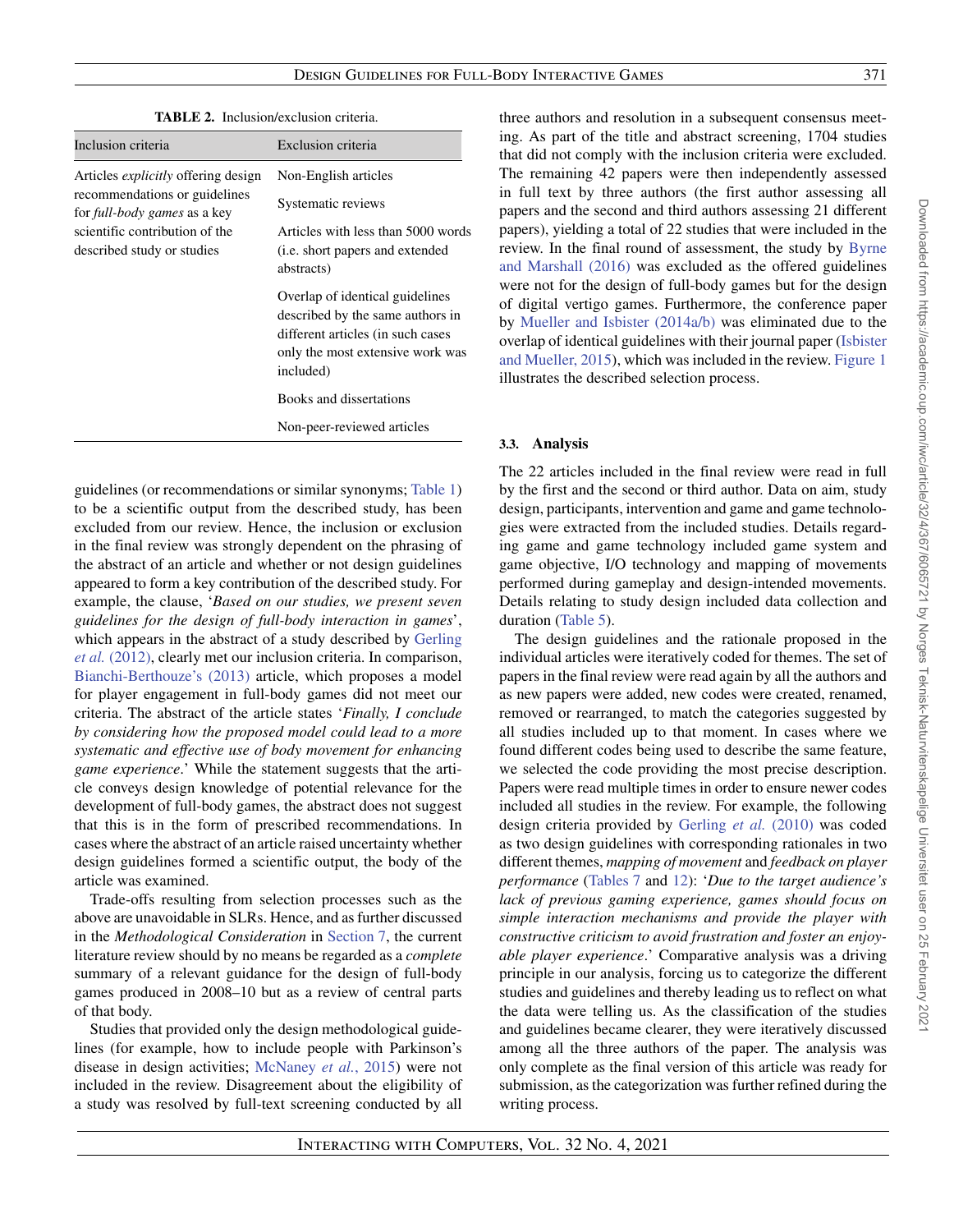<span id="page-4-1"></span>

|                                                                      | <b>TABLE 2.</b> Inclusion/exclusion criteria.                                                                                                             |
|----------------------------------------------------------------------|-----------------------------------------------------------------------------------------------------------------------------------------------------------|
| Inclusion criteria                                                   | Exclusion criteria                                                                                                                                        |
| Articles <i>explicitly</i> offering design                           | Non-English articles                                                                                                                                      |
| recommendations or guidelines<br>for <i>full-body games</i> as a key | Systematic reviews                                                                                                                                        |
| scientific contribution of the<br>described study or studies         | Articles with less than 5000 words<br>( <i>i.e.</i> short papers and extended<br>abstracts)                                                               |
|                                                                      | Overlap of identical guidelines<br>described by the same authors in<br>different articles (in such cases<br>only the most extensive work was<br>included) |
|                                                                      | Books and dissertations                                                                                                                                   |
|                                                                      | Non-peer-reviewed articles                                                                                                                                |

**TABLE 2.** Inclusion/exclusion criteria.

guidelines (or recommendations or similar synonyms; [Table 1\)](#page-3-0) to be a scientific output from the described study, has been excluded from our review. Hence, the inclusion or exclusion in the final review was strongly dependent on the phrasing of the abstract of an article and whether or not design guidelines appeared to form a key contribution of the described study. For example, the clause, '*Based on our studies, we present seven guidelines for the design of full-body interaction in games*', which appears in the abstract of a study described by Gerling *et al.* [\(2012\), clearly met our inclusion criteria. In comparison,](#page-37-12) [Bianchi-Berthouze's \(2013\)](#page-36-12) article, which proposes a model for player engagement in full-body games did not meet our criteria. The abstract of the article states '*Finally, I conclude by considering how the proposed model could lead to a more systematic and effective use of body movement for enhancing game experience*.' While the statement suggests that the article conveys design knowledge of potential relevance for the development of full-body games, the abstract does not suggest that this is in the form of prescribed recommendations. In cases where the abstract of an article raised uncertainty whether design guidelines formed a scientific output, the body of the article was examined.

Trade-offs resulting from selection processes such as the above are unavoidable in SLRs. Hence, and as further discussed in the *Methodological Consideration* in [Section 7,](#page-35-0) the current literature review should by no means be regarded as a *complete* summary of a relevant guidance for the design of full-body games produced in 2008–10 but as a review of central parts of that body.

<span id="page-4-0"></span>Studies that provided only the design methodological guidelines (for example, how to include people with Parkinson's disease in design activities; [McNaney](#page-37-13) *et al.*, 2015) were not included in the review. Disagreement about the eligibility of a study was resolved by full-text screening conducted by all three authors and resolution in a subsequent consensus meeting. As part of the title and abstract screening, 1704 studies that did not comply with the inclusion criteria were excluded. The remaining 42 papers were then independently assessed in full text by three authors (the first author assessing all papers and the second and third authors assessing 21 different papers), yielding a total of 22 studies that were included in the [review. In the final round of assessment, the study by](#page-36-9) Byrne and Marshall (2016) was excluded as the offered guidelines were not for the design of full-body games but for the design of digital vertigo games. Furthermore, the conference paper by [Mueller and Isbister \(2014a](#page-37-14)[/b\)](#page-37-15) was eliminated due to the [overlap of identical guidelines with their journal paper \(Isbister](#page-37-16) and Mueller, 2015), which was included in the review. [Figure 1](#page-5-0) illustrates the described selection process.

## <span id="page-4-2"></span>**3.3. Analysis**

The 22 articles included in the final review were read in full by the first and the second or third author. Data on aim, study design, participants, intervention and game and game technologies were extracted from the included studies. Details regarding game and game technology included game system and game objective, I/O technology and mapping of movements performed during gameplay and design-intended movements. Details relating to study design included data collection and duration [\(Table 5\)](#page-7-0).

The design guidelines and the rationale proposed in the individual articles were iteratively coded for themes. The set of papers in the final review were read again by all the authors and as new papers were added, new codes were created, renamed, removed or rearranged, to match the categories suggested by all studies included up to that moment. In cases where we found different codes being used to describe the same feature, we selected the code providing the most precise description. Papers were read multiple times in order to ensure newer codes included all studies in the review. For example, the following design criteria provided by [Gerling](#page-37-17) *et al.* (2010) was coded as two design guidelines with corresponding rationales in two different themes, *mapping of movement* and *feedback on player performance* [\(Tables 7](#page-17-0) and [12\)](#page-25-0): '*Due to the target audience's lack of previous gaming experience, games should focus on simple interaction mechanisms and provide the player with constructive criticism to avoid frustration and foster an enjoyable player experience*.' Comparative analysis was a driving principle in our analysis, forcing us to categorize the different studies and guidelines and thereby leading us to reflect on what the data were telling us. As the classification of the studies and guidelines became clearer, they were iteratively discussed among all the three authors of the paper. The analysis was only complete as the final version of this article was ready for submission, as the categorization was further refined during the writing process.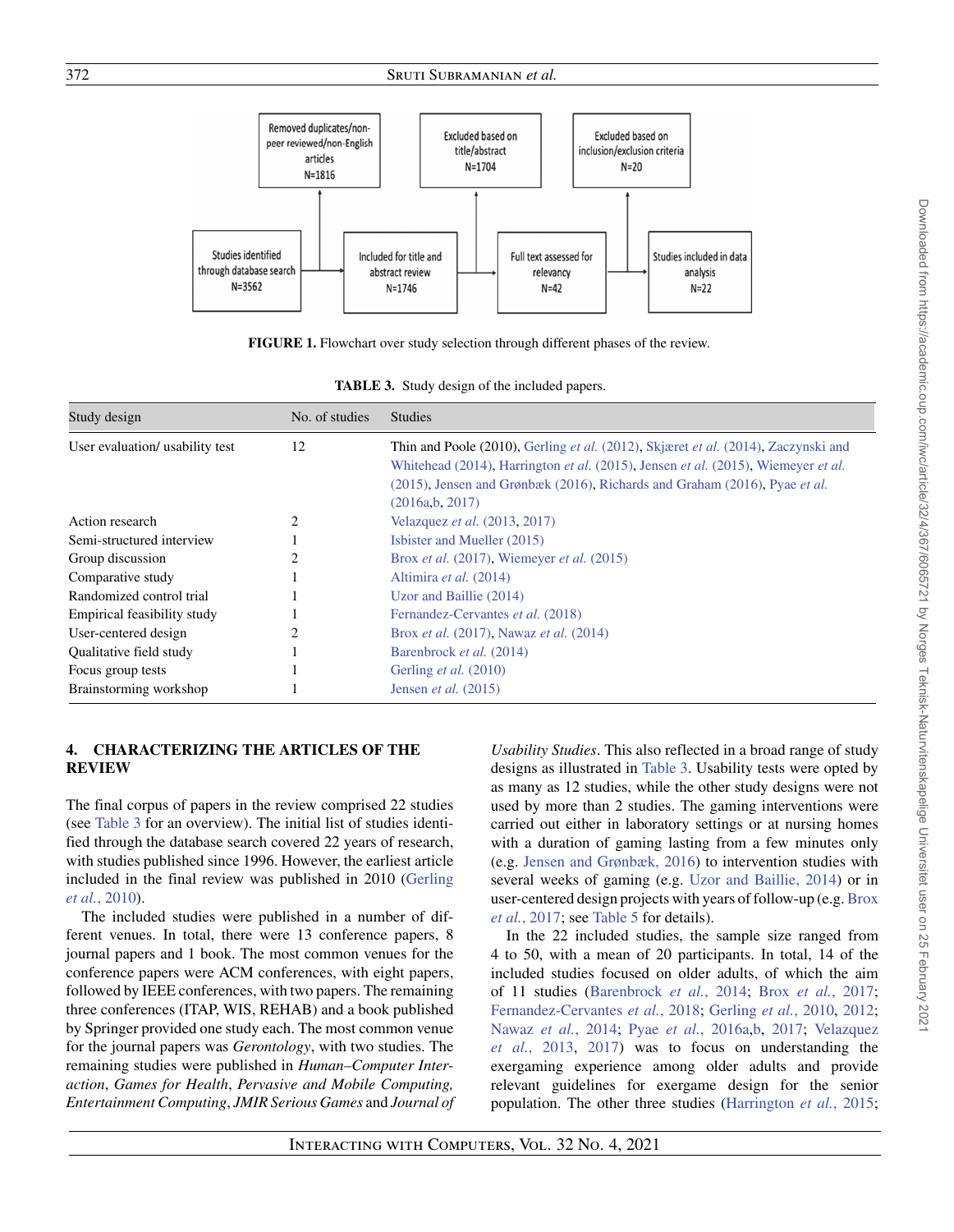

**FIGURE 1.** Flowchart over study selection through different phases of the review.

<span id="page-5-1"></span><span id="page-5-0"></span>

| Study design                    | No. of studies | <b>Studies</b>                                                                                                                                                                                                                                                                                |
|---------------------------------|----------------|-----------------------------------------------------------------------------------------------------------------------------------------------------------------------------------------------------------------------------------------------------------------------------------------------|
| User evaluation/ usability test | 12             | Thin and Poole (2010), Gerling et al. (2012), Skjæret et al. (2014), Zaczynski and<br>Whitehead (2014), Harrington <i>et al.</i> (2015), Jensen <i>et al.</i> (2015), Wiemeyer <i>et al.</i><br>(2015). Jensen and Grønbæk (2016), Richards and Graham (2016), Pyae et al.<br>(2016a,b, 2017) |
| Action research                 | 2              | Velazquez et al. (2013, 2017)                                                                                                                                                                                                                                                                 |
| Semi-structured interview       |                | Isbister and Mueller (2015)                                                                                                                                                                                                                                                                   |
| Group discussion                |                | Brox <i>et al.</i> $(2017)$ , Wiemeyer <i>et al.</i> $(2015)$                                                                                                                                                                                                                                 |
| Comparative study               |                | Altimira et al. (2014)                                                                                                                                                                                                                                                                        |
| Randomized control trial        |                | Uzor and Baillie (2014)                                                                                                                                                                                                                                                                       |
| Empirical feasibility study     |                | Fernandez-Cervantes et al. (2018)                                                                                                                                                                                                                                                             |
| User-centered design            |                | Brox et al. (2017), Nawaz et al. (2014)                                                                                                                                                                                                                                                       |
| Qualitative field study         |                | Barenbrock et al. (2014)                                                                                                                                                                                                                                                                      |
| Focus group tests               |                | Gerling <i>et al.</i> (2010)                                                                                                                                                                                                                                                                  |
| Brainstorming workshop          |                | Jensen et al. $(2015)$                                                                                                                                                                                                                                                                        |

# **4. CHARACTERIZING THE ARTICLES OF THE REVIEW**

The final corpus of papers in the review comprised 22 studies (see [Table 3](#page-5-1) for an overview). The initial list of studies identified through the database search covered 22 years of research, with studies published since 1996. However, the earliest article [included in the final review was published in 2010 \(Gerling](#page-37-17) *et al.*, 2010).

The included studies were published in a number of different venues. In total, there were 13 conference papers, 8 journal papers and 1 book. The most common venues for the conference papers were ACM conferences, with eight papers, followed by IEEE conferences, with two papers. The remaining three conferences (ITAP, WIS, REHAB) and a book published by Springer provided one study each. The most common venue for the journal papers was *Gerontology*, with two studies. The remaining studies were published in *Human–Computer Interaction*, *Games for Health*, *Pervasive and Mobile Computing, Entertainment Computing*, *JMIR Serious Games* and *Journal of* *Usability Studies*. This also reflected in a broad range of study designs as illustrated in [Table 3.](#page-5-1) Usability tests were opted by as many as 12 studies, while the other study designs were not used by more than 2 studies. The gaming interventions were carried out either in laboratory settings or at nursing homes with a duration of gaming lasting from a few minutes only (e.g. [Jensen and Grønbæk, 2016\)](#page-37-20) to intervention studies with several weeks of gaming (e.g. [Uzor and Baillie, 2014\)](#page-38-25) or in [user-centered design projects with years of follow-up \(e.g.](#page-36-13) Brox *et al.*, 2017; see [Table 5](#page-7-0) for details).

In the 22 included studies, the sample size ranged from 4 to 50, with a mean of 20 participants. In total, 14 of the included studies focused on older adults, of which the aim of 11 studies [\(Barenbrock](#page-36-15) *et al.*, 2014; Brox *et al.*[, 2017;](#page-36-13) [Fernandez-Cervantes](#page-37-21) *et al.*, 2018; [Gerling](#page-37-17) *et al.*, 2010, [2012;](#page-37-12) Nawaz *et al.*[, 2014;](#page-38-26) Pyae *et al.*[, 2016a](#page-38-20)[,b,](#page-38-21) [2017;](#page-38-22) Velazquez *et al.*, 2013, [2017\) was to focus on understanding the](#page-38-23) exergaming experience among older adults and provide relevant guidelines for exergame design for the senior population. The other three studies [\(Harrington](#page-37-18) *et al.*, 2015;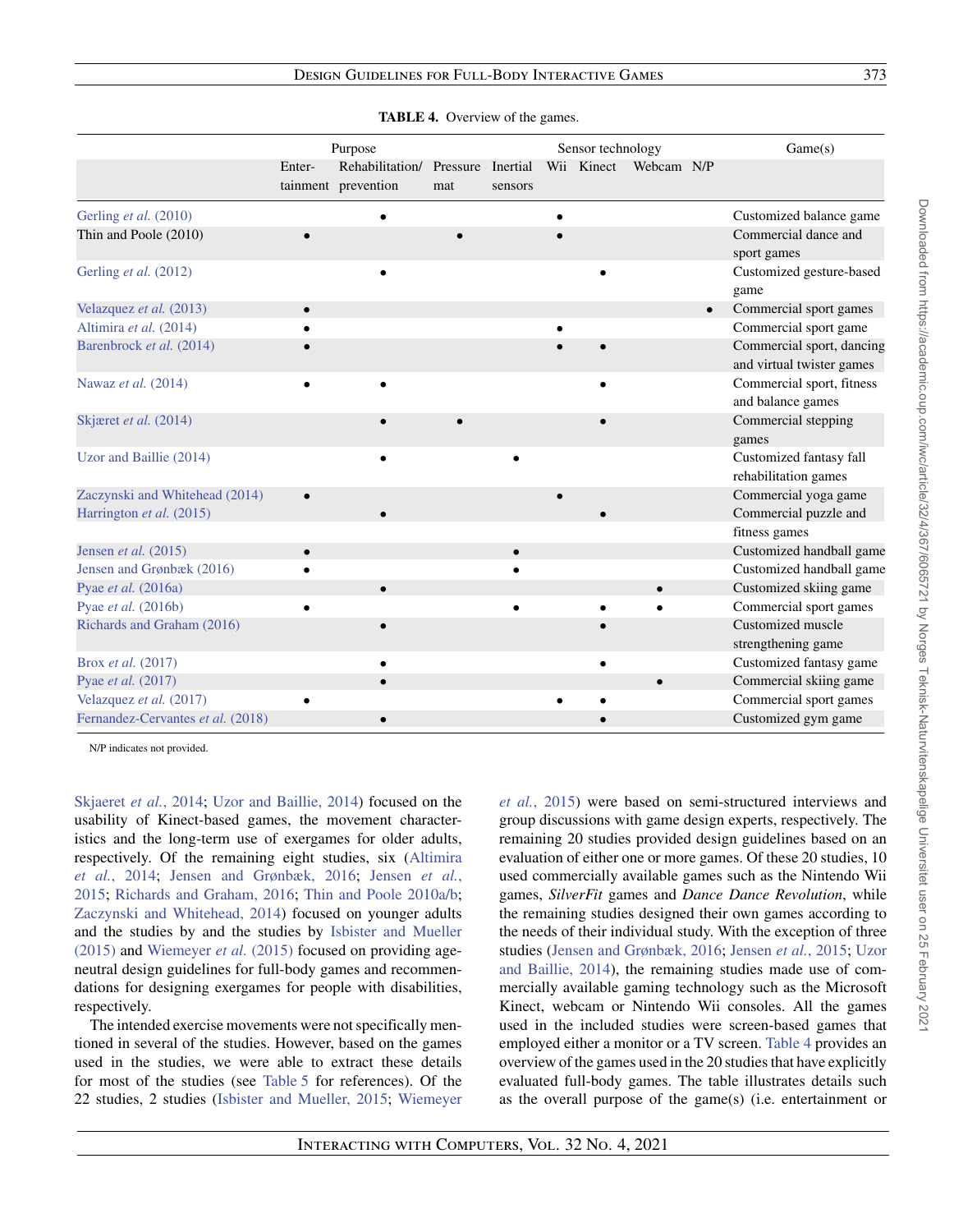<span id="page-6-0"></span>

|                                                            |           | Purpose                                |                          |           | Sensor technology |            |           | Game(s)                                                |
|------------------------------------------------------------|-----------|----------------------------------------|--------------------------|-----------|-------------------|------------|-----------|--------------------------------------------------------|
|                                                            | Enter-    | Rehabilitation/<br>tainment prevention | Pressure Inertial<br>mat | sensors   | Wii Kinect        | Webcam N/P |           |                                                        |
| Gerling et al. (2010)                                      |           |                                        |                          |           |                   |            |           | Customized balance game                                |
| Thin and Poole (2010)                                      |           |                                        |                          |           |                   |            |           | Commercial dance and<br>sport games                    |
| Gerling et al. (2012)                                      |           |                                        |                          |           |                   |            |           | Customized gesture-based<br>game                       |
| Velazquez et al. (2013)                                    | $\bullet$ |                                        |                          |           |                   |            | $\bullet$ | Commercial sport games                                 |
| Altimira et al. (2014)                                     |           |                                        |                          |           |                   |            |           | Commercial sport game                                  |
| Barenbrock et al. (2014)                                   |           |                                        |                          |           |                   |            |           | Commercial sport, dancing<br>and virtual twister games |
| Nawaz et al. (2014)                                        |           |                                        |                          |           |                   |            |           | Commercial sport, fitness<br>and balance games         |
| Skjæret et al. (2014)                                      |           |                                        |                          |           |                   |            |           | Commercial stepping<br>games                           |
| Uzor and Baillie (2014)                                    |           |                                        |                          |           |                   |            |           | Customized fantasy fall<br>rehabilitation games        |
| Zaczynski and Whitehead (2014)<br>Harrington et al. (2015) |           |                                        |                          |           |                   |            |           | Commercial yoga game<br>Commercial puzzle and          |
|                                                            |           |                                        |                          |           |                   |            |           | fitness games                                          |
| Jensen et al. (2015)                                       | $\bullet$ |                                        |                          | $\bullet$ |                   |            |           | Customized handball game                               |
| Jensen and Grønbæk (2016)                                  |           |                                        |                          |           |                   |            |           | Customized handball game                               |
| Pyae et al. (2016a)                                        |           | $\bullet$                              |                          |           |                   |            |           | Customized skiing game<br>Commercial sport games       |
| Pyae et al. (2016b)<br>Richards and Graham (2016)          |           |                                        |                          |           |                   |            |           | Customized muscle<br>strengthening game                |
| Brox et al. (2017)                                         |           | ٠                                      |                          |           |                   |            |           | Customized fantasy game                                |
| Pyae et al. (2017)                                         |           |                                        |                          |           |                   |            |           | Commercial skiing game                                 |
| Velazquez et al. (2017)                                    |           |                                        |                          |           |                   |            |           | Commercial sport games                                 |
| Fernandez-Cervantes et al. (2018)                          |           | $\bullet$                              |                          |           |                   |            |           | Customized gym game                                    |

**TABLE 4.** Overview of the games.

N/P indicates not provided.

[Skjaeret](#page-38-18) *et al.*, 2014; [Uzor and Baillie, 2014\)](#page-38-25) focused on the usability of Kinect-based games, the movement characteristics and the long-term use of exergames for older adults, [respectively. Of the remaining eight studies, six \(Altimira](#page-36-14) *et al.*, 2014; [Jensen](#page-37-19)[and](#page-37-19)[Grønbæk,](#page-37-19)[2016;](#page-37-19) Jensen *et al.*, 2015; [Richards and Graham, 2016;](#page-38-19) [Thin and Poole 2010a](#page-38-27)[/b;](#page-38-28) [Zaczynski and Whitehead, 2014\)](#page-39-1) focused on younger adults [and the studies by and the studies by](#page-37-16) Isbister and Mueller (2015) and [Wiemeyer](#page-39-0) *et al.* (2015) focused on providing ageneutral design guidelines for full-body games and recommendations for designing exergames for people with disabilities, respectively.

The intended exercise movements were not specifically mentioned in several of the studies. However, based on the games used in the studies, we were able to extract these details for most of the studies (see [Table 5](#page-7-0) for references). Of the 22 studies, 2 studies [\(Isbister and Mueller, 2015;](#page-37-16) [Wiemeyer](#page-39-0) *et al.*[, 2015\)](#page-39-0) were based on semi-structured interviews and group discussions with game design experts, respectively. The remaining 20 studies provided design guidelines based on an evaluation of either one or more games. Of these 20 studies, 10 used commercially available games such as the Nintendo Wii games, *SilverFit* games and *Dance Dance Revolution*, while the remaining studies designed their own games according to the needs of their individual study. With the exception of three studies [\(Jensen and Grønbæk, 2016;](#page-37-20) [Jensen](#page-37-19) *et al.*, 2015; Uzor [and Baillie, 2014\), the remaining studies made use of com](#page-38-25)mercially available gaming technology such as the Microsoft Kinect, webcam or Nintendo Wii consoles. All the games used in the included studies were screen-based games that employed either a monitor or a TV screen. [Table 4](#page-6-0) provides an overview of the games used in the 20 studies that have explicitly evaluated full-body games. The table illustrates details such as the overall purpose of the game(s) (i.e. entertainment or Downloaded from https://academic.oup.com/iwc/article/32/4/367/6065721 by Norges Teknisk-Naturvitenskapelige Universitet user on 25 February 202 Downloaded from https://academic.oup.com/iwc/article/32/4/367/6065721 by Norges Teknisk-Naturvitenskapelige Universitet user on 25 February 2021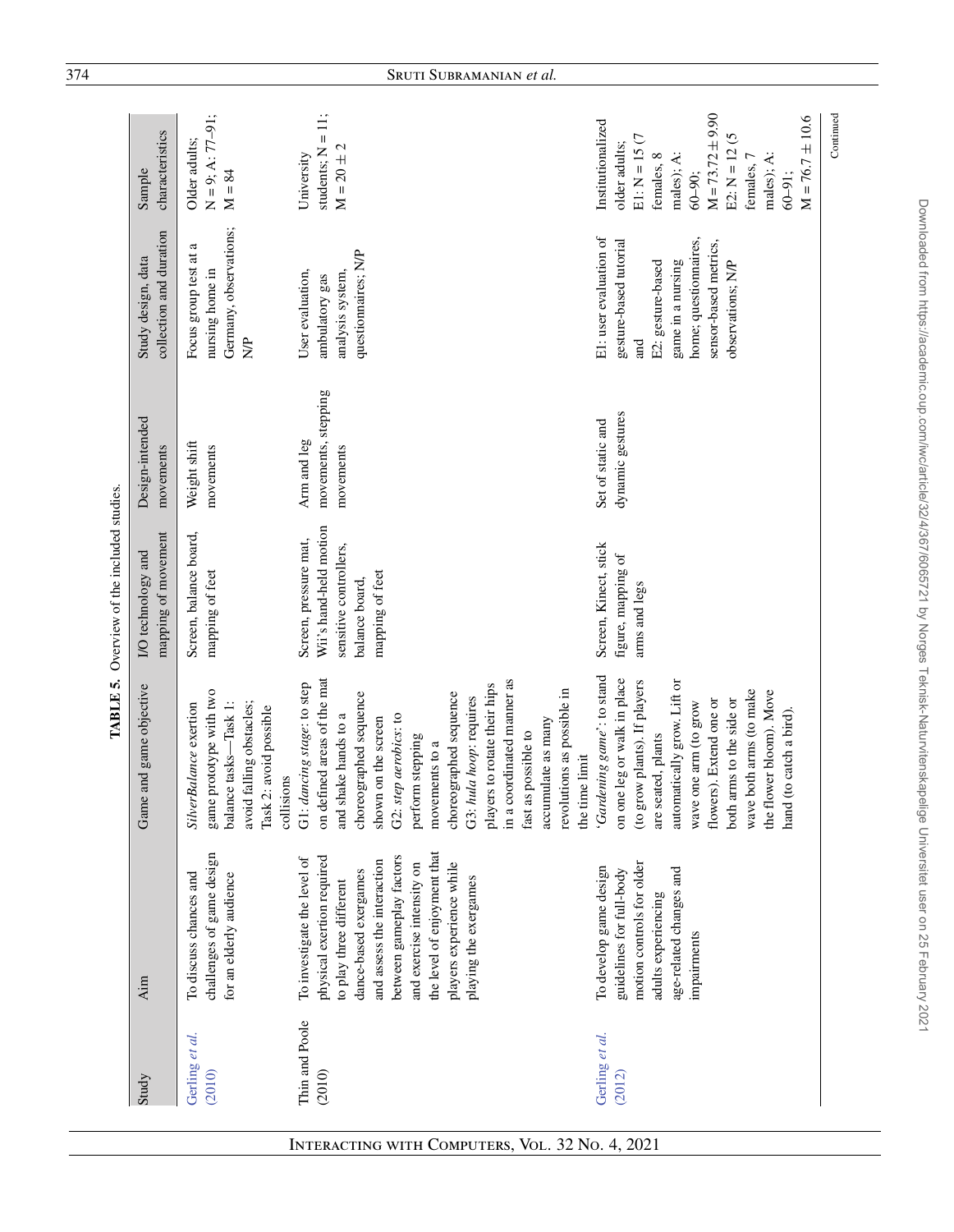|                          |                                                                                                                                                                                                                                                                                          | TABLE 5.                                                                                                                                                                                                                                                                                                                                                                                                          | Overview of the included studies.                                                                              |                                                 |                                                                                                                                                                               |                                                                                                                                                                                                              |
|--------------------------|------------------------------------------------------------------------------------------------------------------------------------------------------------------------------------------------------------------------------------------------------------------------------------------|-------------------------------------------------------------------------------------------------------------------------------------------------------------------------------------------------------------------------------------------------------------------------------------------------------------------------------------------------------------------------------------------------------------------|----------------------------------------------------------------------------------------------------------------|-------------------------------------------------|-------------------------------------------------------------------------------------------------------------------------------------------------------------------------------|--------------------------------------------------------------------------------------------------------------------------------------------------------------------------------------------------------------|
| Study                    | Aim                                                                                                                                                                                                                                                                                      | Game and game objective                                                                                                                                                                                                                                                                                                                                                                                           | mapping of movement<br>I/O technology and                                                                      | Design-intended<br>movements                    | collection and duration<br>Study design, data                                                                                                                                 | characteristics<br>Sample                                                                                                                                                                                    |
| Gerling et al.<br>(2010) | challenges of game design<br>To discuss chances and<br>for an elderly audience                                                                                                                                                                                                           | game prototype with two<br>balance tasks-Task 1:<br>avoid falling obstacles;<br>SilverBalance exertion<br>2: avoid possible<br>collisions<br>Task?                                                                                                                                                                                                                                                                | Screen, balance board,<br>mapping of feet                                                                      | Weight shift<br>movements                       | Germany, observations;<br>a<br>Focus group test at<br>nursing home in<br>$\frac{P}{P}$                                                                                        | $N = 9$ ; A: 77-91;<br>Older adults;<br>$M = 84$                                                                                                                                                             |
| Thin and Poole<br>(2010) | the level of enjoyment that<br>between gameplay factors<br>physical exertion required<br>To investigate the level of<br>and assess the interaction<br>and exercise intensity on<br>players experience while<br>dance-based exergames<br>playing the exergames<br>to play three different | on defined areas of the mat<br>in a coordinated manner as<br>G1: dancing stage: to step<br>players to rotate their hips<br>revolutions as possible in<br>choreographed sequence<br>choreographed sequence<br>G3: hula hoop: requires<br>and shake hands to a<br>G2: step aerobics: to<br>shown on the screen<br>accumulate as many<br>fast as possible to<br>perform stepping<br>movements to a<br>the time limit | Wii's hand-held motion<br>Screen, pressure mat,<br>sensitive controllers,<br>mapping of feet<br>balance board, | movements, stepping<br>Arm and leg<br>movements | questionnaires; N/P<br>User evaluation,<br>analysis system,<br>ambulatory gas                                                                                                 | students; $N = 11$ ;<br>$M = 20 \pm 2$<br>University                                                                                                                                                         |
| Gerling et al.<br>(2012) | motion controls for older<br>To develop game design<br>age-related changes and<br>guidelines for full-body<br>adults experiencing<br>impairments                                                                                                                                         | 'Gardening game': to stand<br>on one leg or walk in place<br>(to grow plants). If players<br>automatically grow. Lift or<br>wave both arms (to make<br>the flower bloom). Move<br>both arms to the side or<br>flowers). Extend one or<br>wave one arm (to grow<br>(to catch a bird).<br>are seated, plants<br>hand                                                                                                | Screen, Kinect, stick<br>figure, mapping of<br>arms and legs                                                   | dynamic gestures<br>Set of static and           | E1: user evaluation of<br>home; questionnaires,<br>gesture-based tutorial<br>sensor-based metrics,<br>game in a nursing<br>E2: gesture-based<br>observations; N/P<br>and<br>a | $M = 73.72 \pm 9.90$<br>$M = 76.7 \pm 10.6$<br>Institutionalized<br>E2: $N = 12(5)$<br>$E1: N = 15(7)$<br>older adults;<br>males); A:<br>females, 8<br>males); A:<br>females, 7<br>$60 - 90;$<br>$60 - 91$ : |
|                          |                                                                                                                                                                                                                                                                                          |                                                                                                                                                                                                                                                                                                                                                                                                                   |                                                                                                                |                                                 |                                                                                                                                                                               | Continued                                                                                                                                                                                                    |

<span id="page-7-0"></span>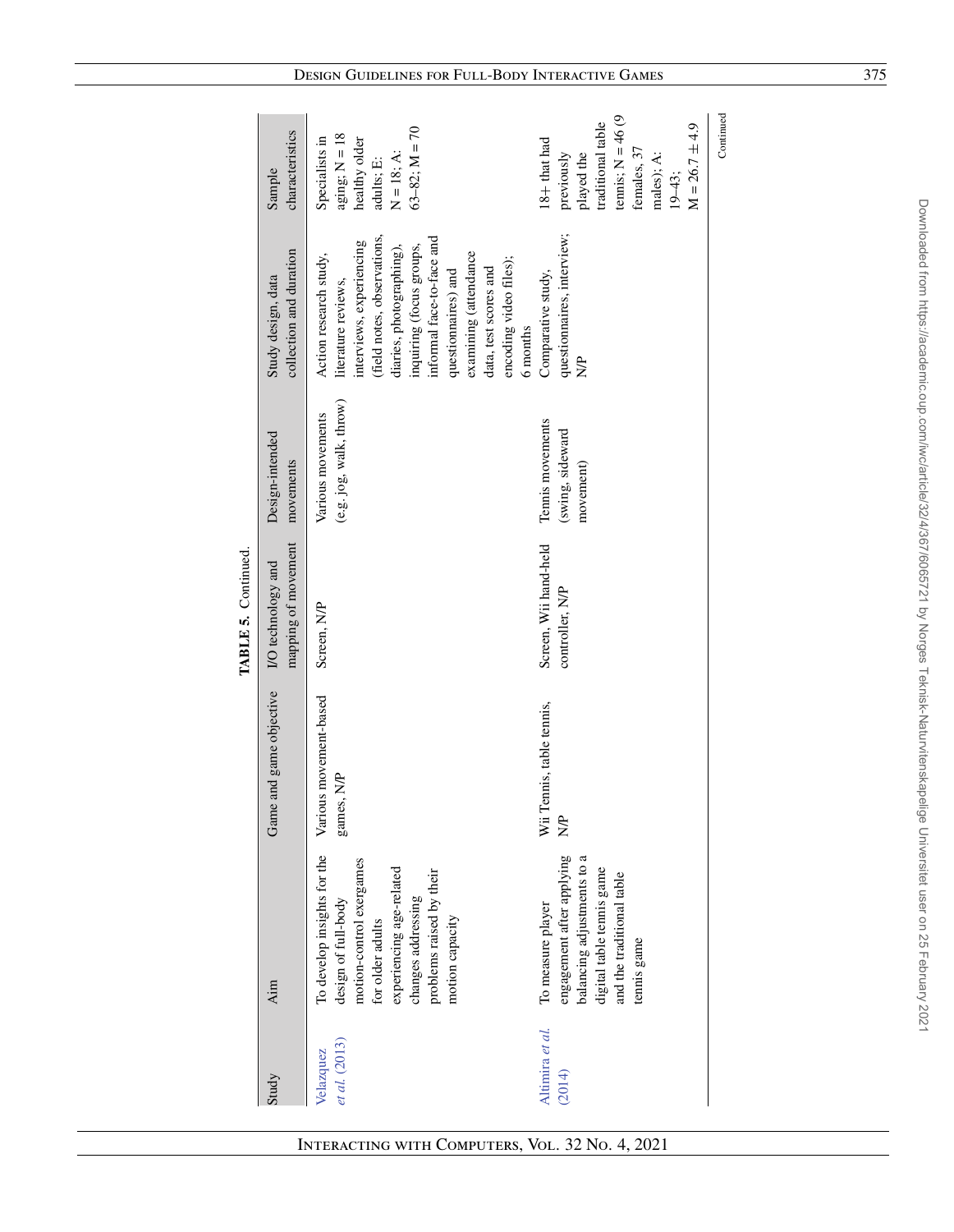|                            |                                                                                                                                                                                                     |                                            | TABLE 5. Continued.                       |                                                   |                                                                                                                                                                                                                                                                                                              |                                                                                                                                                   |
|----------------------------|-----------------------------------------------------------------------------------------------------------------------------------------------------------------------------------------------------|--------------------------------------------|-------------------------------------------|---------------------------------------------------|--------------------------------------------------------------------------------------------------------------------------------------------------------------------------------------------------------------------------------------------------------------------------------------------------------------|---------------------------------------------------------------------------------------------------------------------------------------------------|
| Study                      | Aim                                                                                                                                                                                                 | Game and game objective                    | mapping of movement<br>I/O technology and | Design-intended<br>movements                      | collection and duration<br>Study design, data                                                                                                                                                                                                                                                                | characteristics<br>Sample                                                                                                                         |
| et al. (2013)<br>Velazquez | To develop insights for the<br>motion-control exergames<br>experiencing age-related<br>problems raised by their<br>design of full-body<br>changes addressing<br>for older adults<br>motion capacity | Various movement-based<br>games, N/P       | Screen, N/P                               | (e.g. jog, walk, throw)<br>Various movements      | (field notes, observations,<br>informal face-to-face and<br>interviews, experiencing<br>diaries, photographing),<br>inquiring (focus groups,<br>examining (attendance<br>Action research study,<br>encoding video files);<br>data, test scores and<br>questionnaires) and<br>literature reviews,<br>6 months | $63-82; M = 70$<br>$aging$ ; $N = 18$<br>Specialists in<br>healthy older<br>$N = 18; A:$<br>$\text{adulus}$ ; E:                                  |
| Altimira et al.<br>(2014)  | engagement after applying<br>balancing adjustments to a<br>digital table tennis game<br>and the traditional table<br>To measure player<br>tennis game                                               | Wii Tennis, table tennis,<br>$\frac{P}{Q}$ | Screen, Wii hand-held<br>controller, N/P  | Tennis movements<br>(swing, sideward<br>movement) | questionnaires, interview;<br>Comparative study,<br>$\frac{P}{Q}$                                                                                                                                                                                                                                            | tennis; $N = 46(9)$<br>traditional table<br>$M = 26.7 \pm 4.9$<br>18+ that had<br>females, 37<br>played the<br>males); A:<br>previously<br>19-43; |
|                            |                                                                                                                                                                                                     |                                            |                                           |                                                   |                                                                                                                                                                                                                                                                                                              | Continued                                                                                                                                         |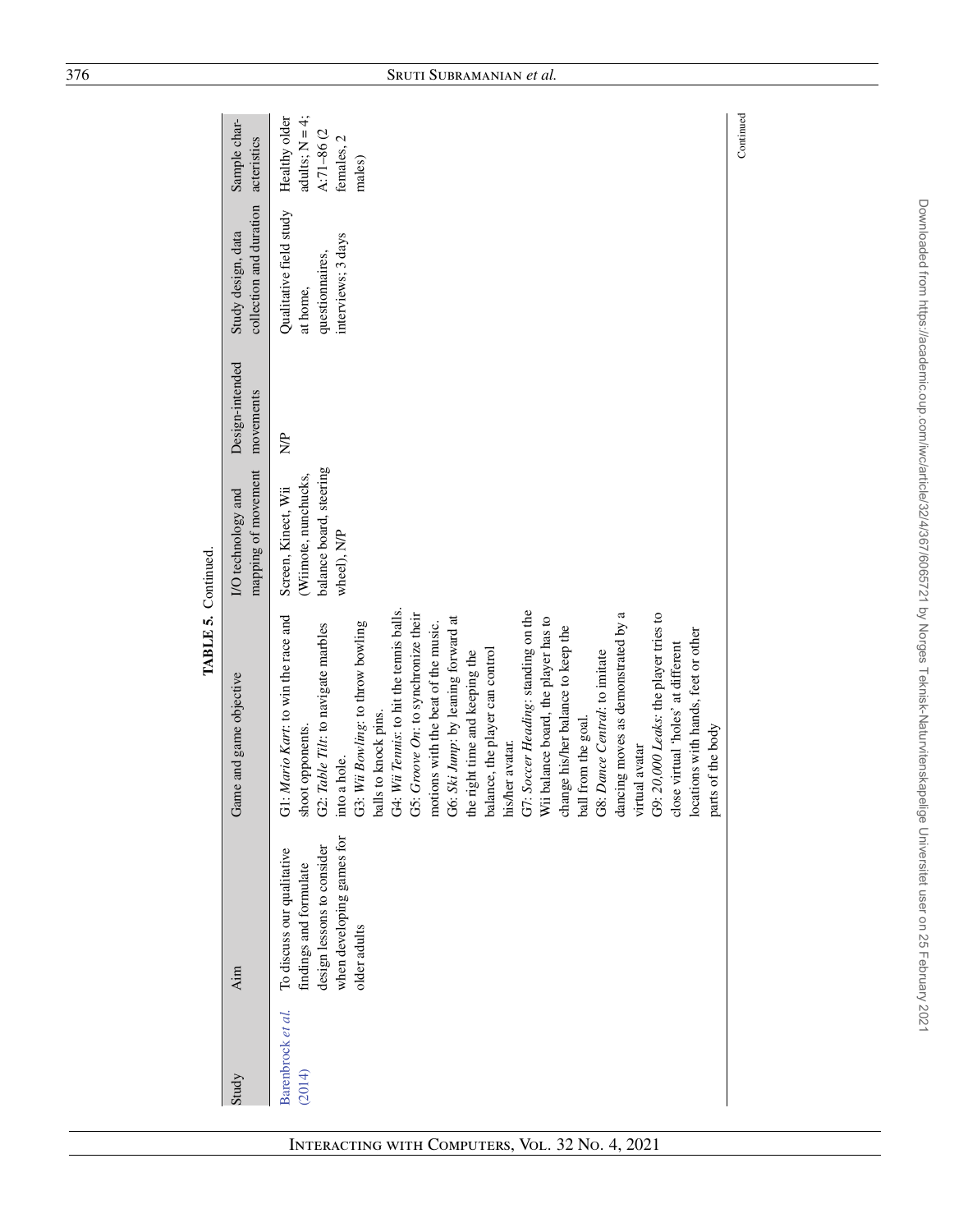|                             |                                                                                                                                 | TABLE 5. Continued.                                                                                                                                                                                                                                                                                                                                                                                                                                                                                                                                                                                                                                                                                                                                                                                                          |                                                                                       |                              |                                                                              |                                                                         |
|-----------------------------|---------------------------------------------------------------------------------------------------------------------------------|------------------------------------------------------------------------------------------------------------------------------------------------------------------------------------------------------------------------------------------------------------------------------------------------------------------------------------------------------------------------------------------------------------------------------------------------------------------------------------------------------------------------------------------------------------------------------------------------------------------------------------------------------------------------------------------------------------------------------------------------------------------------------------------------------------------------------|---------------------------------------------------------------------------------------|------------------------------|------------------------------------------------------------------------------|-------------------------------------------------------------------------|
| Study                       | Aim                                                                                                                             | Game and game objective                                                                                                                                                                                                                                                                                                                                                                                                                                                                                                                                                                                                                                                                                                                                                                                                      | mapping of movement<br>I/O technology and                                             | Design-intended<br>movements | collection and duration<br>Study design, data                                | Sample char-<br>acteristics                                             |
| Barenbrock et al.<br>(2014) | when developing games for<br>design lessons to consider<br>To discuss our qualitative<br>findings and formulate<br>older adults | G4: Wii Tennis: to hit the tennis balls.<br>G7: Soccer Heading: standing on the<br>G9: 20,000 Leaks: the player tries to<br>dancing moves as demonstrated by a<br>G5: Groove On: to synchronize their<br>G1: Mario Kart: to win the race and<br>Wii balance board, the player has to<br>G6: Ski Jump: by leaning forward at<br>motions with the beat of the music.<br>G3: Wii Bowling: to throw bowling<br>G2: Table Tilt: to navigate marbles<br>change his/her balance to keep the<br>locations with hands, feet or other<br>close virtual 'holes' at different<br>balance, the player can control<br>G8: Dance Central: to imitate<br>the right time and keeping the<br>balls to knock pins.<br>ball from the goal.<br>parts of the body<br>shoot opponents.<br>her avatar.<br>virtual avatar<br>a hole.<br>into<br>his/1 | balance board, steering<br>(Wiimote, nunchucks,<br>Screen, Kinect, Wii<br>wheel), N/P | $\frac{P}{Q}$                | Qualitative field study<br>interviews; 3 days<br>questionnaires,<br>at home, | adults; $N = 4$ ;<br>Healthy older<br>A:71-86(2<br>females, 2<br>males) |
|                             |                                                                                                                                 |                                                                                                                                                                                                                                                                                                                                                                                                                                                                                                                                                                                                                                                                                                                                                                                                                              |                                                                                       |                              |                                                                              | Continued                                                               |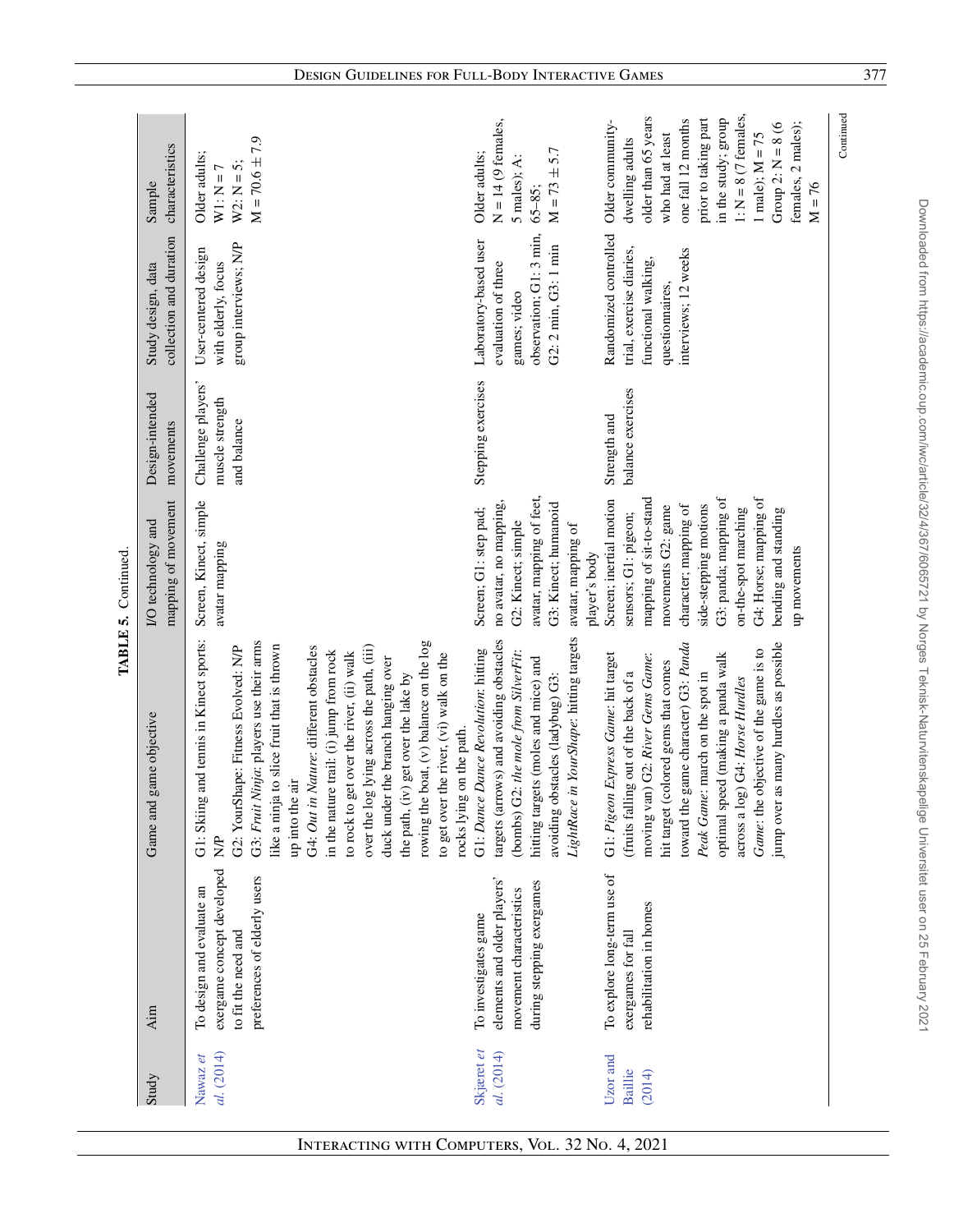| Study                                | Aim                                                                                                            | game objective<br>Game and                                                                                                                                                                                                                                                                                                                                                                                                                                                                                                                                                                      | mapping of movement<br>I/O technology and                                                                                                                                                                                                                            | Design-intended<br>movements                         | collection and duration<br>Study design, data                                                                       | characteristics<br>Sample                                                                                                                                                                                                                                   |
|--------------------------------------|----------------------------------------------------------------------------------------------------------------|-------------------------------------------------------------------------------------------------------------------------------------------------------------------------------------------------------------------------------------------------------------------------------------------------------------------------------------------------------------------------------------------------------------------------------------------------------------------------------------------------------------------------------------------------------------------------------------------------|----------------------------------------------------------------------------------------------------------------------------------------------------------------------------------------------------------------------------------------------------------------------|------------------------------------------------------|---------------------------------------------------------------------------------------------------------------------|-------------------------------------------------------------------------------------------------------------------------------------------------------------------------------------------------------------------------------------------------------------|
| al. (2014)<br>Nawaz et               | exergame concept developed<br>preferences of elderly users<br>To design and evaluate an<br>to fit the need and | and tennis in Kinect sports:<br>G3: Fruit Ninja: players use their arms<br>rowing the boat, $(v)$ balance on the $log$<br>like a ninja to slice fruit that is thrown<br>over the log lying across the path, (iii)<br>G2: YourShape: Fitness Evolved: N/P<br>G4: Out in Nature: different obstacles<br>in the nature trail: (i) jump from rock<br>to rock to get over the river, (ii) walk<br>to get over the river, (vi) walk on the<br>duck under the branch hanging over<br>the path, (iv) get over the lake by<br>rocks lying on the path.<br>up into the air<br>G1: Skiing<br>$\frac{1}{2}$ | Screen, Kinect, simple<br>avatar mapping                                                                                                                                                                                                                             | Challenge players'<br>muscle strength<br>and balance | group interviews; N/P<br>User-centered design<br>with elderly, focus                                                | $M = 70.6 \pm 7.9$<br>Older adults;<br>$W2: N = 5;$<br>$W1: N = 7$                                                                                                                                                                                          |
| Skjæret et<br>al. (2014)             | elements and older players'<br>during stepping exergames<br>novement characteristics<br>To investigates game   | in YourShape: hitting targets<br>targets (arrows) and avoiding obstacles<br>G1: Dance Dance Revolution: hitting<br>(bombs) G2: the mole from SilverFit:<br>hitting targets (moles and mice) and<br>avoiding obstacles (ladybug) G3:<br>LightRace                                                                                                                                                                                                                                                                                                                                                | avatar, mapping of feet,<br>G3: Kinect; humanoid<br>no avatar, no mapping,<br>Screen; G1: step pad;<br>G2: Kinect; simple<br>avatar, mapping of<br>player's body                                                                                                     | Stepping exercises                                   | observation; G1: 3 min,<br>Laboratory-based user<br>G2: 2 min, G3: 1 min<br>evaluation of three<br>games; video     | $N = 14$ (9 females,<br>$M = 73 \pm 5.7$<br>Older adults;<br>5 males); A:<br>$65 - 85$ ;                                                                                                                                                                    |
| Uzor and<br><b>Baillie</b><br>(2014) | To explore long-term use of<br>rehabilitation in homes<br>exergames for fall                                   | toward the game character) G3: Panda<br>jump over as many hurdles as possible<br>Game: the objective of the game is to<br>moving van) G2: River Gems Game:<br>optimal speed (making a panda walk<br>G1: Pigeon Express Game: hit target<br>hit target (colored gems that comes<br>(fruits falling out of the back of a<br>Peak Game: march on the spot in<br>across a log) G4: Horse Hurdles                                                                                                                                                                                                    | G4: Horse; mapping of<br>G3: panda; mapping of<br>mapping of sit-to-stand<br>Screen; inertial motion<br>character; mapping of<br>side-stepping motions<br>movements G2: game<br>on-the-spot marching<br>bending and standing<br>sensors; G1: pigeon;<br>up movements | balance exercises<br>Strength and                    | Randomized controlled<br>interviews; 12 weeks<br>trial, exercise diaries,<br>functional walking,<br>questionnaires, | $1: N = 8$ (7 females,<br>older than 65 years<br>in the study; group<br>prior to taking part<br>one fall 12 months<br>Older community-<br>females, 2 males);<br>Group 2: $N = 8$ (6<br>who had at least<br>1 male); $M = 75$<br>dwelling adults<br>$M = 76$ |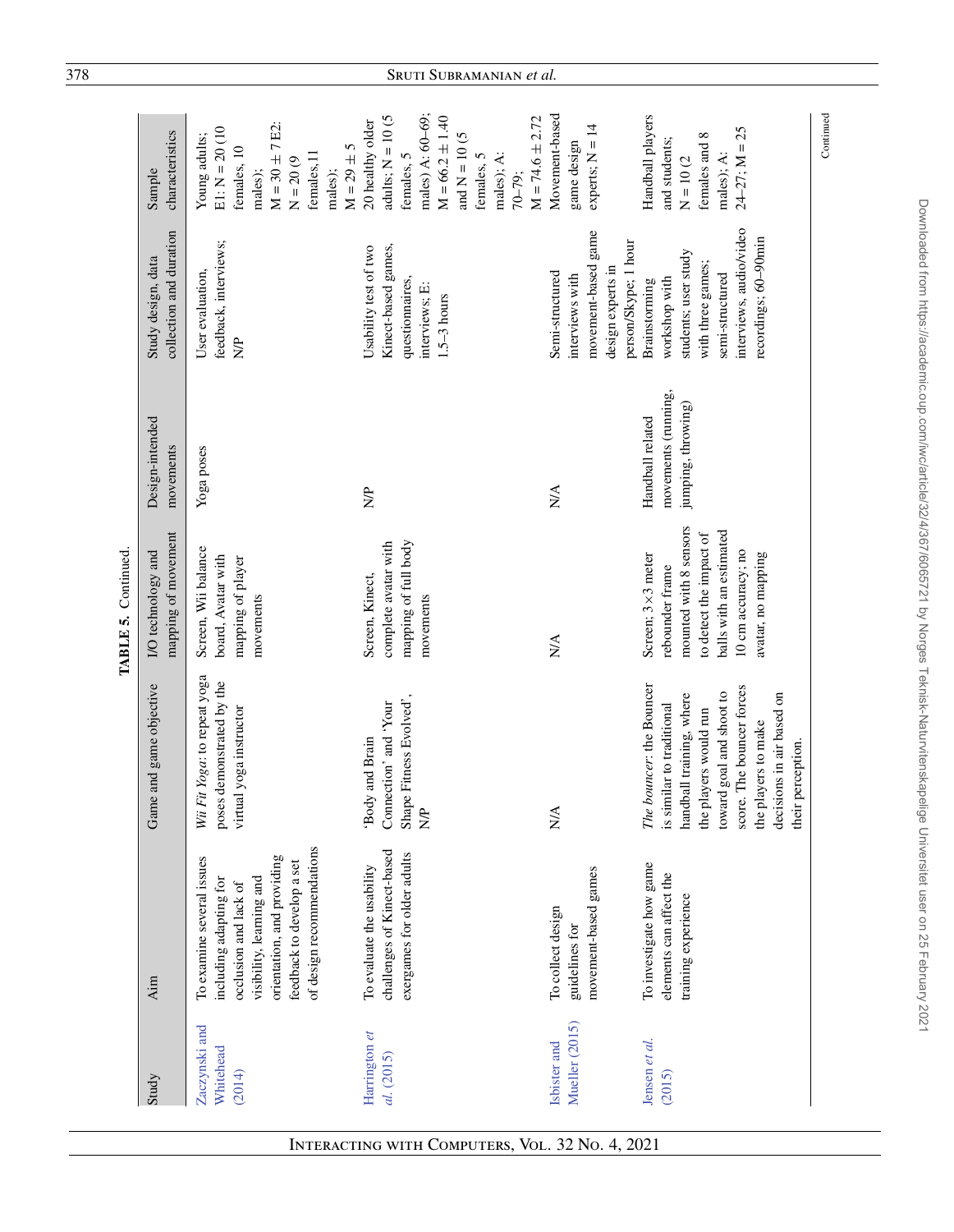| Study                                |                                                                                                                                                                                                  |                                                                                                                                                                                                                                              |                                                                                                                                                                  |                                                               |                                                                                                                                                   |                                                                                                                                                                                         |
|--------------------------------------|--------------------------------------------------------------------------------------------------------------------------------------------------------------------------------------------------|----------------------------------------------------------------------------------------------------------------------------------------------------------------------------------------------------------------------------------------------|------------------------------------------------------------------------------------------------------------------------------------------------------------------|---------------------------------------------------------------|---------------------------------------------------------------------------------------------------------------------------------------------------|-----------------------------------------------------------------------------------------------------------------------------------------------------------------------------------------|
|                                      | Aim                                                                                                                                                                                              | Game and game objective                                                                                                                                                                                                                      | mapping of movement<br>I/O technology and                                                                                                                        | Design-intended<br>movements                                  | collection and duration<br>Study design, data                                                                                                     | characteristics<br>Sample                                                                                                                                                               |
| Zaczynski and<br>Whitehead<br>(2014) | of design recommendations<br>orientation, and providing<br>To examine several issues<br>feedback to develop a set<br>visibility, learning and<br>including adapting for<br>occlusion and lack of | Wii Fit Yoga: to repeat yoga<br>poses demonstrated by the<br>virtual yoga instructor                                                                                                                                                         | Screen, Wii balance<br>board, Avatar with<br>mapping of player<br>movements                                                                                      | Yoga poses                                                    | feedback, interviews;<br>User evaluation,<br>$\frac{P}{Q}$                                                                                        | $M = 30 \pm 7$ E2:<br>$E1: N = 20(10)$<br>Young adults;<br>$M = 29 \pm 5$<br>females, 10<br>females, 11<br>$N = 20(9)$<br>males);<br>males);                                            |
| Harrington et<br>al. (2015)          | challenges of Kinect-based<br>exergames for older adults<br>To evaluate the usability                                                                                                            | Shape Fitness Evolved',<br>Connection' and 'Your<br>Body and Brain<br>$\sum_{i=1}^{n}$                                                                                                                                                       | mapping of full body<br>complete avatar with<br>Screen, Kinect,<br>movements                                                                                     | $\frac{1}{2}$                                                 | Kinect-based games,<br>Usability test of two<br>questionnaires,<br>interviews; E:<br>$1.5-3$ hours                                                | males) A: 60-69;<br>adults; $N = 10$ (5<br>$M = 66.2 \pm 1.40$<br>$M = 74.6 \pm 2.72$<br>20 healthy older<br>and $\mathrm{N}=10$ (5<br>males); A:<br>females, 5<br>females, 5<br>70-79; |
| Mueller (2015)<br>Isbister and       | movement-based games<br>To collect design<br>guidelines for                                                                                                                                      | N/A                                                                                                                                                                                                                                          | N/A                                                                                                                                                              | N/A                                                           | movement-based game<br>person/Skype; 1 hour<br>design experts in<br>Semi-structured<br>interviews with                                            | Movement-based<br>experts; $N = 14$<br>game design                                                                                                                                      |
| Jensen et al.<br>(2015)              | To investigate how game<br>elements can affect the<br>training experience                                                                                                                        | The bouncer: the Bouncer<br>score. The bouncer forces<br>toward goal and shoot to<br>handball training, where<br>decisions in air based on<br>is similar to traditional<br>the players would run<br>the players to make<br>their perception. | mounted with 8 sensors<br>balls with an estimated<br>to detect the impact of<br>10 cm accuracy; no<br>avatar, no mapping<br>Screen; 3×3 meter<br>rebounder frame | movements (running,<br>jumping, throwing)<br>Handball related | interviews, audio/video<br>recordings; 60-90min<br>students; user study<br>with three games;<br>semi-structured<br>workshop with<br>Brainstorming | Handball players<br>$24 - 27$ ; M = 25<br>${}^{\circ}$<br>and students;<br>females and<br>males); A:<br>$N = 10(2$                                                                      |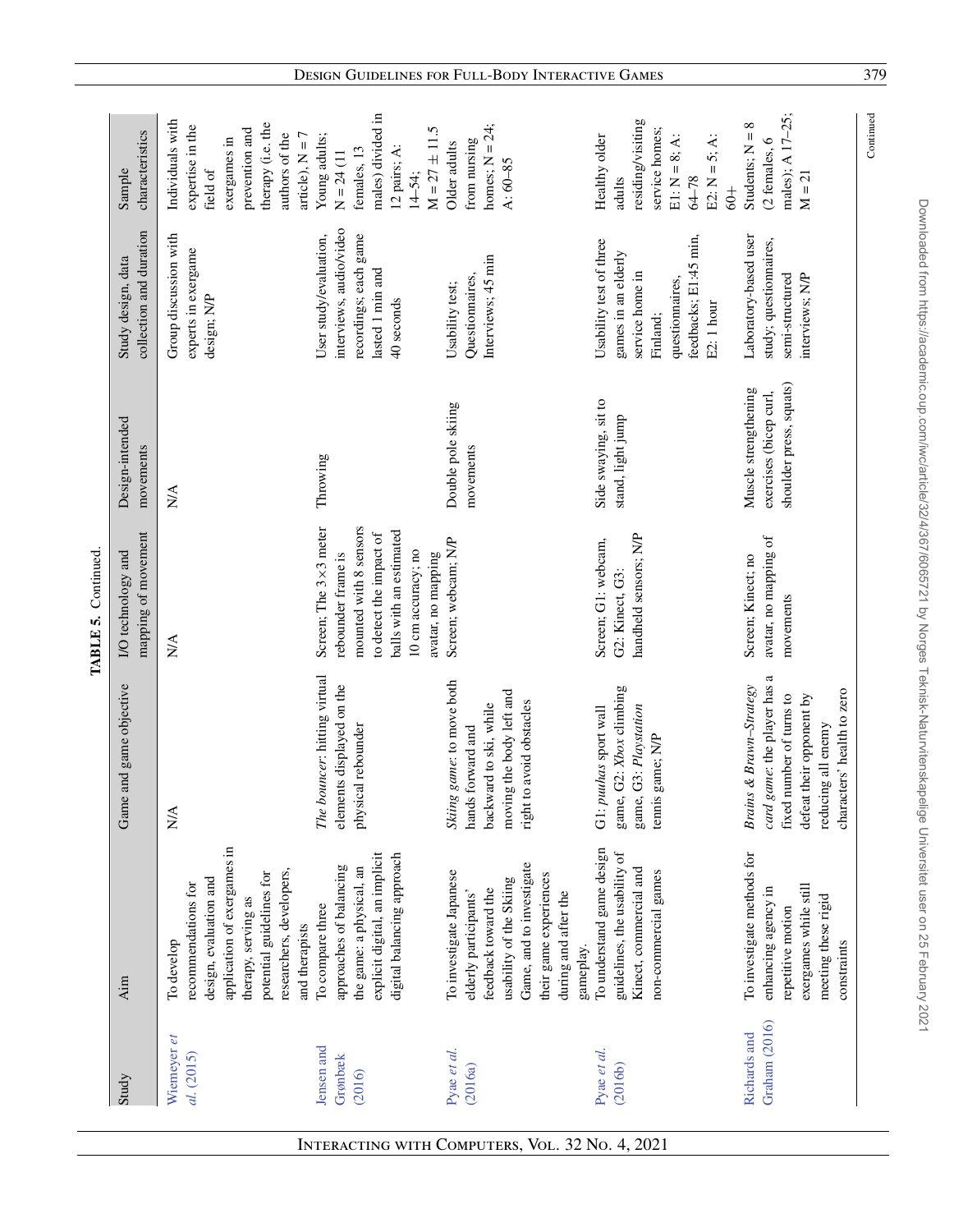| application of exergames in<br>To understand game design<br>explicit digital, an implicit<br>digital balancing approach<br>Game, and to investigate<br>approaches of balancing<br>the game: a physical, an<br>researchers, developers,<br>To investigate Japanese<br>potential guidelines for<br>their game experiences<br>design, evaluation and<br>usability of the Skiing<br>recommendations for<br>feedback toward the<br>during and after the<br>elderly participants'<br>therapy, serving as<br>To compare three<br>and therapists<br>To develop<br>gameplay.<br>Aim<br>Wieneyer et<br>Jensen and<br>Pyae et al.<br>Pyae et al.<br>al. (2015)<br>Grønbæk<br>(2016a)<br>(2016)<br>Study | Game and game objective<br>N/A                                                                                                                                     | I/O technology and                                                                                                                                                      | Design-intended<br>movements                                              | collection and duration<br>Study design, data                                                                                           | Sample                                                                                                                                         |
|----------------------------------------------------------------------------------------------------------------------------------------------------------------------------------------------------------------------------------------------------------------------------------------------------------------------------------------------------------------------------------------------------------------------------------------------------------------------------------------------------------------------------------------------------------------------------------------------------------------------------------------------------------------------------------------------|--------------------------------------------------------------------------------------------------------------------------------------------------------------------|-------------------------------------------------------------------------------------------------------------------------------------------------------------------------|---------------------------------------------------------------------------|-----------------------------------------------------------------------------------------------------------------------------------------|------------------------------------------------------------------------------------------------------------------------------------------------|
|                                                                                                                                                                                                                                                                                                                                                                                                                                                                                                                                                                                                                                                                                              |                                                                                                                                                                    | mapping of movement                                                                                                                                                     |                                                                           |                                                                                                                                         | characteristics                                                                                                                                |
|                                                                                                                                                                                                                                                                                                                                                                                                                                                                                                                                                                                                                                                                                              |                                                                                                                                                                    | $\stackrel{\triangle}{\approx}$                                                                                                                                         | $\stackrel{\triangle}{\geq}$                                              | Group discussion with<br>experts in exergame<br>design; N/P                                                                             | Individuals with<br>therapy (i.e. the<br>expertise in the<br>prevention and<br>authors of the<br>article), $N = 7$<br>exergames in<br>field of |
|                                                                                                                                                                                                                                                                                                                                                                                                                                                                                                                                                                                                                                                                                              | The bouncer: hitting virtual<br>elements displayed on the<br>physical rebounder                                                                                    | Screen; The 3×3 meter<br>mounted with 8 sensors<br>balls with an estimated<br>to detect the impact of<br>10 cm accuracy; no<br>avatar, no mapping<br>rebounder frame is | Throwing                                                                  | interviews, audio/video<br>recordings; each game<br>User study/evaluation,<br>lasted 1 min and<br>40 seconds                            | males) divided in<br>$M = 27 \pm 11.5$<br>Young adults;<br>12 pairs; A:<br>females, 13<br>$N = 24(11)$<br>14-54;                               |
|                                                                                                                                                                                                                                                                                                                                                                                                                                                                                                                                                                                                                                                                                              | Skiing game: to move both<br>moving the body left and<br>right to avoid obstacles<br>backward to ski, while<br>hands forward and                                   | Screen; webcam; N/P                                                                                                                                                     | Double pole skiing<br>movements                                           | Interviews; 45 min<br>Questionnaires,<br>Usability test;                                                                                | homes; $N = 24$ ;<br>from nursing<br>Older adults<br>$A:60 - 85$                                                                               |
| guidelines, the usability of<br>Kinect, commercial and<br>non-commercial games<br>(2016b)                                                                                                                                                                                                                                                                                                                                                                                                                                                                                                                                                                                                    | game, G2: Xbox climbing<br>game, G3: Playstation<br>G1: puuhas sport wall<br>tennis game; N/P                                                                      | handheld sensors; N/P<br>Screen; G1: webcam,<br>G2: Kinect, G3:                                                                                                         | Side swaying, sit to<br>stand, light jump                                 | feedbacks; E1:45 min,<br>Usability test of three<br>games in an elderly<br>service home in<br>questionnaires,<br>E2: 1 hour<br>Finland; | residing/visiting<br>service homes;<br>Healthy older<br>$E1: N = 8; A:$<br>E2: $N = 5$ ; A:<br>$64 - 78$<br>adults<br>$rac{+}{60}$             |
| To investigate methods for<br>exergames while still<br>enhancing agency in<br>meeting these rigid<br>repetitive motion<br>constraints<br>Graham (2016)<br>Richards and                                                                                                                                                                                                                                                                                                                                                                                                                                                                                                                       | card game: the player has a<br>Brains & Brawn-Strategy<br>characters' health to zero<br>fixed number of turns to<br>defeat their opponent by<br>reducing all enemy | avatar, no mapping of<br>Screen; Kinect; no<br>movements                                                                                                                | shoulder press, squats)<br>Muscle strengthening<br>exercises (bicep curl, | Laboratory-based user<br>study; questionnaires,<br>semi-structured<br>interviews; N/P                                                   | males); A 17-25;<br>Students; $N = 8$<br>(2 females, 6<br>$M = 21$                                                                             |

Downloaded from https://academic.oup.conn/iwc/article/32/4/367/6065721 by Norges Teknisk-Naturvitenskapelige Universitet user on 25 February 2021 Downloaded from https://academic.oup.com/iwc/article/32/4/367/6065721 by Norges Teknisk-Naturvitenskapelige Universitet user on 25 February 2021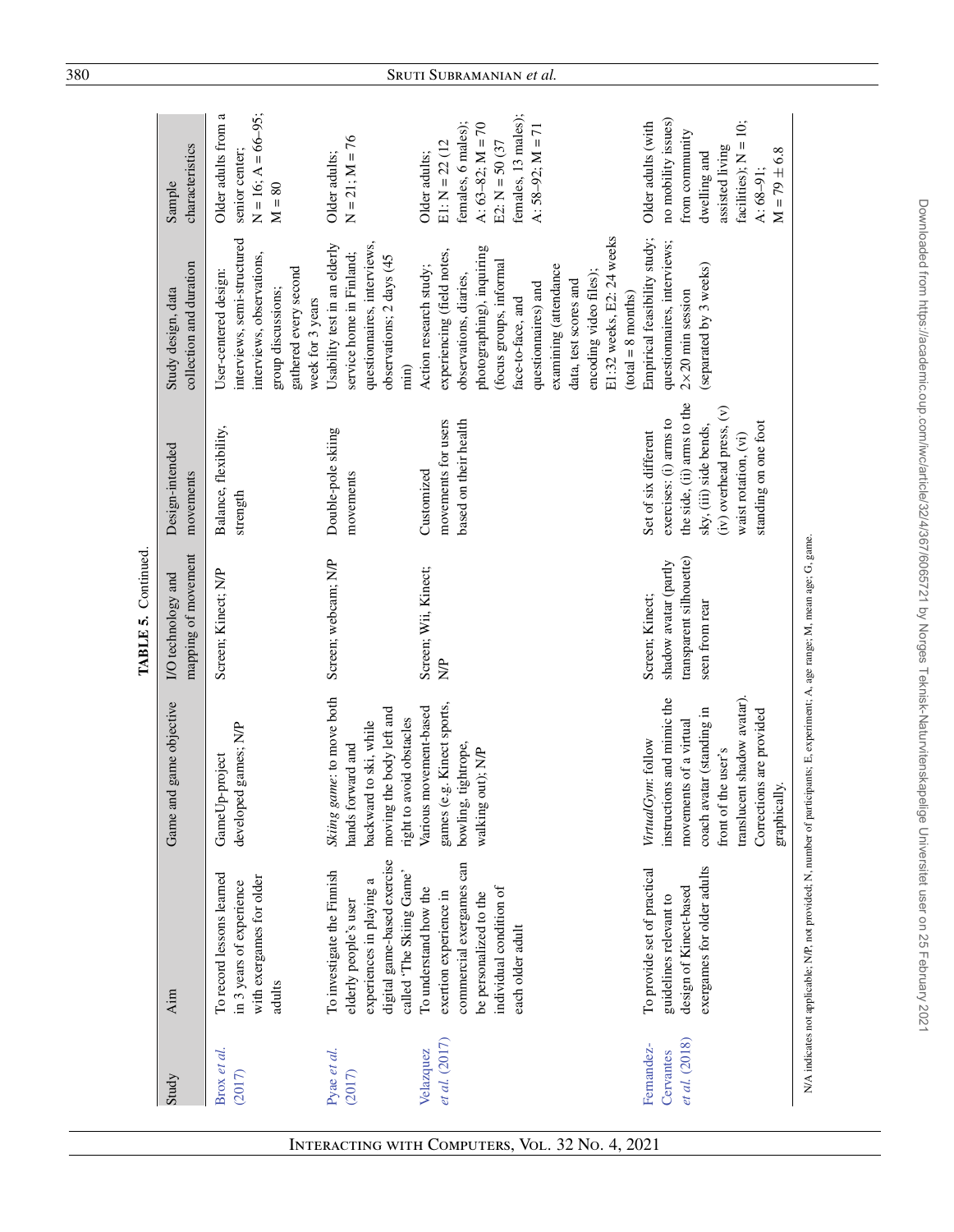| Brox et al.<br>Study                     |                                                                                                                                                      |                                                                                                                                                                                                           |                                                                                       |                                                                                                                                                                                    |                                                                                                                                                                                                                                                                                                                    |                                                                                                                                                             |
|------------------------------------------|------------------------------------------------------------------------------------------------------------------------------------------------------|-----------------------------------------------------------------------------------------------------------------------------------------------------------------------------------------------------------|---------------------------------------------------------------------------------------|------------------------------------------------------------------------------------------------------------------------------------------------------------------------------------|--------------------------------------------------------------------------------------------------------------------------------------------------------------------------------------------------------------------------------------------------------------------------------------------------------------------|-------------------------------------------------------------------------------------------------------------------------------------------------------------|
|                                          | Aim                                                                                                                                                  | Game and game objective                                                                                                                                                                                   | mapping of movement<br>I/O technology and                                             | Design-intended<br>movements                                                                                                                                                       | collection and duration<br>Study design, data                                                                                                                                                                                                                                                                      | characteristics<br>Sample                                                                                                                                   |
| (2017)                                   | To record lessons learned<br>with exergames for older<br>in 3 years of experience<br>adults                                                          | developed games; N/P<br>GameUp-project                                                                                                                                                                    | Screen; Kinect; N/P                                                                   | Balance, flexibility,<br>strength                                                                                                                                                  | interviews, semi-structured<br>interviews, observations,<br>gathered every second<br>User-centered design:<br>group discussions;<br>week for 3 years                                                                                                                                                               | $N = 16$ ; $A = 66-95$ ;<br>Older adults from a<br>senior center;<br>$M = 80$                                                                               |
| Pyae et al.<br>(2017)                    | digital game-based exercise<br>To investigate the Finnish<br>called 'The Skiing Game'<br>ß<br>experiences in playing<br>elderly people's user        | Skiing game: to move both<br>moving the body left and<br>avoid obstacles<br>backward to ski, while<br>hands forward and<br>right to                                                                       | Screen; webcam; N/P                                                                   | Double-pole skiing<br>movements                                                                                                                                                    | questionnaires, interviews,<br>Usability test in an elderly<br>service home in Finland;<br>observations; 2 days (45<br>min)                                                                                                                                                                                        | $N = 21$ ; $M = 76$<br>Older adults;                                                                                                                        |
| et al. (2017)<br>Velazquez               | commercial exergames can<br>individual condition of<br>To understand how the<br>exertion experience in<br>be personalized to the<br>each older adult | e.g. Kinect sports,<br>Various movement-based<br>bowling, tightrope,<br>walking out); N/P<br>games (                                                                                                      | Screen; Wii, Kinect;<br>$\frac{P}{Q}$                                                 | movements for users<br>based on their health<br>Customized                                                                                                                         | E1:32 weeks, E2:24 weeks<br>photographing), inquiring<br>experiencing (field notes,<br>(focus groups, informal<br>examining (attendance<br>Action research study;<br>encoding video files);<br>observations, diaries,<br>data, test scores and<br>questionnaires) and<br>$(total = 8 months)$<br>face-to-face, and | females, 13 males);<br>females, 6 males);<br>A: $63-82$ ; M = 70<br>A: $58-92$ ; M = 71<br>$E1: N = 22$ (12<br>$E2: N = 50(37)$<br>Older adults;            |
| et al. (2018)<br>Fernandez-<br>Cervantes | exergames for older adults<br>To provide set of practical<br>design of Kinect-based<br>guidelines relevant to                                        | translucent shadow avatar).<br>instructions and mimic the<br>coach avatar (standing in<br>Corrections are provided<br>movements of a virtual<br>VirtualGym: follow<br>front of the user's<br>graphically. | transparent silhouette)<br>shadow avatar (partly<br>Screen; Kinect;<br>seen from rear | the side, (ii) arms to the<br>(iv) overhead press, (v)<br>exercises: (i) arms to<br>standing on one foot<br>sky, (iii) side bends,<br>Set of six different<br>waist rotation, (vi) | Empirical feasibility study;<br>questionnaires, interviews;<br>(separated by 3 weeks)<br>$2\times 20$ min session                                                                                                                                                                                                  | no mobility issues)<br>facilities); $N = 10$ ;<br>Older adults (with<br>from community<br>assisted living<br>$M = 79 \pm 6.8$<br>dwelling and<br>$A: 68-91$ |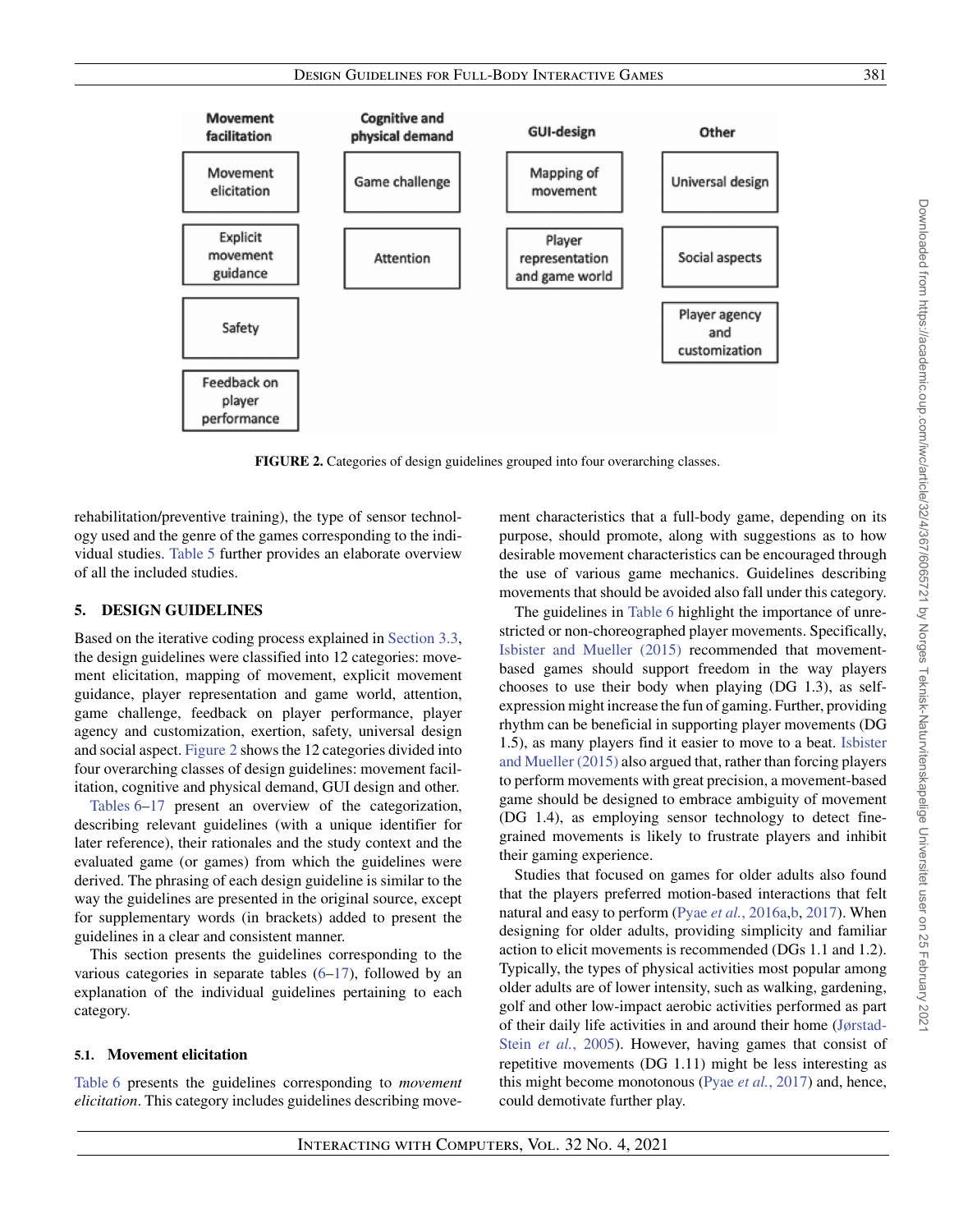



**FIGURE 2.** Categories of design guidelines grouped into four overarching classes.

<span id="page-14-1"></span>rehabilitation/preventive training), the type of sensor technology used and the genre of the games corresponding to the individual studies. [Table 5](#page-7-0) further provides an elaborate overview of all the included studies.

# <span id="page-14-0"></span>**5. DESIGN GUIDELINES**

Based on the iterative coding process explained in [Section 3.3,](#page-4-2) the design guidelines were classified into 12 categories: movement elicitation, mapping of movement, explicit movement guidance, player representation and game world, attention, game challenge, feedback on player performance, player agency and customization, exertion, safety, universal design and social aspect. [Figure 2](#page-14-1) shows the 12 categories divided into four overarching classes of design guidelines: movement facilitation, cognitive and physical demand, GUI design and other.

[Tables 6](#page-15-0)[–17](#page-31-0) present an overview of the categorization, describing relevant guidelines (with a unique identifier for later reference), their rationales and the study context and the evaluated game (or games) from which the guidelines were derived. The phrasing of each design guideline is similar to the way the guidelines are presented in the original source, except for supplementary words (in brackets) added to present the guidelines in a clear and consistent manner.

This section presents the guidelines corresponding to the various categories in separate tables  $(6-17)$  $(6-17)$ , followed by an explanation of the individual guidelines pertaining to each category.

## **5.1. Movement elicitation**

[Table 6](#page-15-0) presents the guidelines corresponding to *movement elicitation*. This category includes guidelines describing movement characteristics that a full-body game, depending on its purpose, should promote, along with suggestions as to how desirable movement characteristics can be encouraged through the use of various game mechanics. Guidelines describing movements that should be avoided also fall under this category.

The guidelines in [Table 6](#page-15-0) highlight the importance of unrestricted or non-choreographed player movements. Specifically, [Isbister and Mueller \(2015\)](#page-37-16) recommended that movementbased games should support freedom in the way players chooses to use their body when playing (DG 1.3), as selfexpression might increase the fun of gaming. Further, providing rhythm can be beneficial in supporting player movements (DG [1.5\), as many players find it easier to move to a beat.](#page-37-16) Isbister and Mueller (2015) also argued that, rather than forcing players to perform movements with great precision, a movement-based game should be designed to embrace ambiguity of movement (DG 1.4), as employing sensor technology to detect finegrained movements is likely to frustrate players and inhibit their gaming experience.

Studies that focused on games for older adults also found that the players preferred motion-based interactions that felt natural and easy to perform (Pyae *et al.*[, 2016a,](#page-38-20)[b,](#page-38-21) [2017\)](#page-38-22). When designing for older adults, providing simplicity and familiar action to elicit movements is recommended (DGs 1.1 and 1.2). Typically, the types of physical activities most popular among older adults are of lower intensity, such as walking, gardening, golf and other low-impact aerobic activities performed as part [of their daily life activities in and around their home \(Jørstad-](#page-37-22)Stein *et al.*, 2005). However, having games that consist of repetitive movements (DG 1.11) might be less interesting as this might become monotonous (Pyae *et al.*[, 2017\)](#page-38-22) and, hence, could demotivate further play.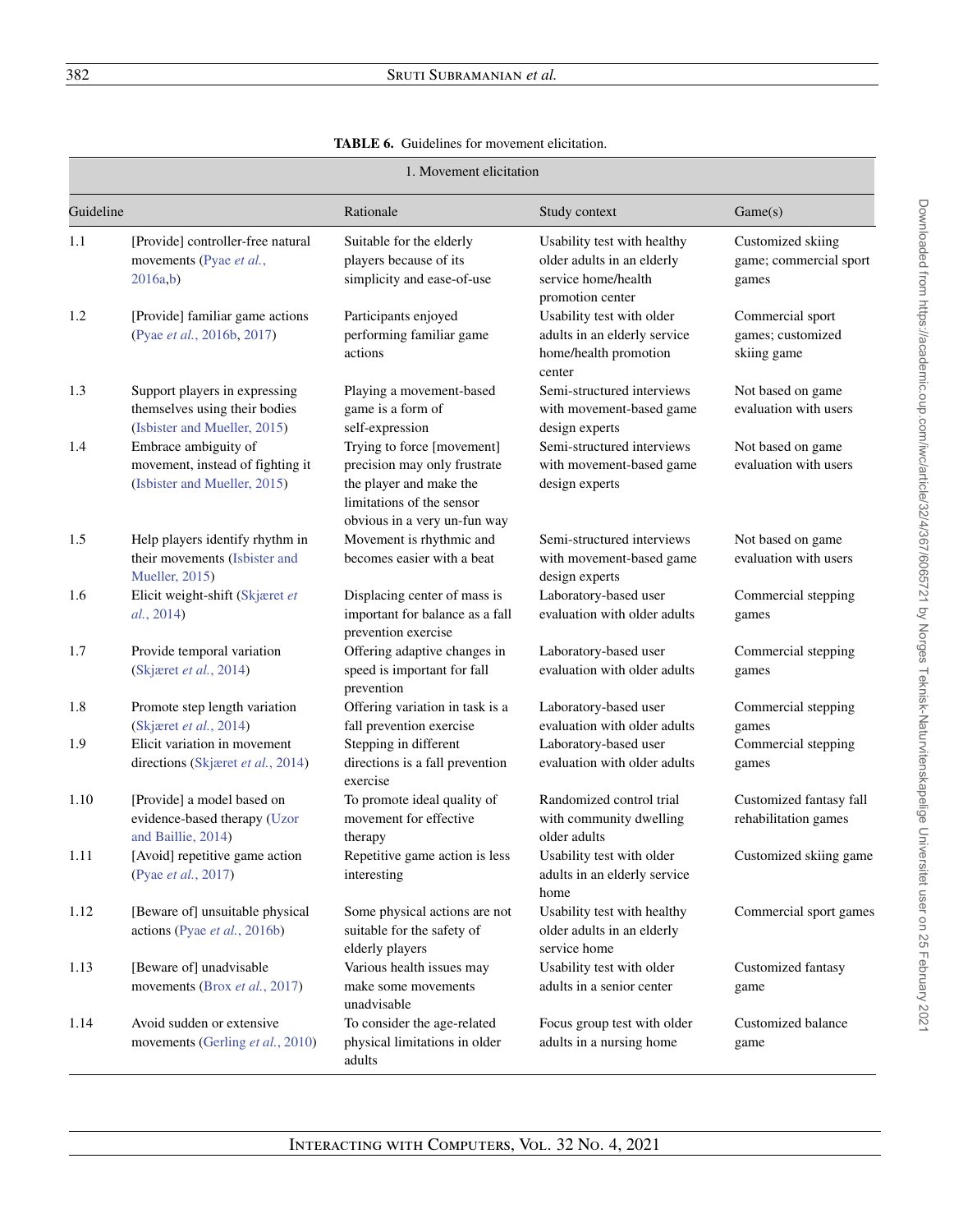# **TABLE 6.** Guidelines for movement elicitation.

<span id="page-15-0"></span>

|           | 1. Movement elicitation                                                                        |                                                                                                                                                    |                                                                                                      |                                                      |  |
|-----------|------------------------------------------------------------------------------------------------|----------------------------------------------------------------------------------------------------------------------------------------------------|------------------------------------------------------------------------------------------------------|------------------------------------------------------|--|
| Guideline |                                                                                                | Rationale                                                                                                                                          | Study context                                                                                        | Game(s)                                              |  |
| 1.1       | [Provide] controller-free natural<br>movements (Pyae et al.,<br>2016a,b)                       | Suitable for the elderly<br>players because of its<br>simplicity and ease-of-use                                                                   | Usability test with healthy<br>older adults in an elderly<br>service home/health<br>promotion center | Customized skiing<br>game; commercial sport<br>games |  |
| 1.2       | [Provide] familiar game actions<br>(Pyae et al., 2016b, 2017)                                  | Participants enjoyed<br>performing familiar game<br>actions                                                                                        | Usability test with older<br>adults in an elderly service<br>home/health promotion<br>center         | Commercial sport<br>games; customized<br>skiing game |  |
| 1.3       | Support players in expressing<br>themselves using their bodies<br>(Isbister and Mueller, 2015) | Playing a movement-based<br>game is a form of<br>self-expression                                                                                   | Semi-structured interviews<br>with movement-based game<br>design experts                             | Not based on game<br>evaluation with users           |  |
| 1.4       | Embrace ambiguity of<br>movement, instead of fighting it<br>(Isbister and Mueller, 2015)       | Trying to force [movement]<br>precision may only frustrate<br>the player and make the<br>limitations of the sensor<br>obvious in a very un-fun way | Semi-structured interviews<br>with movement-based game<br>design experts                             | Not based on game<br>evaluation with users           |  |
| 1.5       | Help players identify rhythm in<br>their movements (Isbister and<br><b>Mueller</b> , 2015)     | Movement is rhythmic and<br>becomes easier with a beat                                                                                             | Semi-structured interviews<br>with movement-based game<br>design experts                             | Not based on game<br>evaluation with users           |  |
| 1.6       | Elicit weight-shift (Skjæret et<br>al., 2014)                                                  | Displacing center of mass is<br>important for balance as a fall<br>prevention exercise                                                             | Laboratory-based user<br>evaluation with older adults                                                | Commercial stepping<br>games                         |  |
| 1.7       | Provide temporal variation<br>(Skjæret et al., 2014)                                           | Offering adaptive changes in<br>speed is important for fall<br>prevention                                                                          | Laboratory-based user<br>evaluation with older adults                                                | Commercial stepping<br>games                         |  |
| 1.8       | Promote step length variation<br>(Skjæret et al., 2014)                                        | Offering variation in task is a<br>fall prevention exercise                                                                                        | Laboratory-based user<br>evaluation with older adults                                                | Commercial stepping<br>games                         |  |
| 1.9       | Elicit variation in movement<br>directions (Skjæret et al., 2014)                              | Stepping in different<br>directions is a fall prevention<br>exercise                                                                               | Laboratory-based user<br>evaluation with older adults                                                | Commercial stepping<br>games                         |  |
| 1.10      | [Provide] a model based on<br>evidence-based therapy (Uzor<br>and Baillie, 2014)               | To promote ideal quality of<br>movement for effective<br>therapy                                                                                   | Randomized control trial<br>with community dwelling<br>older adults                                  | Customized fantasy fall<br>rehabilitation games      |  |
| 1.11      | [Avoid] repetitive game action<br>(Pyae et al., 2017)                                          | Repetitive game action is less<br>interesting                                                                                                      | Usability test with older<br>adults in an elderly service<br>home                                    | Customized skiing game                               |  |
| 1.12      | [Beware of] unsuitable physical<br>actions (Pyae et al., 2016b)                                | Some physical actions are not<br>suitable for the safety of<br>elderly players                                                                     | Usability test with healthy<br>older adults in an elderly<br>service home                            | Commercial sport games                               |  |
| 1.13      | [Beware of] unadvisable<br>movements (Brox et al., 2017)                                       | Various health issues may<br>make some movements<br>unadvisable                                                                                    | Usability test with older<br>adults in a senior center                                               | Customized fantasy<br>game                           |  |
| 1.14      | Avoid sudden or extensive<br>movements (Gerling et al., 2010)                                  | To consider the age-related<br>physical limitations in older<br>adults                                                                             | Focus group test with older<br>adults in a nursing home                                              | Customized balance<br>game                           |  |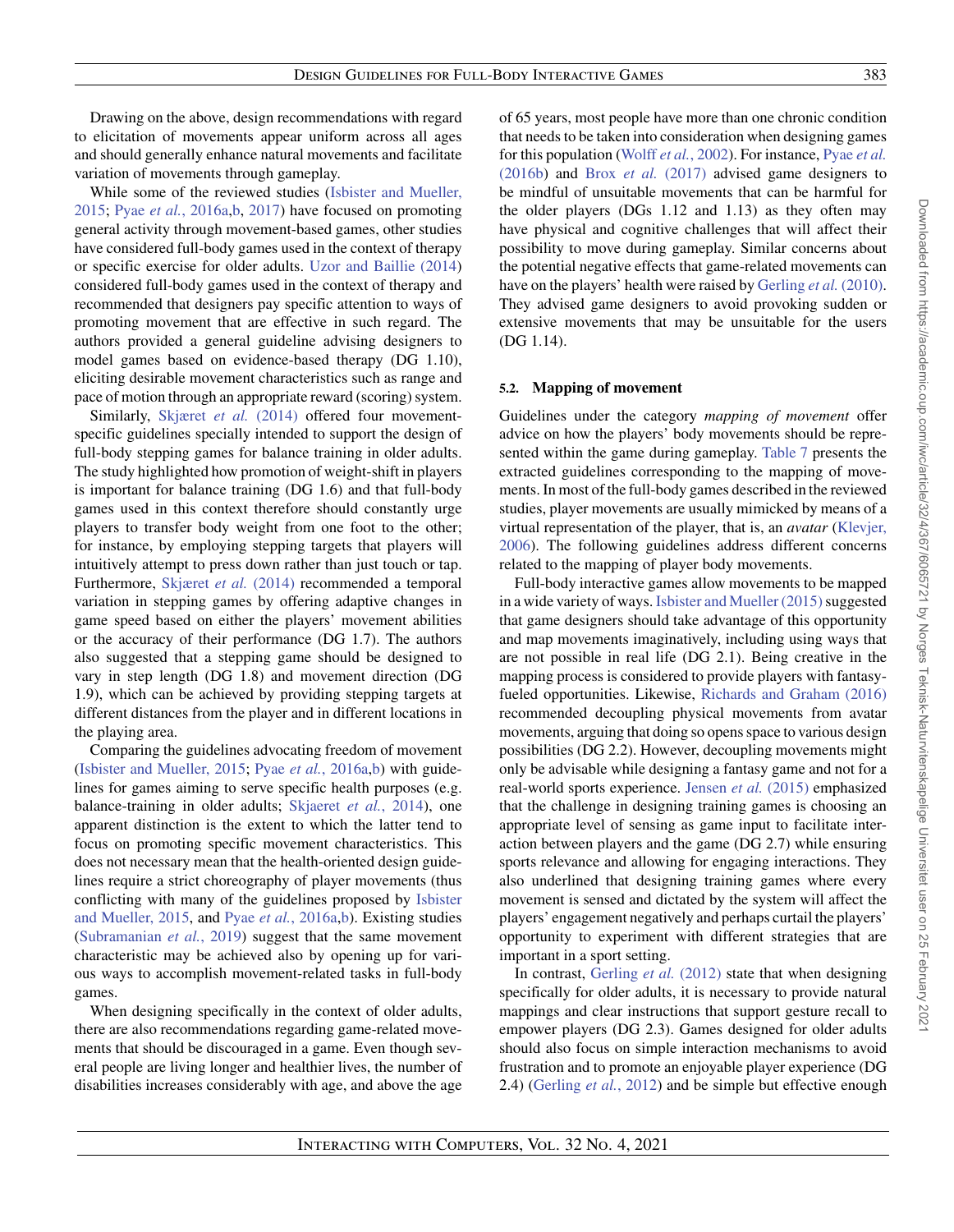Drawing on the above, design recommendations with regard to elicitation of movements appear uniform across all ages and should generally enhance natural movements and facilitate variation of movements through gameplay.

[While some of the reviewed studies \(Isbister and Mueller,](#page-37-16) 2015; Pyae *et al.*[, 2016a,](#page-38-20)[b,](#page-38-21) [2017\)](#page-38-22) have focused on promoting general activity through movement-based games, other studies have considered full-body games used in the context of therapy or specific exercise for older adults. [Uzor and Baillie \(2014\)](#page-38-25) considered full-body games used in the context of therapy and recommended that designers pay specific attention to ways of promoting movement that are effective in such regard. The authors provided a general guideline advising designers to model games based on evidence-based therapy (DG 1.10), eliciting desirable movement characteristics such as range and pace of motion through an appropriate reward (scoring) system.

Similarly, [Skjæret](#page-38-18) *et al.* (2014) offered four movementspecific guidelines specially intended to support the design of full-body stepping games for balance training in older adults. The study highlighted how promotion of weight-shift in players is important for balance training (DG 1.6) and that full-body games used in this context therefore should constantly urge players to transfer body weight from one foot to the other; for instance, by employing stepping targets that players will intuitively attempt to press down rather than just touch or tap. Furthermore, [Skjæret](#page-38-18) *et al.* (2014) recommended a temporal variation in stepping games by offering adaptive changes in game speed based on either the players' movement abilities or the accuracy of their performance (DG 1.7). The authors also suggested that a stepping game should be designed to vary in step length (DG 1.8) and movement direction (DG 1.9), which can be achieved by providing stepping targets at different distances from the player and in different locations in the playing area.

Comparing the guidelines advocating freedom of movement [\(Isbister and Mueller, 2015;](#page-37-16) Pyae *et al.*[, 2016a,](#page-38-20)[b\)](#page-38-21) with guidelines for games aiming to serve specific health purposes (e.g. balance-training in older adults; [Skjaeret](#page-38-18) *et al.*, 2014), one apparent distinction is the extent to which the latter tend to focus on promoting specific movement characteristics. This does not necessary mean that the health-oriented design guidelines require a strict choreography of player movements (thus [conflicting with many of the guidelines proposed by](#page-37-16) Isbister and Mueller, 2015, and Pyae *et al.*[, 2016a,](#page-38-20)[b\)](#page-38-21). Existing studies [\(Subramanian](#page-38-29) *et al.*, 2019) suggest that the same movement characteristic may be achieved also by opening up for various ways to accomplish movement-related tasks in full-body games.

When designing specifically in the context of older adults, there are also recommendations regarding game-related movements that should be discouraged in a game. Even though several people are living longer and healthier lives, the number of disabilities increases considerably with age, and above the age of 65 years, most people have more than one chronic condition that needs to be taken into consideration when designing games for this population (Wolff *et al.*[, 2002\)](#page-39-2). For instance, Pyae *et al.* (2016b) and Brox *et al.* [\(2017\)](#page-36-13) [advised game designers to](#page-38-21) be mindful of unsuitable movements that can be harmful for the older players (DGs 1.12 and 1.13) as they often may have physical and cognitive challenges that will affect their possibility to move during gameplay. Similar concerns about the potential negative effects that game-related movements can have on the players' health were raised by [Gerling](#page-37-17) *et al.* (2010). They advised game designers to avoid provoking sudden or extensive movements that may be unsuitable for the users (DG 1.14).

#### **5.2. Mapping of movement**

Guidelines under the category *mapping of movement* offer advice on how the players' body movements should be represented within the game during gameplay. [Table 7](#page-17-0) presents the extracted guidelines corresponding to the mapping of movements. In most of the full-body games described in the reviewed studies, player movements are usually mimicked by means of a virtual representation of the player, that is, an *avatar* (Klevjer, [2006\). The following guidelines address different concerns](#page-37-23) related to the mapping of player body movements.

Full-body interactive games allow movements to be mapped in a wide variety of ways. Is bister and Mueller  $(2015)$  suggested that game designers should take advantage of this opportunity and map movements imaginatively, including using ways that are not possible in real life (DG 2.1). Being creative in the mapping process is considered to provide players with fantasyfueled opportunities. Likewise, [Richards and Graham \(2016\)](#page-38-19) recommended decoupling physical movements from avatar movements, arguing that doing so opens space to various design possibilities (DG 2.2). However, decoupling movements might only be advisable while designing a fantasy game and not for a real-world sports experience. Jensen *et al.* [\(2015\)](#page-37-19) emphasized that the challenge in designing training games is choosing an appropriate level of sensing as game input to facilitate interaction between players and the game (DG 2.7) while ensuring sports relevance and allowing for engaging interactions. They also underlined that designing training games where every movement is sensed and dictated by the system will affect the players' engagement negatively and perhaps curtail the players' opportunity to experiment with different strategies that are important in a sport setting.

In contrast, [Gerling](#page-37-12) *et al.* (2012) state that when designing specifically for older adults, it is necessary to provide natural mappings and clear instructions that support gesture recall to empower players (DG 2.3). Games designed for older adults should also focus on simple interaction mechanisms to avoid frustration and to promote an enjoyable player experience (DG 2.4) [\(Gerling](#page-37-12) *et al.*, 2012) and be simple but effective enough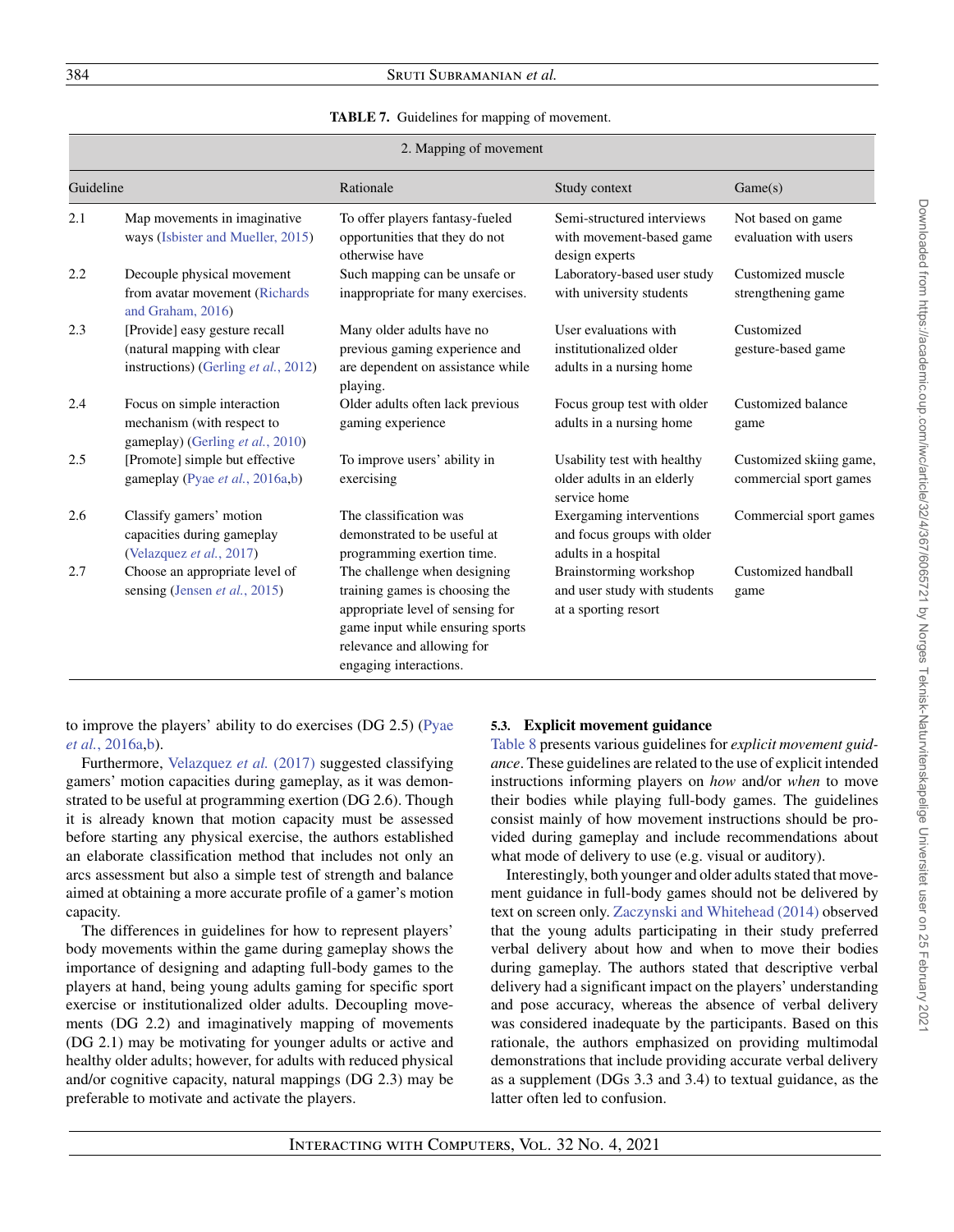# <span id="page-17-0"></span>384 Sruti Subramanian *et al.*

#### **TABLE 7.** Guidelines for mapping of movement.

|           | 2. Mapping of movement                                                                               |                                                                                                                                                                                                |                                                                                 |                                                   |  |
|-----------|------------------------------------------------------------------------------------------------------|------------------------------------------------------------------------------------------------------------------------------------------------------------------------------------------------|---------------------------------------------------------------------------------|---------------------------------------------------|--|
| Guideline |                                                                                                      | Rationale                                                                                                                                                                                      | Study context                                                                   | Game(s)                                           |  |
| 2.1       | Map movements in imaginative<br>ways (Isbister and Mueller, 2015)                                    | To offer players fantasy-fueled<br>opportunities that they do not<br>otherwise have                                                                                                            | Semi-structured interviews<br>with movement-based game<br>design experts        | Not based on game<br>evaluation with users        |  |
| 2.2       | Decouple physical movement<br>from avatar movement (Richards<br>and Graham, 2016)                    | Such mapping can be unsafe or<br>inappropriate for many exercises.                                                                                                                             | Laboratory-based user study<br>with university students                         | Customized muscle<br>strengthening game           |  |
| 2.3       | [Provide] easy gesture recall<br>(natural mapping with clear<br>instructions) (Gerling et al., 2012) | Many older adults have no<br>previous gaming experience and<br>are dependent on assistance while<br>playing.                                                                                   | User evaluations with<br>institutionalized older<br>adults in a nursing home    | Customized<br>gesture-based game                  |  |
| 2.4       | Focus on simple interaction<br>mechanism (with respect to<br>gameplay) (Gerling et al., 2010)        | Older adults often lack previous<br>gaming experience                                                                                                                                          | Focus group test with older<br>adults in a nursing home                         | Customized balance<br>game                        |  |
| 2.5       | [Promote] simple but effective<br>gameplay (Pyae et al., 2016a,b)                                    | To improve users' ability in<br>exercising                                                                                                                                                     | Usability test with healthy<br>older adults in an elderly<br>service home       | Customized skiing game,<br>commercial sport games |  |
| 2.6       | Classify gamers' motion<br>capacities during gameplay<br>(Velazquez et al., 2017)                    | The classification was<br>demonstrated to be useful at<br>programming exertion time.                                                                                                           | Exergaming interventions<br>and focus groups with older<br>adults in a hospital | Commercial sport games                            |  |
| 2.7       | Choose an appropriate level of<br>sensing (Jensen et al., 2015)                                      | The challenge when designing<br>training games is choosing the<br>appropriate level of sensing for<br>game input while ensuring sports<br>relevance and allowing for<br>engaging interactions. | Brainstorming workshop<br>and user study with students<br>at a sporting resort  | Customized handball<br>game                       |  |

[to improve the players' ability to do exercises \(DG 2.5\) \(Pyae](#page-38-20) *et al.*, 2016a[,b\)](#page-38-21).

Furthermore, [Velazquez](#page-38-24) *et al.* (2017) suggested classifying gamers' motion capacities during gameplay, as it was demonstrated to be useful at programming exertion (DG 2.6). Though it is already known that motion capacity must be assessed before starting any physical exercise, the authors established an elaborate classification method that includes not only an arcs assessment but also a simple test of strength and balance aimed at obtaining a more accurate profile of a gamer's motion capacity.

The differences in guidelines for how to represent players' body movements within the game during gameplay shows the importance of designing and adapting full-body games to the players at hand, being young adults gaming for specific sport exercise or institutionalized older adults. Decoupling movements (DG 2.2) and imaginatively mapping of movements (DG 2.1) may be motivating for younger adults or active and healthy older adults; however, for adults with reduced physical and/or cognitive capacity, natural mappings (DG 2.3) may be preferable to motivate and activate the players.

#### **5.3. Explicit movement guidance**

[Table 8](#page-18-0) presents various guidelines for *explicit movement guidance*. These guidelines are related to the use of explicit intended instructions informing players on *how* and/or *when* to move their bodies while playing full-body games. The guidelines consist mainly of how movement instructions should be provided during gameplay and include recommendations about what mode of delivery to use (e.g. visual or auditory).

Interestingly, both younger and older adults stated that movement guidance in full-body games should not be delivered by text on screen only. [Zaczynski and Whitehead \(2014\)](#page-39-1) observed that the young adults participating in their study preferred verbal delivery about how and when to move their bodies during gameplay. The authors stated that descriptive verbal delivery had a significant impact on the players' understanding and pose accuracy, whereas the absence of verbal delivery was considered inadequate by the participants. Based on this rationale, the authors emphasized on providing multimodal demonstrations that include providing accurate verbal delivery as a supplement (DGs 3.3 and 3.4) to textual guidance, as the latter often led to confusion.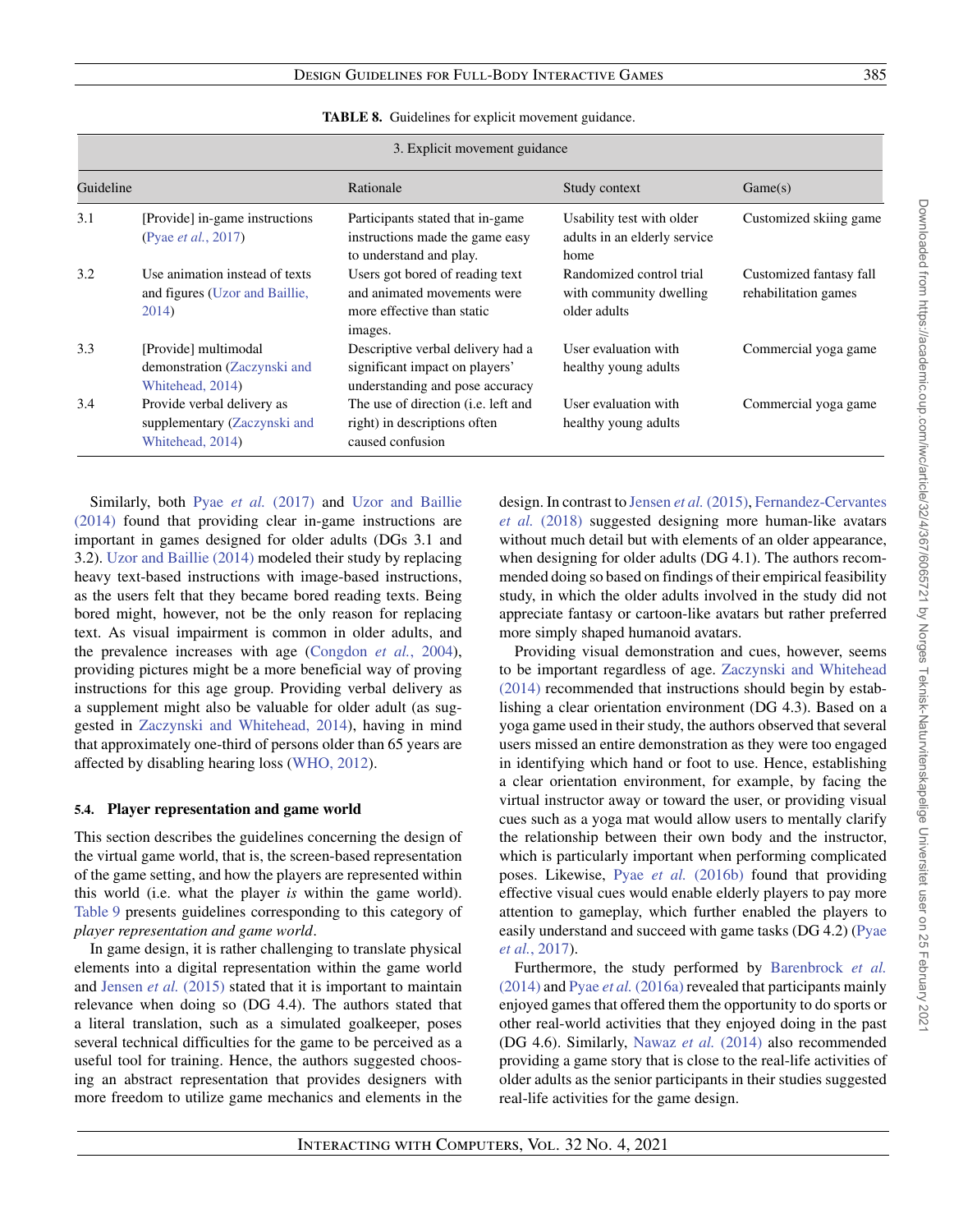<span id="page-18-0"></span>

|           | 3. Explicit movement guidance                                                  |                                                                                                         |                                                                     |                                                 |  |
|-----------|--------------------------------------------------------------------------------|---------------------------------------------------------------------------------------------------------|---------------------------------------------------------------------|-------------------------------------------------|--|
| Guideline |                                                                                | Rationale                                                                                               | Study context                                                       | Game(s)                                         |  |
| 3.1       | [Provide] in-game instructions<br>(Pyae <i>et al.</i> , 2017)                  | Participants stated that in-game<br>instructions made the game easy<br>to understand and play.          | Usability test with older<br>adults in an elderly service<br>home   | Customized skiing game                          |  |
| 3.2       | Use animation instead of texts<br>and figures (Uzor and Baillie,<br>2014)      | Users got bored of reading text<br>and animated movements were<br>more effective than static<br>images. | Randomized control trial<br>with community dwelling<br>older adults | Customized fantasy fall<br>rehabilitation games |  |
| 3.3       | [Provide] multimodal<br>demonstration (Zaczynski and<br>Whitehead, 2014)       | Descriptive verbal delivery had a<br>significant impact on players'<br>understanding and pose accuracy  | User evaluation with<br>healthy young adults                        | Commercial yoga game                            |  |
| 3.4       | Provide verbal delivery as<br>supplementary (Zaczynski and<br>Whitehead, 2014) | The use of direction (i.e. left and<br>right) in descriptions often<br>caused confusion                 | User evaluation with<br>healthy young adults                        | Commercial yoga game                            |  |

**TABLE 8.** Guidelines for explicit movement guidance.

Similarly, both Pyae *et al.* [\(2017\)](#page-38-22) and Uzor and Baillie (2014) [found that providing clear in-game instructions are](#page-38-25) important in games designed for older adults (DGs 3.1 and 3.2). [Uzor and Baillie \(2014\)](#page-38-25) modeled their study by replacing heavy text-based instructions with image-based instructions, as the users felt that they became bored reading texts. Being bored might, however, not be the only reason for replacing text. As visual impairment is common in older adults, and the prevalence increases with age [\(Congdon](#page-36-16) *et al.*, 2004), providing pictures might be a more beneficial way of proving instructions for this age group. Providing verbal delivery as a supplement might also be valuable for older adult (as suggested in [Zaczynski and Whitehead, 2014\)](#page-39-1), having in mind that approximately one-third of persons older than 65 years are affected by disabling hearing loss [\(WHO, 2012\)](#page-39-3).

#### **5.4. Player representation and game world**

This section describes the guidelines concerning the design of the virtual game world, that is, the screen-based representation of the game setting, and how the players are represented within this world (i.e. what the player *is* within the game world). [Table 9](#page-19-0) presents guidelines corresponding to this category of *player representation and game world*.

In game design, it is rather challenging to translate physical elements into a digital representation within the game world and Jensen *et al.* [\(2015\)](#page-37-19) stated that it is important to maintain relevance when doing so (DG 4.4). The authors stated that a literal translation, such as a simulated goalkeeper, poses several technical difficulties for the game to be perceived as a useful tool for training. Hence, the authors suggested choosing an abstract representation that provides designers with more freedom to utilize game mechanics and elements in the design. In contrast to Jensen *et al.* [\(2015\),](#page-37-19) Fernandez-Cervantes *et al.* (2018) [suggested designing more human-like avatars](#page-37-21) without much detail but with elements of an older appearance, when designing for older adults (DG 4.1). The authors recommended doing so based on findings of their empirical feasibility study, in which the older adults involved in the study did not appreciate fantasy or cartoon-like avatars but rather preferred more simply shaped humanoid avatars.

Providing visual demonstration and cues, however, seems to be important regardless of age. Zaczynski and Whitehead (2014) [recommended that instructions should begin by estab](#page-39-1)lishing a clear orientation environment (DG 4.3). Based on a yoga game used in their study, the authors observed that several users missed an entire demonstration as they were too engaged in identifying which hand or foot to use. Hence, establishing a clear orientation environment, for example, by facing the virtual instructor away or toward the user, or providing visual cues such as a yoga mat would allow users to mentally clarify the relationship between their own body and the instructor, which is particularly important when performing complicated poses. Likewise, Pyae *et al.* [\(2016b\)](#page-38-21) found that providing effective visual cues would enable elderly players to pay more attention to gameplay, which further enabled the players to [easily understand and succeed with game tasks \(DG 4.2\) \(Pyae](#page-38-22) *et al.*, 2017).

[Furthermore, the study performed by](#page-36-15) Barenbrock *et al.* (2014) and Pyae *et al.* [\(2016a\)](#page-38-20) revealed that participants mainly enjoyed games that offered them the opportunity to do sports or other real-world activities that they enjoyed doing in the past (DG 4.6). Similarly, [Nawaz](#page-38-26) *et al.* (2014) also recommended providing a game story that is close to the real-life activities of older adults as the senior participants in their studies suggested real-life activities for the game design.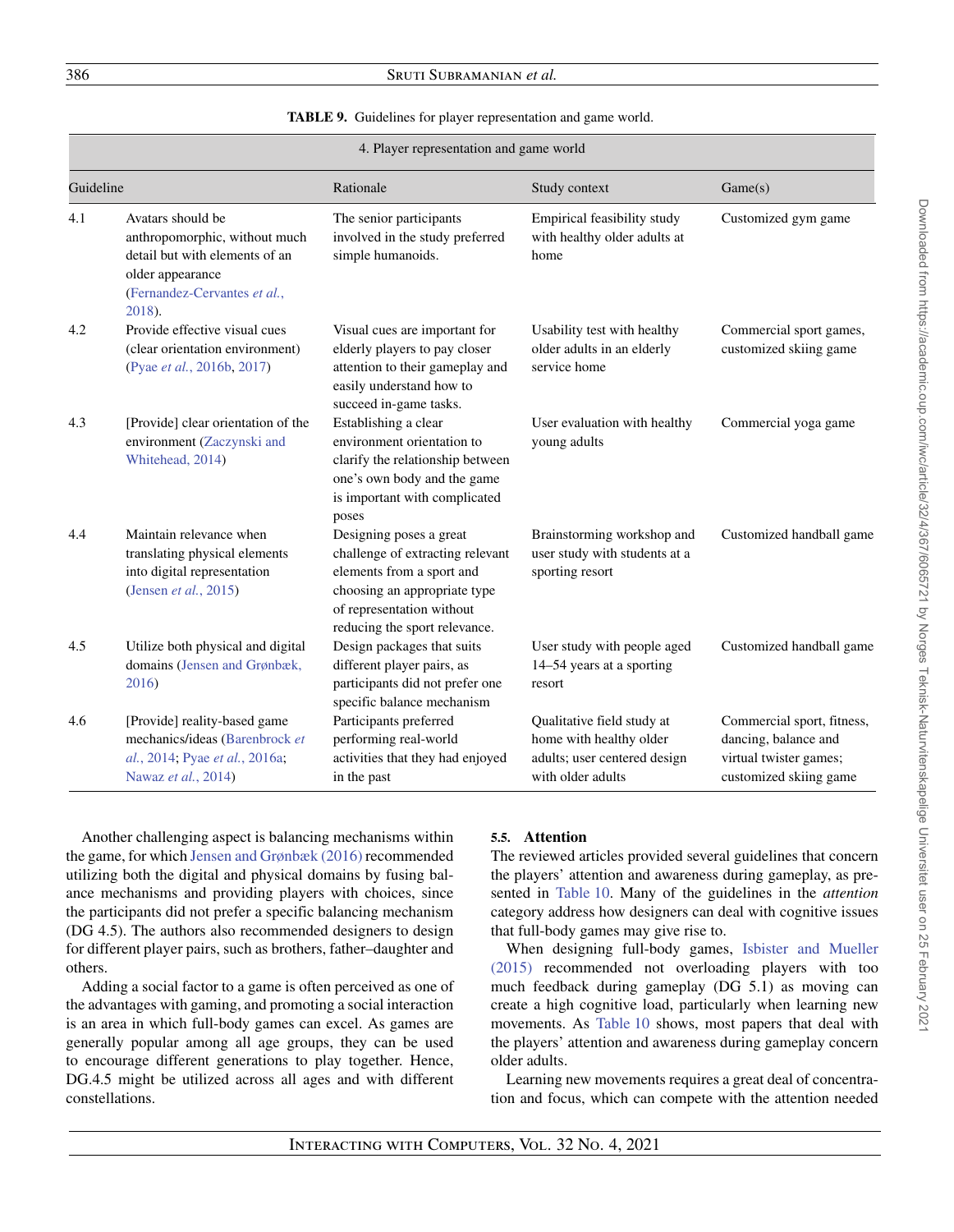# <span id="page-19-0"></span>386 Sruti Subramanian *et al.*

#### **TABLE 9.** Guidelines for player representation and game world.

|           |                                                                                                                                                    | 4. Player representation and game world                                                                                                                                                |                                                                                                            |                                                                                                        |
|-----------|----------------------------------------------------------------------------------------------------------------------------------------------------|----------------------------------------------------------------------------------------------------------------------------------------------------------------------------------------|------------------------------------------------------------------------------------------------------------|--------------------------------------------------------------------------------------------------------|
| Guideline |                                                                                                                                                    | Rationale                                                                                                                                                                              | Study context                                                                                              | Game(s)                                                                                                |
| 4.1       | Avatars should be<br>anthropomorphic, without much<br>detail but with elements of an<br>older appearance<br>(Fernandez-Cervantes et al.,<br>2018). | The senior participants<br>involved in the study preferred<br>simple humanoids.                                                                                                        | Empirical feasibility study<br>with healthy older adults at<br>home                                        | Customized gym game                                                                                    |
| 4.2       | Provide effective visual cues<br>(clear orientation environment)<br>(Pyae et al., 2016b, 2017)                                                     | Visual cues are important for<br>elderly players to pay closer<br>attention to their gameplay and<br>easily understand how to<br>succeed in-game tasks.                                | Usability test with healthy<br>older adults in an elderly<br>service home                                  | Commercial sport games,<br>customized skiing game                                                      |
| 4.3       | [Provide] clear orientation of the<br>environment (Zaczynski and<br>Whitehead, 2014)                                                               | Establishing a clear<br>environment orientation to<br>clarify the relationship between<br>one's own body and the game<br>is important with complicated<br>poses                        | User evaluation with healthy<br>young adults                                                               | Commercial yoga game                                                                                   |
| 4.4       | Maintain relevance when<br>translating physical elements<br>into digital representation<br>(Jensen et al., 2015)                                   | Designing poses a great<br>challenge of extracting relevant<br>elements from a sport and<br>choosing an appropriate type<br>of representation without<br>reducing the sport relevance. | Brainstorming workshop and<br>user study with students at a<br>sporting resort                             | Customized handball game                                                                               |
| 4.5       | Utilize both physical and digital<br>domains (Jensen and Grønbæk,<br>2016)                                                                         | Design packages that suits<br>different player pairs, as<br>participants did not prefer one<br>specific balance mechanism                                                              | User study with people aged<br>14–54 years at a sporting<br>resort                                         | Customized handball game                                                                               |
| 4.6       | [Provide] reality-based game<br>mechanics/ideas (Barenbrock et<br>al., 2014; Pyae et al., 2016a;<br>Nawaz et al., 2014)                            | Participants preferred<br>performing real-world<br>activities that they had enjoyed<br>in the past                                                                                     | Qualitative field study at<br>home with healthy older<br>adults; user centered design<br>with older adults | Commercial sport, fitness,<br>dancing, balance and<br>virtual twister games;<br>customized skiing game |

Another challenging aspect is balancing mechanisms within the game, for which [Jensen and Grønbæk \(2016\)](#page-37-20) recommended utilizing both the digital and physical domains by fusing balance mechanisms and providing players with choices, since the participants did not prefer a specific balancing mechanism (DG 4.5). The authors also recommended designers to design for different player pairs, such as brothers, father–daughter and others.

Adding a social factor to a game is often perceived as one of the advantages with gaming, and promoting a social interaction is an area in which full-body games can excel. As games are generally popular among all age groups, they can be used to encourage different generations to play together. Hence, DG.4.5 might be utilized across all ages and with different constellations.

# **5.5. Attention**

The reviewed articles provided several guidelines that concern the players' attention and awareness during gameplay, as presented in [Table 10.](#page-20-0) Many of the guidelines in the *attention* category address how designers can deal with cognitive issues that full-body games may give rise to.

When designing full-body games, Isbister and Mueller (2015) [recommended not overloading players with too](#page-37-16) much feedback during gameplay (DG 5.1) as moving can create a high cognitive load, particularly when learning new movements. As [Table 10](#page-20-0) shows, most papers that deal with the players' attention and awareness during gameplay concern older adults.

Learning new movements requires a great deal of concentration and focus, which can compete with the attention needed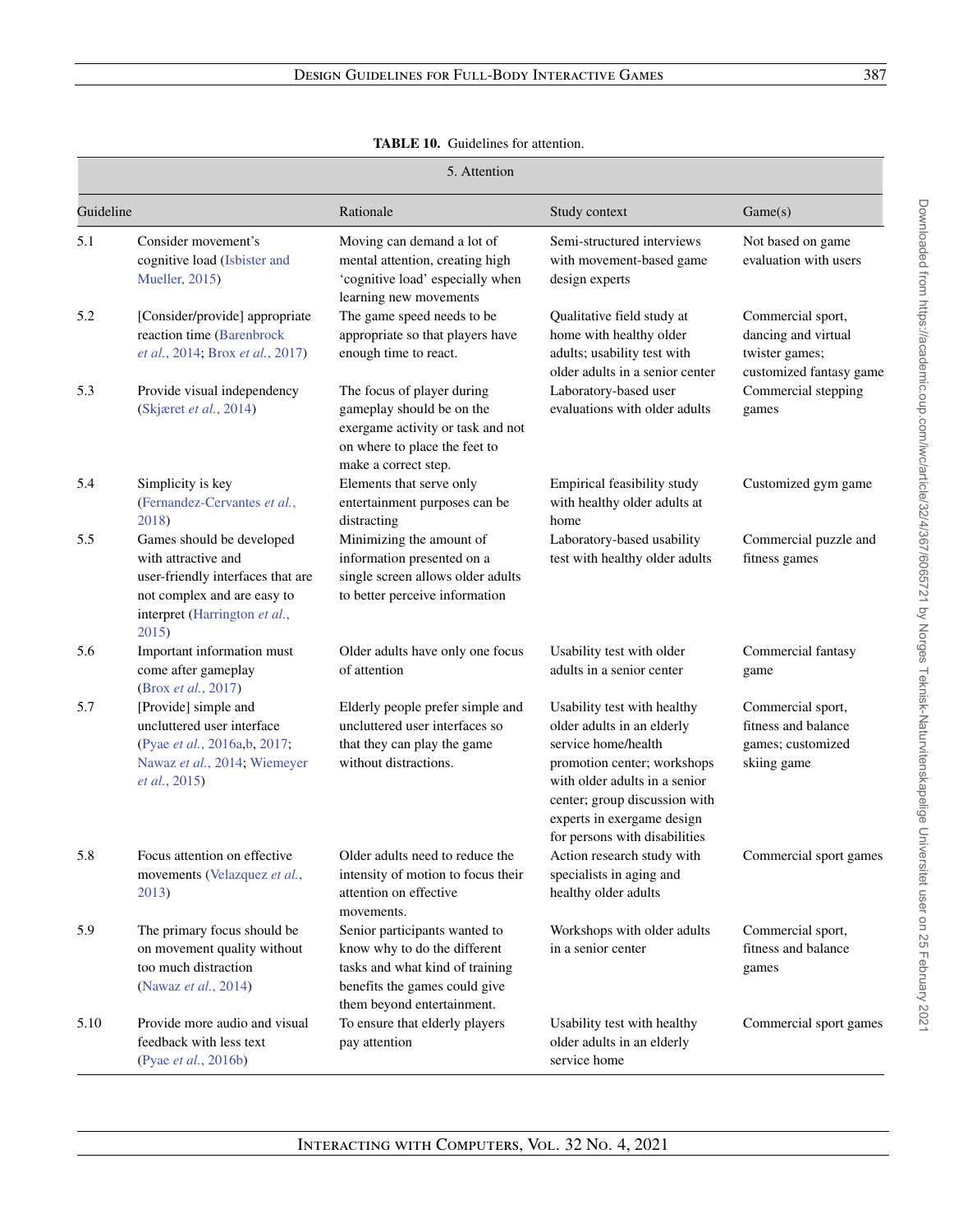| <b>TABLE 10.</b> Guidelines for attention. |
|--------------------------------------------|
|                                            |

<span id="page-20-0"></span>

|           | 5. Attention                                                                                                                                                   |                                                                                                                                                                 |                                                                                                                                                                                                                                                  |                                                                                       |  |
|-----------|----------------------------------------------------------------------------------------------------------------------------------------------------------------|-----------------------------------------------------------------------------------------------------------------------------------------------------------------|--------------------------------------------------------------------------------------------------------------------------------------------------------------------------------------------------------------------------------------------------|---------------------------------------------------------------------------------------|--|
| Guideline |                                                                                                                                                                | Rationale                                                                                                                                                       | Study context                                                                                                                                                                                                                                    | Game(s)                                                                               |  |
| 5.1       | Consider movement's<br>cognitive load (Isbister and<br>Mueller, 2015)                                                                                          | Moving can demand a lot of<br>mental attention, creating high<br>'cognitive load' especially when<br>learning new movements                                     | Semi-structured interviews<br>with movement-based game<br>design experts                                                                                                                                                                         | Not based on game<br>evaluation with users                                            |  |
| 5.2       | [Consider/provide] appropriate<br>reaction time (Barenbrock<br>et al., 2014; Brox et al., 2017)                                                                | The game speed needs to be<br>appropriate so that players have<br>enough time to react.                                                                         | Qualitative field study at<br>home with healthy older<br>adults; usability test with<br>older adults in a senior center                                                                                                                          | Commercial sport,<br>dancing and virtual<br>twister games;<br>customized fantasy game |  |
| 5.3       | Provide visual independency<br>(Skjæret et al., 2014)                                                                                                          | The focus of player during<br>gameplay should be on the<br>exergame activity or task and not<br>on where to place the feet to<br>make a correct step.           | Laboratory-based user<br>evaluations with older adults                                                                                                                                                                                           | Commercial stepping<br>games                                                          |  |
| 5.4       | Simplicity is key<br>(Fernandez-Cervantes et al.,<br>2018)                                                                                                     | Elements that serve only<br>entertainment purposes can be<br>distracting                                                                                        | Empirical feasibility study<br>with healthy older adults at<br>home                                                                                                                                                                              | Customized gym game                                                                   |  |
| 5.5       | Games should be developed<br>with attractive and<br>user-friendly interfaces that are<br>not complex and are easy to<br>interpret (Harrington et al.,<br>2015) | Minimizing the amount of<br>information presented on a<br>single screen allows older adults<br>to better perceive information                                   | Laboratory-based usability<br>test with healthy older adults                                                                                                                                                                                     | Commercial puzzle and<br>fitness games                                                |  |
| 5.6       | Important information must<br>come after gameplay<br>(Brox et al., 2017)                                                                                       | Older adults have only one focus<br>of attention                                                                                                                | Usability test with older<br>adults in a senior center                                                                                                                                                                                           | Commercial fantasy<br>game                                                            |  |
| 5.7       | [Provide] simple and<br>uncluttered user interface<br>(Pyae et al., 2016a,b, 2017;<br>Nawaz et al., 2014; Wiemeyer<br><i>et al.</i> , 2015)                    | Elderly people prefer simple and<br>uncluttered user interfaces so<br>that they can play the game<br>without distractions.                                      | Usability test with healthy<br>older adults in an elderly<br>service home/health<br>promotion center; workshops<br>with older adults in a senior<br>center; group discussion with<br>experts in exergame design<br>for persons with disabilities | Commercial sport,<br>fitness and balance<br>games; customized<br>skiing game          |  |
| 5.8       | Focus attention on effective<br>movements (Velazquez et al.,<br>2013)                                                                                          | Older adults need to reduce the<br>intensity of motion to focus their<br>attention on effective<br>movements.                                                   | Action research study with<br>specialists in aging and<br>healthy older adults                                                                                                                                                                   | Commercial sport games                                                                |  |
| 5.9       | The primary focus should be<br>on movement quality without<br>too much distraction<br>(Nawaz et al., 2014)                                                     | Senior participants wanted to<br>know why to do the different<br>tasks and what kind of training<br>benefits the games could give<br>them beyond entertainment. | Workshops with older adults<br>in a senior center                                                                                                                                                                                                | Commercial sport,<br>fitness and balance<br>games                                     |  |
| 5.10      | Provide more audio and visual<br>feedback with less text<br>(Pyae et al., 2016b)                                                                               | To ensure that elderly players<br>pay attention                                                                                                                 | Usability test with healthy<br>older adults in an elderly<br>service home                                                                                                                                                                        | Commercial sport games                                                                |  |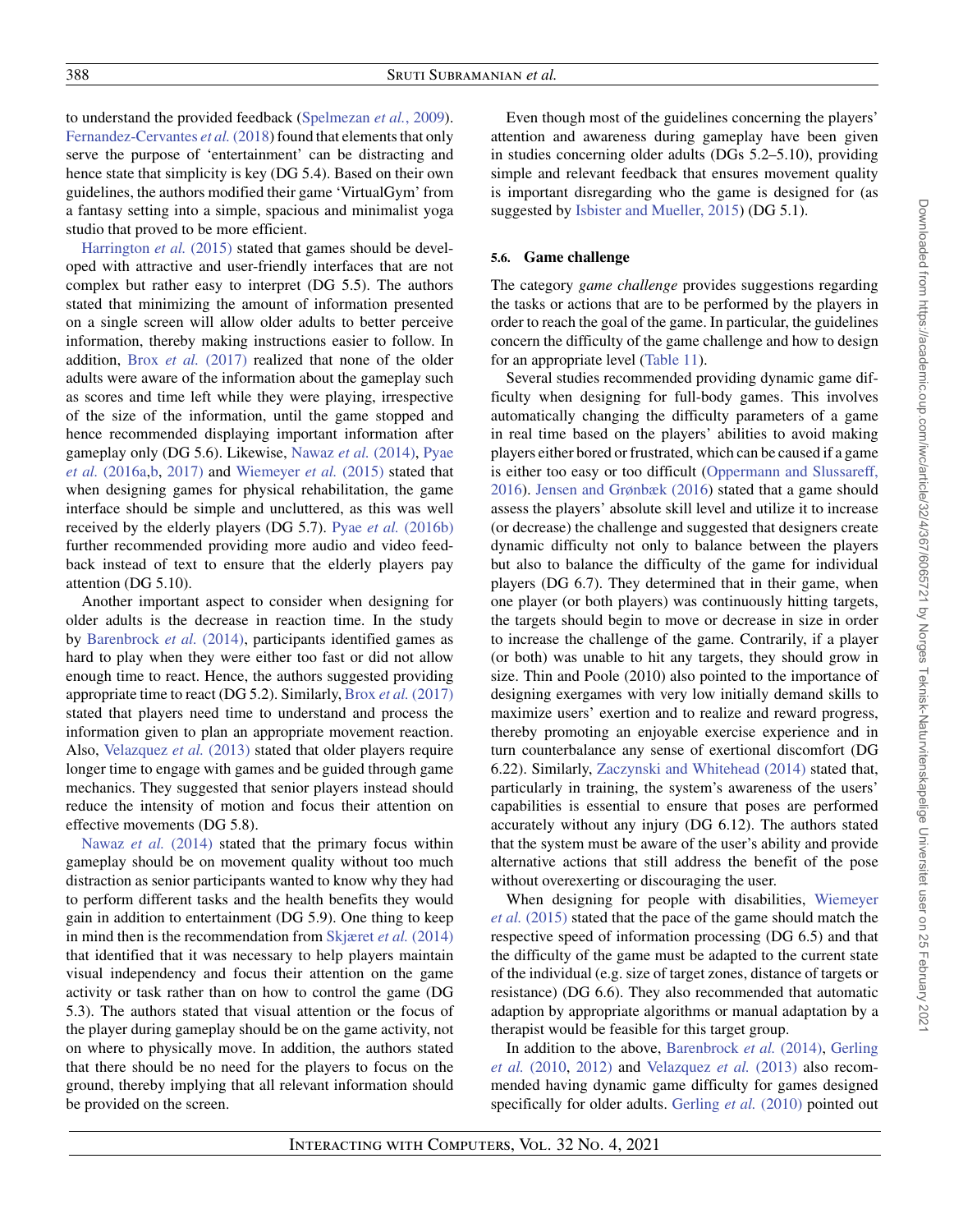to understand the provided feedback [\(Spelmezan](#page-38-30) *et al.*, 2009). [Fernandez-Cervantes](#page-37-21) *et al.* (2018) found that elements that only serve the purpose of 'entertainment' can be distracting and hence state that simplicity is key (DG 5.4). Based on their own guidelines, the authors modified their game 'VirtualGym' from a fantasy setting into a simple, spacious and minimalist yoga studio that proved to be more efficient.

[Harrington](#page-37-18) *et al.* (2015) stated that games should be developed with attractive and user-friendly interfaces that are not complex but rather easy to interpret (DG 5.5). The authors stated that minimizing the amount of information presented on a single screen will allow older adults to better perceive information, thereby making instructions easier to follow. In addition, Brox *et al.* [\(2017\)](#page-36-13) realized that none of the older adults were aware of the information about the gameplay such as scores and time left while they were playing, irrespective of the size of the information, until the game stopped and hence recommended displaying important information after [gameplay only \(DG 5.6\). Likewise,](#page-38-20) Nawaz et al. [\(2014\),](#page-38-26) Pyae *et al.* (2016a[,b,](#page-38-21) [2017\)](#page-38-22) and [Wiemeyer](#page-39-0) *et al.* (2015) stated that when designing games for physical rehabilitation, the game interface should be simple and uncluttered, as this was well received by the elderly players (DG 5.7). Pyae *et al.* [\(2016b\)](#page-38-21) further recommended providing more audio and video feedback instead of text to ensure that the elderly players pay attention (DG 5.10).

Another important aspect to consider when designing for older adults is the decrease in reaction time. In the study by [Barenbrock](#page-36-15) *et al.* (2014), participants identified games as hard to play when they were either too fast or did not allow enough time to react. Hence, the authors suggested providing appropriate time to react (DG 5.2). Similarly, Brox *et al.* [\(2017\)](#page-36-13) stated that players need time to understand and process the information given to plan an appropriate movement reaction. Also, [Velazquez](#page-38-23) *et al.* (2013) stated that older players require longer time to engage with games and be guided through game mechanics. They suggested that senior players instead should reduce the intensity of motion and focus their attention on effective movements (DG 5.8).

[Nawaz](#page-38-26) *et al.* (2014) stated that the primary focus within gameplay should be on movement quality without too much distraction as senior participants wanted to know why they had to perform different tasks and the health benefits they would gain in addition to entertainment (DG 5.9). One thing to keep in mind then is the recommendation from [Skjæret](#page-38-18) *et al.* (2014) that identified that it was necessary to help players maintain visual independency and focus their attention on the game activity or task rather than on how to control the game (DG 5.3). The authors stated that visual attention or the focus of the player during gameplay should be on the game activity, not on where to physically move. In addition, the authors stated that there should be no need for the players to focus on the ground, thereby implying that all relevant information should be provided on the screen.

Even though most of the guidelines concerning the players' attention and awareness during gameplay have been given in studies concerning older adults (DGs 5.2–5.10), providing simple and relevant feedback that ensures movement quality is important disregarding who the game is designed for (as suggested by [Isbister and Mueller, 2015\)](#page-37-16) (DG 5.1).

## <span id="page-21-0"></span>**5.6. Game challenge**

The category *game challenge* provides suggestions regarding the tasks or actions that are to be performed by the players in order to reach the goal of the game. In particular, the guidelines concern the difficulty of the game challenge and how to design for an appropriate level [\(Table 11\)](#page-22-0).

Several studies recommended providing dynamic game difficulty when designing for full-body games. This involves automatically changing the difficulty parameters of a game in real time based on the players' abilities to avoid making players either bored or frustrated, which can be caused if a game [is either too easy or too difficult \(Oppermann and Slussareff,](#page-38-31) 2016). [Jensen and Grønbæk \(2016\)](#page-37-20) stated that a game should assess the players' absolute skill level and utilize it to increase (or decrease) the challenge and suggested that designers create dynamic difficulty not only to balance between the players but also to balance the difficulty of the game for individual players (DG 6.7). They determined that in their game, when one player (or both players) was continuously hitting targets, the targets should begin to move or decrease in size in order to increase the challenge of the game. Contrarily, if a player (or both) was unable to hit any targets, they should grow in size. Thin and Poole (2010) also pointed to the importance of designing exergames with very low initially demand skills to maximize users' exertion and to realize and reward progress, thereby promoting an enjoyable exercise experience and in turn counterbalance any sense of exertional discomfort (DG 6.22). Similarly, [Zaczynski and Whitehead \(2014\)](#page-39-1) stated that, particularly in training, the system's awareness of the users' capabilities is essential to ensure that poses are performed accurately without any injury (DG 6.12). The authors stated that the system must be aware of the user's ability and provide alternative actions that still address the benefit of the pose without overexerting or discouraging the user.

When designing for people with disabilities, Wiemeyer *et al.* (2015) [stated that the pace of the game should match the](#page-39-0) respective speed of information processing (DG 6.5) and that the difficulty of the game must be adapted to the current state of the individual (e.g. size of target zones, distance of targets or resistance) (DG 6.6). They also recommended that automatic adaption by appropriate algorithms or manual adaptation by a therapist would be feasible for this target group.

[In addition to the above,](#page-37-17) [Barenbrock](#page-36-15) *et al.* (2014), Gerling *et al.* (2010, [2012\)](#page-37-12) and [Velazquez](#page-38-23) *et al.* (2013) also recommended having dynamic game difficulty for games designed specifically for older adults. [Gerling](#page-37-17) *et al.* (2010) pointed out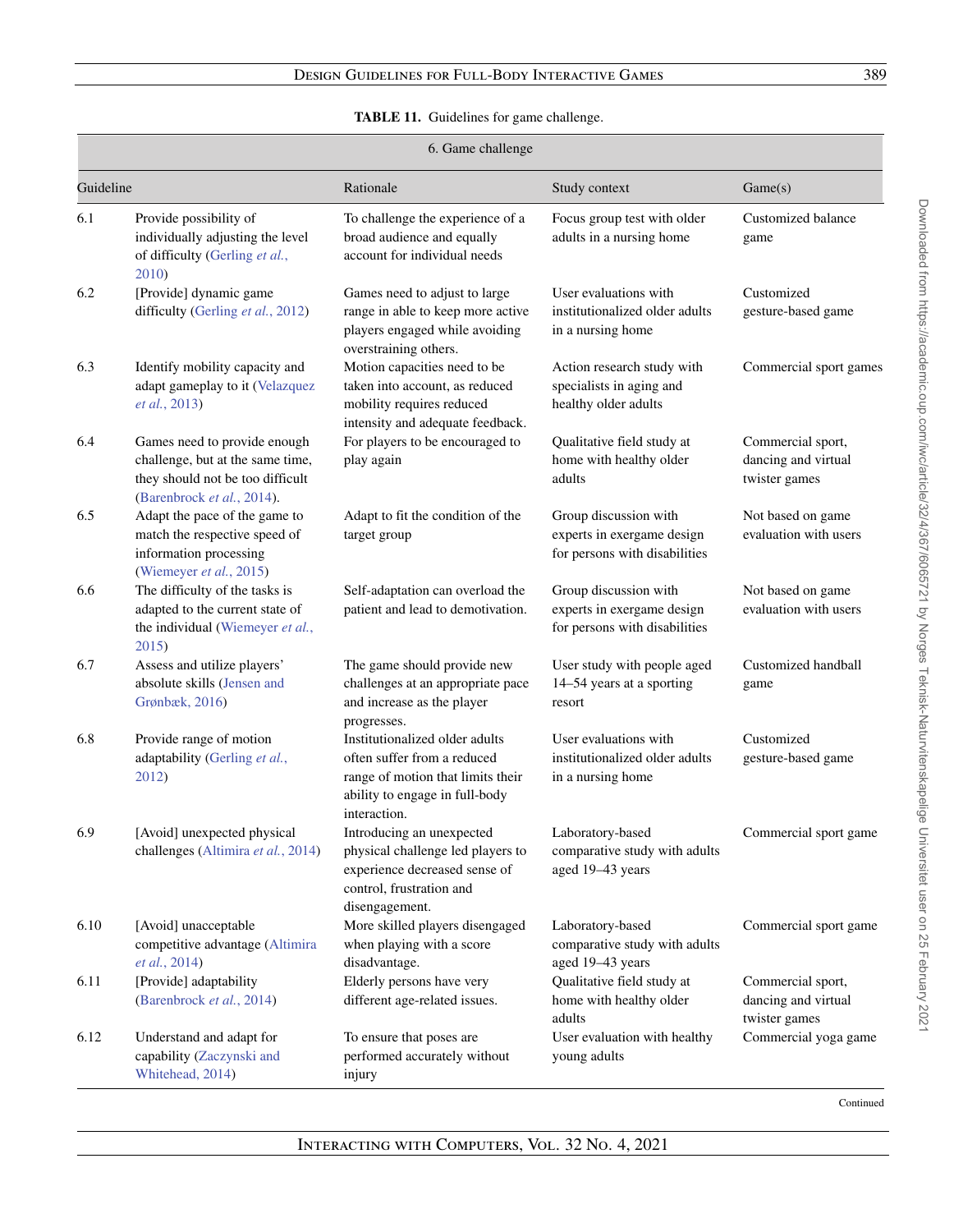# **TABLE 11.** Guidelines for game challenge.

<span id="page-22-0"></span>

|           | 6. Game challenge                                                                                                                  |                                                                                                                                                      |                                                                                      |                                                           |  |
|-----------|------------------------------------------------------------------------------------------------------------------------------------|------------------------------------------------------------------------------------------------------------------------------------------------------|--------------------------------------------------------------------------------------|-----------------------------------------------------------|--|
| Guideline |                                                                                                                                    | Rationale                                                                                                                                            | Study context                                                                        | Game(s)                                                   |  |
| 6.1       | Provide possibility of<br>individually adjusting the level<br>of difficulty (Gerling et al.,<br>2010)                              | To challenge the experience of a<br>broad audience and equally<br>account for individual needs                                                       | Focus group test with older<br>adults in a nursing home                              | Customized balance<br>game                                |  |
| 6.2       | [Provide] dynamic game<br>difficulty (Gerling et al., 2012)                                                                        | Games need to adjust to large<br>range in able to keep more active<br>players engaged while avoiding<br>overstraining others.                        | User evaluations with<br>institutionalized older adults<br>in a nursing home         | Customized<br>gesture-based game                          |  |
| 6.3       | Identify mobility capacity and<br>adapt gameplay to it (Velazquez<br>et al., 2013)                                                 | Motion capacities need to be<br>taken into account, as reduced<br>mobility requires reduced<br>intensity and adequate feedback.                      | Action research study with<br>specialists in aging and<br>healthy older adults       | Commercial sport games                                    |  |
| 6.4       | Games need to provide enough<br>challenge, but at the same time,<br>they should not be too difficult<br>(Barenbrock et al., 2014). | For players to be encouraged to<br>play again                                                                                                        | Qualitative field study at<br>home with healthy older<br>adults                      | Commercial sport,<br>dancing and virtual<br>twister games |  |
| 6.5       | Adapt the pace of the game to<br>match the respective speed of<br>information processing<br>(Wiemeyer et al., 2015)                | Adapt to fit the condition of the<br>target group                                                                                                    | Group discussion with<br>experts in exergame design<br>for persons with disabilities | Not based on game<br>evaluation with users                |  |
| 6.6       | The difficulty of the tasks is<br>adapted to the current state of<br>the individual (Wiemeyer et al.,<br>2015)                     | Self-adaptation can overload the<br>patient and lead to demotivation.                                                                                | Group discussion with<br>experts in exergame design<br>for persons with disabilities | Not based on game<br>evaluation with users                |  |
| 6.7       | Assess and utilize players'<br>absolute skills (Jensen and<br>Grønbæk, 2016)                                                       | The game should provide new<br>challenges at an appropriate pace<br>and increase as the player<br>progresses.                                        | User study with people aged<br>14-54 years at a sporting<br>resort                   | Customized handball<br>game                               |  |
| 6.8       | Provide range of motion<br>adaptability (Gerling et al.,<br>2012)                                                                  | Institutionalized older adults<br>often suffer from a reduced<br>range of motion that limits their<br>ability to engage in full-body<br>interaction. | User evaluations with<br>institutionalized older adults<br>in a nursing home         | Customized<br>gesture-based game                          |  |
| 6.9       | [Avoid] unexpected physical<br>challenges (Altimira et al., 2014)                                                                  | Introducing an unexpected<br>physical challenge led players to<br>experience decreased sense of<br>control, frustration and<br>disengagement.        | Laboratory-based<br>comparative study with adults<br>aged 19-43 years                | Commercial sport game                                     |  |
| 6.10      | [Avoid] unacceptable<br>competitive advantage (Altimira<br>et al., 2014)                                                           | More skilled players disengaged<br>when playing with a score<br>disadvantage.                                                                        | Laboratory-based<br>comparative study with adults<br>aged 19-43 years                | Commercial sport game                                     |  |
| 6.11      | [Provide] adaptability<br>(Barenbrock et al., 2014)                                                                                | Elderly persons have very<br>different age-related issues.                                                                                           | Qualitative field study at<br>home with healthy older<br>adults                      | Commercial sport,<br>dancing and virtual<br>twister games |  |
| 6.12      | Understand and adapt for<br>capability (Zaczynski and<br>Whitehead, 2014)                                                          | To ensure that poses are<br>performed accurately without<br>injury                                                                                   | User evaluation with healthy<br>young adults                                         | Commercial yoga game                                      |  |

Downloaded from https://academic.oup.com/iwc/article/32/4/367/6065721 by Norges Teknisk-Naturvitenskapelige Universitet user on 25 February 2021 Downloaded from https://academic.oup.com/iwc/article/32/4/367/6065721 by Norges Teknisk-Naturvitenskapelige Universitet user on 25 February 2021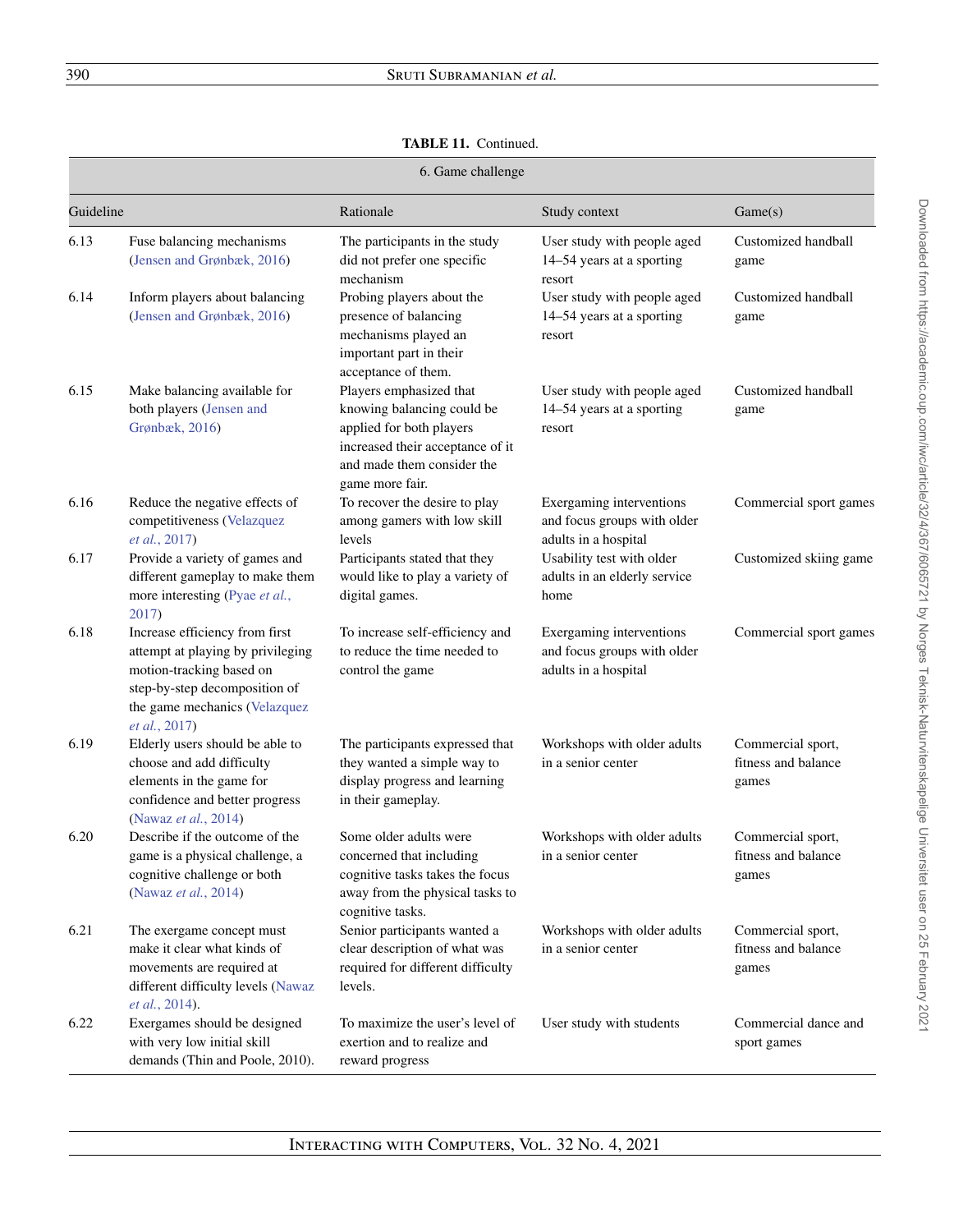# **TABLE 11.** Continued.

|           | 6. Game challenge                                                                                                                                                                  |                                                                                                                                                                        |                                                                                 |                                                   |  |
|-----------|------------------------------------------------------------------------------------------------------------------------------------------------------------------------------------|------------------------------------------------------------------------------------------------------------------------------------------------------------------------|---------------------------------------------------------------------------------|---------------------------------------------------|--|
| Guideline |                                                                                                                                                                                    | Rationale                                                                                                                                                              | Study context                                                                   | Game(s)                                           |  |
| 6.13      | Fuse balancing mechanisms<br>(Jensen and Grønbæk, 2016)                                                                                                                            | The participants in the study<br>did not prefer one specific<br>mechanism                                                                                              | User study with people aged<br>14–54 years at a sporting<br>resort              | Customized handball<br>game                       |  |
| 6.14      | Inform players about balancing<br>(Jensen and Grønbæk, 2016)                                                                                                                       | Probing players about the<br>presence of balancing<br>mechanisms played an<br>important part in their<br>acceptance of them.                                           | User study with people aged<br>14–54 years at a sporting<br>resort              | Customized handball<br>game                       |  |
| 6.15      | Make balancing available for<br>both players (Jensen and<br>Grønbæk, 2016)                                                                                                         | Players emphasized that<br>knowing balancing could be<br>applied for both players<br>increased their acceptance of it<br>and made them consider the<br>game more fair. | User study with people aged<br>14-54 years at a sporting<br>resort              | Customized handball<br>game                       |  |
| 6.16      | Reduce the negative effects of<br>competitiveness (Velazquez<br>et al., 2017)                                                                                                      | To recover the desire to play<br>among gamers with low skill<br>levels                                                                                                 | Exergaming interventions<br>and focus groups with older<br>adults in a hospital | Commercial sport games                            |  |
| 6.17      | Provide a variety of games and<br>different gameplay to make them<br>more interesting (Pyae et al.,<br>2017)                                                                       | Participants stated that they<br>would like to play a variety of<br>digital games.                                                                                     | Usability test with older<br>adults in an elderly service<br>home               | Customized skiing game                            |  |
| 6.18      | Increase efficiency from first<br>attempt at playing by privileging<br>motion-tracking based on<br>step-by-step decomposition of<br>the game mechanics (Velazquez<br>et al., 2017) | To increase self-efficiency and<br>to reduce the time needed to<br>control the game                                                                                    | Exergaming interventions<br>and focus groups with older<br>adults in a hospital | Commercial sport games                            |  |
| 6.19      | Elderly users should be able to<br>choose and add difficulty<br>elements in the game for<br>confidence and better progress<br>(Nawaz et al., 2014)                                 | The participants expressed that<br>they wanted a simple way to<br>display progress and learning<br>in their gameplay.                                                  | Workshops with older adults<br>in a senior center                               | Commercial sport,<br>fitness and balance<br>games |  |
| 6.20      | Describe if the outcome of the<br>game is a physical challenge, a<br>cognitive challenge or both<br>(Nawaz et al., 2014)                                                           | Some older adults were<br>concerned that including<br>cognitive tasks takes the focus<br>away from the physical tasks to<br>cognitive tasks.                           | Workshops with older adults<br>in a senior center                               | Commercial sport,<br>fitness and balance<br>games |  |
| 6.21      | The exergame concept must<br>make it clear what kinds of<br>movements are required at<br>different difficulty levels (Nawaz<br><i>et al.</i> , 2014).                              | Senior participants wanted a<br>clear description of what was<br>required for different difficulty<br>levels.                                                          | Workshops with older adults<br>in a senior center                               | Commercial sport,<br>fitness and balance<br>games |  |
| 6.22      | Exergames should be designed<br>with very low initial skill<br>demands (Thin and Poole, 2010).                                                                                     | To maximize the user's level of<br>exertion and to realize and<br>reward progress                                                                                      | User study with students                                                        | Commercial dance and<br>sport games               |  |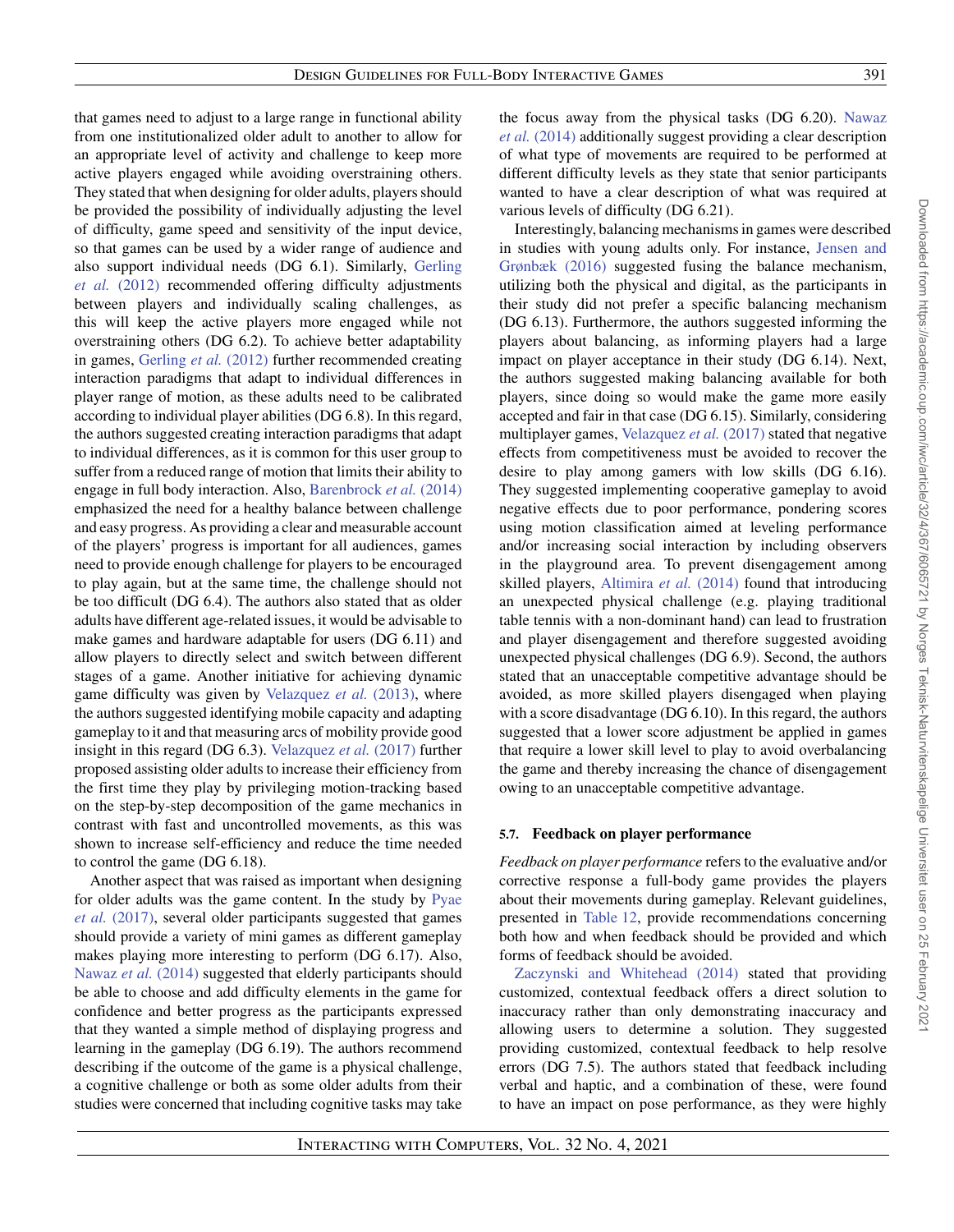that games need to adjust to a large range in functional ability from one institutionalized older adult to another to allow for an appropriate level of activity and challenge to keep more active players engaged while avoiding overstraining others. They stated that when designing for older adults, players should be provided the possibility of individually adjusting the level of difficulty, game speed and sensitivity of the input device, so that games can be used by a wider range of audience and [also support individual needs \(DG 6.1\). Similarly,](#page-37-12) Gerling *et al.* (2012) recommended offering difficulty adjustments between players and individually scaling challenges, as this will keep the active players more engaged while not overstraining others (DG 6.2). To achieve better adaptability in games, [Gerling](#page-37-12) *et al.* (2012) further recommended creating interaction paradigms that adapt to individual differences in player range of motion, as these adults need to be calibrated according to individual player abilities (DG 6.8). In this regard, the authors suggested creating interaction paradigms that adapt to individual differences, as it is common for this user group to suffer from a reduced range of motion that limits their ability to engage in full body interaction. Also, [Barenbrock](#page-36-15) *et al.* (2014) emphasized the need for a healthy balance between challenge and easy progress. As providing a clear and measurable account of the players' progress is important for all audiences, games need to provide enough challenge for players to be encouraged to play again, but at the same time, the challenge should not be too difficult (DG 6.4). The authors also stated that as older adults have different age-related issues, it would be advisable to make games and hardware adaptable for users (DG 6.11) and allow players to directly select and switch between different stages of a game. Another initiative for achieving dynamic game difficulty was given by [Velazquez](#page-38-23) et al. (2013), where the authors suggested identifying mobile capacity and adapting gameplay to it and that measuring arcs of mobility provide good insight in this regard (DG 6.3). [Velazquez](#page-38-24) *et al.* (2017) further proposed assisting older adults to increase their efficiency from the first time they play by privileging motion-tracking based on the step-by-step decomposition of the game mechanics in contrast with fast and uncontrolled movements, as this was shown to increase self-efficiency and reduce the time needed to control the game (DG 6.18).

Another aspect that was raised as important when designing [for older adults was the game content. In the study by](#page-38-22) Pyae *et al.* (2017), several older participants suggested that games should provide a variety of mini games as different gameplay makes playing more interesting to perform (DG 6.17). Also, [Nawaz](#page-38-26) *et al.* (2014) suggested that elderly participants should be able to choose and add difficulty elements in the game for confidence and better progress as the participants expressed that they wanted a simple method of displaying progress and learning in the gameplay (DG 6.19). The authors recommend describing if the outcome of the game is a physical challenge, a cognitive challenge or both as some older adults from their studies were concerned that including cognitive tasks may take [the focus away from the physical tasks \(DG 6.20\).](#page-38-26) Nawaz *et al.* (2014) additionally suggest providing a clear description of what type of movements are required to be performed at different difficulty levels as they state that senior participants wanted to have a clear description of what was required at various levels of difficulty (DG 6.21).

Interestingly, balancing mechanisms in games were described [in studies with young adults only. For instance,](#page-37-20) Jensen and Grønbæk (2016) suggested fusing the balance mechanism, utilizing both the physical and digital, as the participants in their study did not prefer a specific balancing mechanism (DG 6.13). Furthermore, the authors suggested informing the players about balancing, as informing players had a large impact on player acceptance in their study (DG 6.14). Next, the authors suggested making balancing available for both players, since doing so would make the game more easily accepted and fair in that case (DG 6.15). Similarly, considering multiplayer games, [Velazquez](#page-38-24) *et al.* (2017) stated that negative effects from competitiveness must be avoided to recover the desire to play among gamers with low skills (DG 6.16). They suggested implementing cooperative gameplay to avoid negative effects due to poor performance, pondering scores using motion classification aimed at leveling performance and/or increasing social interaction by including observers in the playground area. To prevent disengagement among skilled players, [Altimira](#page-36-14) *et al.* (2014) found that introducing an unexpected physical challenge (e.g. playing traditional table tennis with a non-dominant hand) can lead to frustration and player disengagement and therefore suggested avoiding unexpected physical challenges (DG 6.9). Second, the authors stated that an unacceptable competitive advantage should be avoided, as more skilled players disengaged when playing with a score disadvantage (DG 6.10). In this regard, the authors suggested that a lower score adjustment be applied in games that require a lower skill level to play to avoid overbalancing the game and thereby increasing the chance of disengagement owing to an unacceptable competitive advantage.

#### **5.7. Feedback on player performance**

*Feedback on player performance* refers to the evaluative and/or corrective response a full-body game provides the players about their movements during gameplay. Relevant guidelines, presented in [Table 12,](#page-25-0) provide recommendations concerning both how and when feedback should be provided and which forms of feedback should be avoided.

[Zaczynski and Whitehead \(2014\)](#page-39-1) stated that providing customized, contextual feedback offers a direct solution to inaccuracy rather than only demonstrating inaccuracy and allowing users to determine a solution. They suggested providing customized, contextual feedback to help resolve errors (DG 7.5). The authors stated that feedback including verbal and haptic, and a combination of these, were found to have an impact on pose performance, as they were highly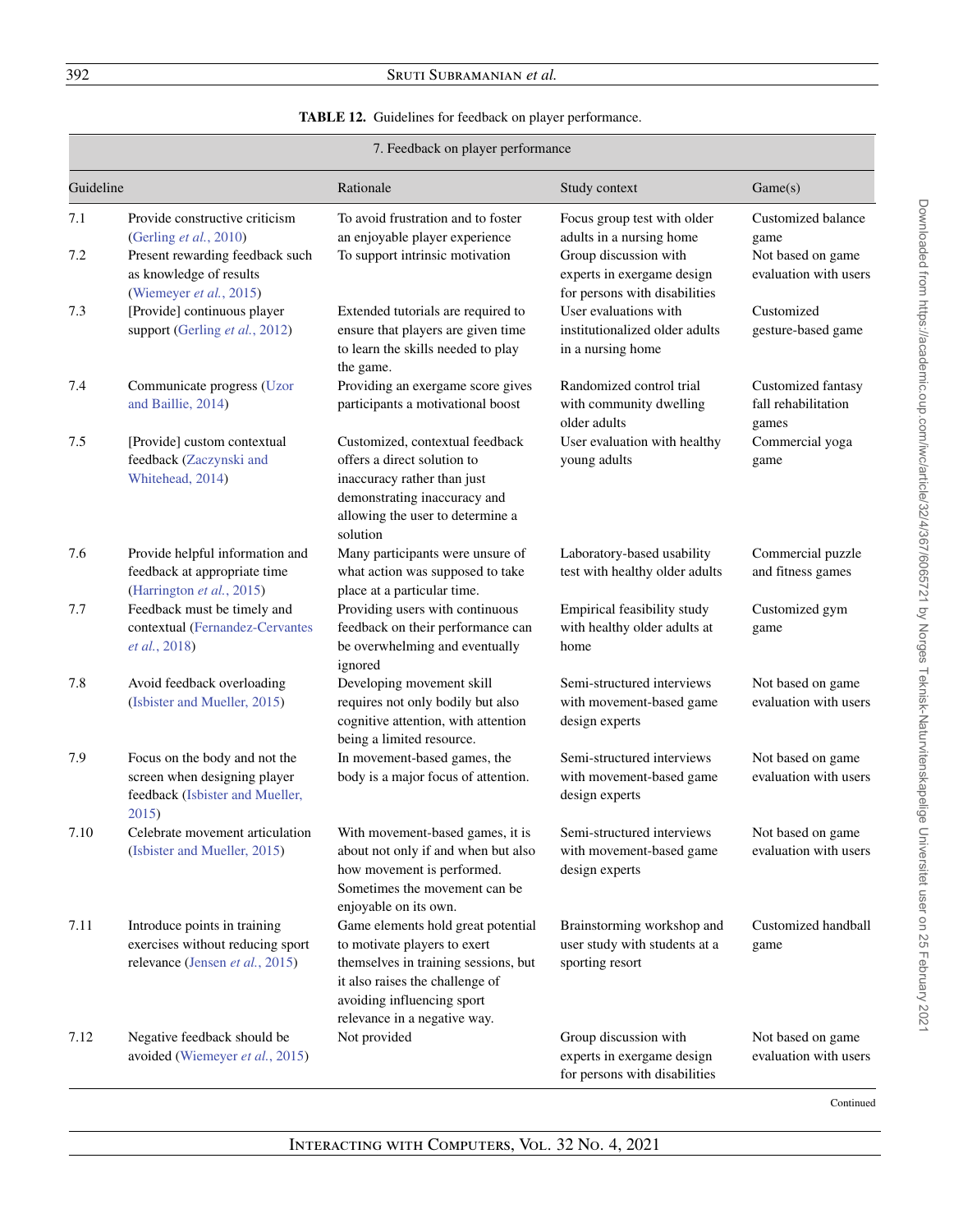# <span id="page-25-0"></span>392 Sruti Subramanian *et al.*

# **TABLE 12.** Guidelines for feedback on player performance.

|            | 7. Feedback on player performance                                                                                                                 |                                                                                                                                                                                                             |                                                                                                                                                 |                                                                          |  |
|------------|---------------------------------------------------------------------------------------------------------------------------------------------------|-------------------------------------------------------------------------------------------------------------------------------------------------------------------------------------------------------------|-------------------------------------------------------------------------------------------------------------------------------------------------|--------------------------------------------------------------------------|--|
| Guideline  |                                                                                                                                                   | Rationale                                                                                                                                                                                                   | Study context                                                                                                                                   | Game(s)                                                                  |  |
| 7.1<br>7.2 | Provide constructive criticism<br>(Gerling et al., 2010)<br>Present rewarding feedback such<br>as knowledge of results<br>(Wiemeyer et al., 2015) | To avoid frustration and to foster<br>an enjoyable player experience<br>To support intrinsic motivation                                                                                                     | Focus group test with older<br>adults in a nursing home<br>Group discussion with<br>experts in exergame design<br>for persons with disabilities | Customized balance<br>game<br>Not based on game<br>evaluation with users |  |
| 7.3        | [Provide] continuous player<br>support (Gerling et al., 2012)                                                                                     | Extended tutorials are required to<br>ensure that players are given time<br>to learn the skills needed to play<br>the game.                                                                                 | User evaluations with<br>institutionalized older adults<br>in a nursing home                                                                    | Customized<br>gesture-based game                                         |  |
| 7.4        | Communicate progress (Uzor<br>and Baillie, 2014)                                                                                                  | Providing an exergame score gives<br>participants a motivational boost                                                                                                                                      | Randomized control trial<br>with community dwelling<br>older adults                                                                             | Customized fantasy<br>fall rehabilitation<br>games                       |  |
| 7.5        | [Provide] custom contextual<br>feedback (Zaczynski and<br>Whitehead, 2014)                                                                        | Customized, contextual feedback<br>offers a direct solution to<br>inaccuracy rather than just<br>demonstrating inaccuracy and<br>allowing the user to determine a<br>solution                               | User evaluation with healthy<br>young adults                                                                                                    | Commercial yoga<br>game                                                  |  |
| 7.6        | Provide helpful information and<br>feedback at appropriate time<br>(Harrington et al., 2015)                                                      | Many participants were unsure of<br>what action was supposed to take<br>place at a particular time.                                                                                                         | Laboratory-based usability<br>test with healthy older adults                                                                                    | Commercial puzzle<br>and fitness games                                   |  |
| 7.7        | Feedback must be timely and<br>contextual (Fernandez-Cervantes<br>et al., 2018)                                                                   | Providing users with continuous<br>feedback on their performance can<br>be overwhelming and eventually<br>ignored                                                                                           | Empirical feasibility study<br>with healthy older adults at<br>home                                                                             | Customized gym<br>game                                                   |  |
| 7.8        | Avoid feedback overloading<br>(Isbister and Mueller, 2015)                                                                                        | Developing movement skill<br>requires not only bodily but also<br>cognitive attention, with attention<br>being a limited resource.                                                                          | Semi-structured interviews<br>with movement-based game<br>design experts                                                                        | Not based on game<br>evaluation with users                               |  |
| 7.9        | Focus on the body and not the<br>screen when designing player<br>feedback (Isbister and Mueller,<br>2015                                          | In movement-based games, the<br>body is a major focus of attention.                                                                                                                                         | Semi-structured interviews<br>with movement-based game<br>design experts                                                                        | Not based on game<br>evaluation with users                               |  |
| 7.10       | Celebrate movement articulation<br>(Isbister and Mueller, 2015)                                                                                   | With movement-based games, it is<br>about not only if and when but also<br>how movement is performed.<br>Sometimes the movement can be<br>enjoyable on its own.                                             | Semi-structured interviews<br>with movement-based game<br>design experts                                                                        | Not based on game<br>evaluation with users                               |  |
| 7.11       | Introduce points in training<br>exercises without reducing sport<br>relevance (Jensen et al., 2015)                                               | Game elements hold great potential<br>to motivate players to exert<br>themselves in training sessions, but<br>it also raises the challenge of<br>avoiding influencing sport<br>relevance in a negative way. | Brainstorming workshop and<br>user study with students at a<br>sporting resort                                                                  | Customized handball<br>game                                              |  |
| 7.12       | Negative feedback should be<br>avoided (Wiemeyer et al., 2015)                                                                                    | Not provided                                                                                                                                                                                                | Group discussion with<br>experts in exergame design<br>for persons with disabilities                                                            | Not based on game<br>evaluation with users                               |  |

Continued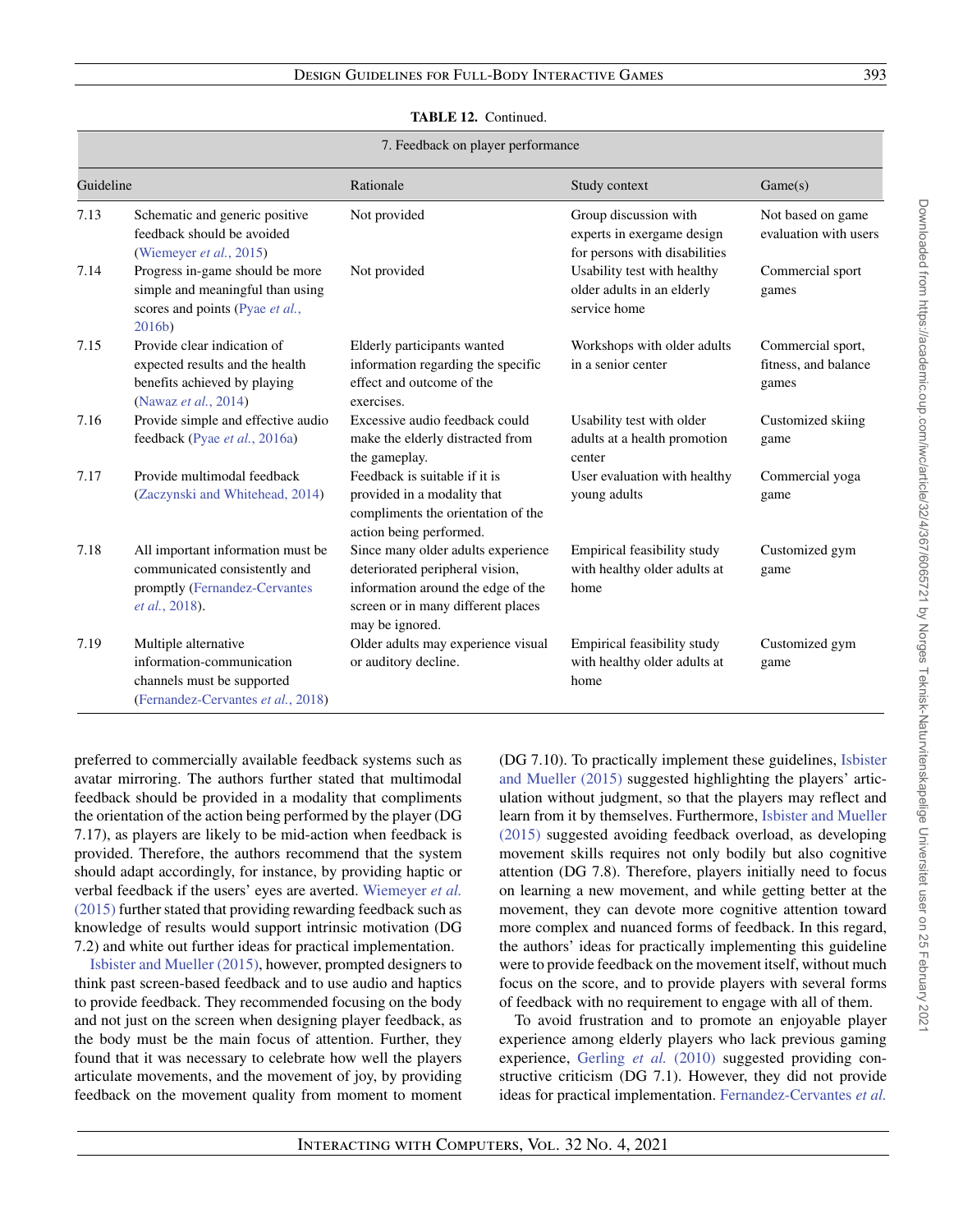#### **TABLE 12.** Continued.

#### 7. Feedback on player performance

| Guideline |                                                                                                                        | Rationale                                                                                                                                                            | Study context                                                                        | Game(s)                                            |
|-----------|------------------------------------------------------------------------------------------------------------------------|----------------------------------------------------------------------------------------------------------------------------------------------------------------------|--------------------------------------------------------------------------------------|----------------------------------------------------|
| 7.13      | Schematic and generic positive<br>feedback should be avoided<br>(Wiemeyer et al., 2015)                                | Not provided                                                                                                                                                         | Group discussion with<br>experts in exergame design<br>for persons with disabilities | Not based on game<br>evaluation with users         |
| 7.14      | Progress in-game should be more<br>simple and meaningful than using<br>scores and points (Pyae et al.,<br>2016b)       | Not provided                                                                                                                                                         | Usability test with healthy<br>older adults in an elderly<br>service home            | Commercial sport<br>games                          |
| 7.15      | Provide clear indication of<br>expected results and the health<br>benefits achieved by playing<br>(Nawaz et al., 2014) | Elderly participants wanted<br>information regarding the specific<br>effect and outcome of the<br>exercises.                                                         | Workshops with older adults<br>in a senior center                                    | Commercial sport,<br>fitness, and balance<br>games |
| 7.16      | Provide simple and effective audio<br>feedback (Pyae et al., 2016a)                                                    | Excessive audio feedback could<br>make the elderly distracted from<br>the gameplay.                                                                                  | Usability test with older<br>adults at a health promotion<br>center                  | Customized skiing<br>game                          |
| 7.17      | Provide multimodal feedback<br>(Zaczynski and Whitehead, 2014)                                                         | Feedback is suitable if it is<br>provided in a modality that<br>compliments the orientation of the<br>action being performed.                                        | User evaluation with healthy<br>young adults                                         | Commercial yoga<br>game                            |
| 7.18      | All important information must be<br>communicated consistently and<br>promptly (Fernandez-Cervantes<br>et al., 2018).  | Since many older adults experience<br>deteriorated peripheral vision,<br>information around the edge of the<br>screen or in many different places<br>may be ignored. | Empirical feasibility study<br>with healthy older adults at<br>home                  | Customized gym<br>game                             |
| 7.19      | Multiple alternative<br>information-communication<br>channels must be supported<br>(Fernandez-Cervantes et al., 2018)  | Older adults may experience visual<br>or auditory decline.                                                                                                           | Empirical feasibility study<br>with healthy older adults at<br>home                  | Customized gym<br>game                             |

preferred to commercially available feedback systems such as avatar mirroring. The authors further stated that multimodal feedback should be provided in a modality that compliments the orientation of the action being performed by the player (DG 7.17), as players are likely to be mid-action when feedback is provided. Therefore, the authors recommend that the system should adapt accordingly, for instance, by providing haptic or verbal feedback if the users' eyes are averted. Wiemeyer *et al.* (2015) [further stated that providing rewarding feedback such as](#page-39-0) knowledge of results would support intrinsic motivation (DG 7.2) and white out further ideas for practical implementation.

[Isbister and Mueller \(2015\),](#page-37-16) however, prompted designers to think past screen-based feedback and to use audio and haptics to provide feedback. They recommended focusing on the body and not just on the screen when designing player feedback, as the body must be the main focus of attention. Further, they found that it was necessary to celebrate how well the players articulate movements, and the movement of joy, by providing feedback on the movement quality from moment to moment [\(DG 7.10\). To practically implement these guidelines,](#page-37-16) Isbister and Mueller (2015) suggested highlighting the players' articulation without judgment, so that the players may reflect and learn from it by themselves. Furthermore, Isbister and Mueller (2015) [suggested avoiding feedback overload, as developing](#page-37-16) movement skills requires not only bodily but also cognitive attention (DG 7.8). Therefore, players initially need to focus on learning a new movement, and while getting better at the movement, they can devote more cognitive attention toward more complex and nuanced forms of feedback. In this regard, the authors' ideas for practically implementing this guideline were to provide feedback on the movement itself, without much focus on the score, and to provide players with several forms of feedback with no requirement to engage with all of them.

To avoid frustration and to promote an enjoyable player experience among elderly players who lack previous gaming experience, [Gerling](#page-37-17) *et al.* (2010) suggested providing constructive criticism (DG 7.1). However, they did not provide ideas for practical implementation. [Fernandez-Cervantes](#page-37-21) *et al.*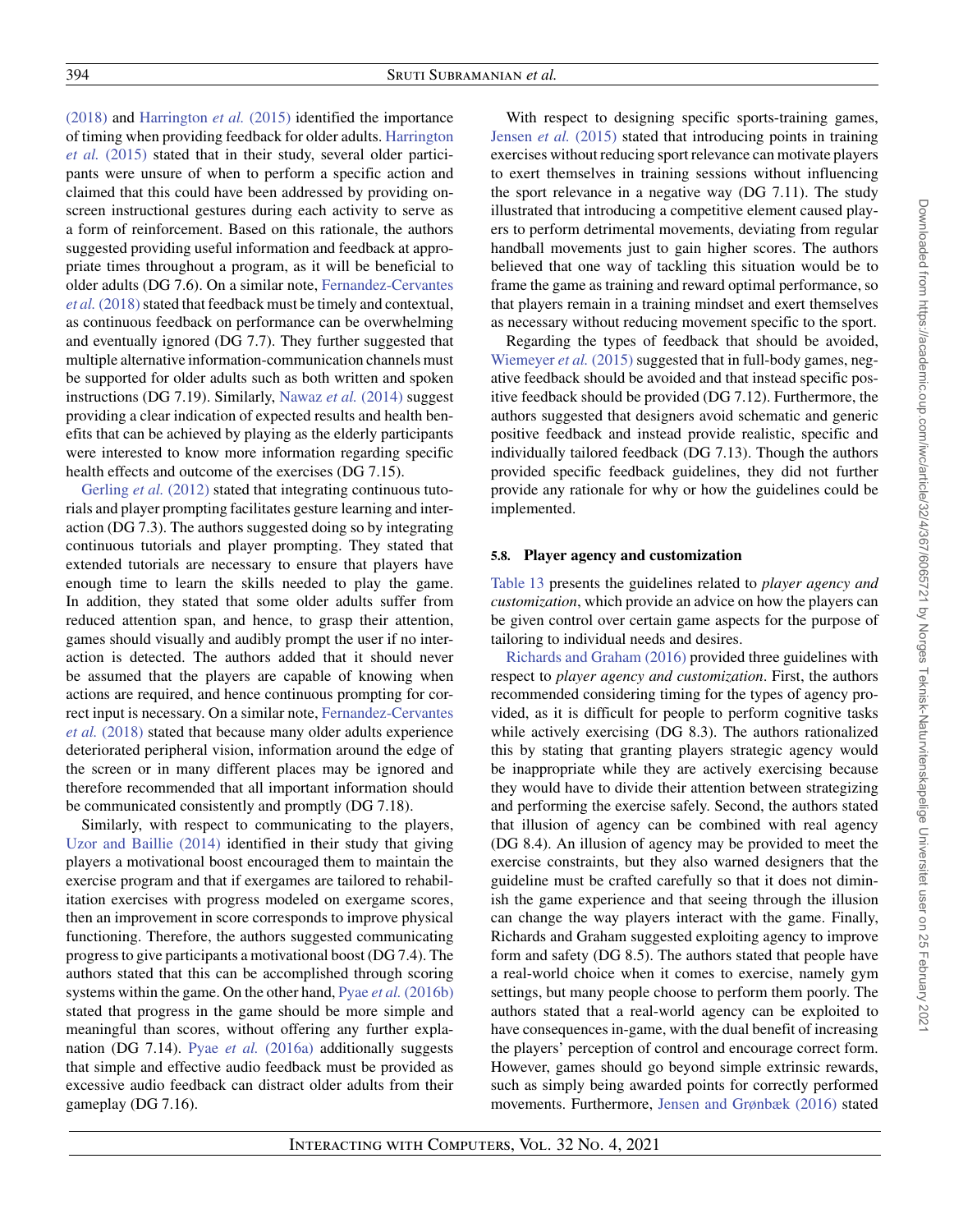[\(2018\)](#page-37-21) and [Harrington](#page-37-18) *et al.* (2015) identified the importance [of timing when providing feedback for older adults.](#page-37-18) Harrington *et al.* (2015) stated that in their study, several older participants were unsure of when to perform a specific action and claimed that this could have been addressed by providing onscreen instructional gestures during each activity to serve as a form of reinforcement. Based on this rationale, the authors suggested providing useful information and feedback at appropriate times throughout a program, as it will be beneficial to older adults (DG 7.6). On a similar note, Fernandez-Cervantes *et al.* (2018) stated that feedback must be timely and contextual, as continuous feedback on performance can be overwhelming and eventually ignored (DG 7.7). They further suggested that multiple alternative information-communication channels must be supported for older adults such as both written and spoken instructions (DG 7.19). Similarly, [Nawaz](#page-38-26) *et al.* (2014) suggest providing a clear indication of expected results and health benefits that can be achieved by playing as the elderly participants were interested to know more information regarding specific health effects and outcome of the exercises (DG 7.15).

[Gerling](#page-37-12) *et al.* (2012) stated that integrating continuous tutorials and player prompting facilitates gesture learning and interaction (DG 7.3). The authors suggested doing so by integrating continuous tutorials and player prompting. They stated that extended tutorials are necessary to ensure that players have enough time to learn the skills needed to play the game. In addition, they stated that some older adults suffer from reduced attention span, and hence, to grasp their attention, games should visually and audibly prompt the user if no interaction is detected. The authors added that it should never be assumed that the players are capable of knowing when actions are required, and hence continuous prompting for correct input is necessary. On a similar note, Fernandez-Cervantes *et al.* (2018) [stated that because many older adults experience](#page-37-21) deteriorated peripheral vision, information around the edge of the screen or in many different places may be ignored and therefore recommended that all important information should be communicated consistently and promptly (DG 7.18).

Similarly, with respect to communicating to the players, [Uzor and Baillie \(2014\)](#page-38-25) identified in their study that giving players a motivational boost encouraged them to maintain the exercise program and that if exergames are tailored to rehabilitation exercises with progress modeled on exergame scores, then an improvement in score corresponds to improve physical functioning. Therefore, the authors suggested communicating progress to give participants a motivational boost (DG 7.4). The authors stated that this can be accomplished through scoring systems within the game. On the other hand, Pyae *et al.* [\(2016b\)](#page-38-21) stated that progress in the game should be more simple and meaningful than scores, without offering any further explanation (DG 7.14). Pyae *et al.* [\(2016a\)](#page-38-20) additionally suggests that simple and effective audio feedback must be provided as excessive audio feedback can distract older adults from their gameplay (DG 7.16).

With respect to designing specific sports-training games, Jensen *et al.* [\(2015\)](#page-37-19) stated that introducing points in training exercises without reducing sport relevance can motivate players to exert themselves in training sessions without influencing the sport relevance in a negative way (DG 7.11). The study illustrated that introducing a competitive element caused players to perform detrimental movements, deviating from regular handball movements just to gain higher scores. The authors believed that one way of tackling this situation would be to frame the game as training and reward optimal performance, so that players remain in a training mindset and exert themselves as necessary without reducing movement specific to the sport.

Regarding the types of feedback that should be avoided, [Wiemeyer](#page-39-0) *et al.* (2015) suggested that in full-body games, negative feedback should be avoided and that instead specific positive feedback should be provided (DG 7.12). Furthermore, the authors suggested that designers avoid schematic and generic positive feedback and instead provide realistic, specific and individually tailored feedback (DG 7.13). Though the authors provided specific feedback guidelines, they did not further provide any rationale for why or how the guidelines could be implemented.

#### **5.8. Player agency and customization**

[Table 13](#page-28-0) presents the guidelines related to *player agency and customization*, which provide an advice on how the players can be given control over certain game aspects for the purpose of tailoring to individual needs and desires.

[Richards and Graham \(2016\)](#page-38-19) provided three guidelines with respect to *player agency and customization*. First, the authors recommended considering timing for the types of agency provided, as it is difficult for people to perform cognitive tasks while actively exercising (DG 8.3). The authors rationalized this by stating that granting players strategic agency would be inappropriate while they are actively exercising because they would have to divide their attention between strategizing and performing the exercise safely. Second, the authors stated that illusion of agency can be combined with real agency (DG 8.4). An illusion of agency may be provided to meet the exercise constraints, but they also warned designers that the guideline must be crafted carefully so that it does not diminish the game experience and that seeing through the illusion can change the way players interact with the game. Finally, Richards and Graham suggested exploiting agency to improve form and safety (DG 8.5). The authors stated that people have a real-world choice when it comes to exercise, namely gym settings, but many people choose to perform them poorly. The authors stated that a real-world agency can be exploited to have consequences in-game, with the dual benefit of increasing the players' perception of control and encourage correct form. However, games should go beyond simple extrinsic rewards, such as simply being awarded points for correctly performed movements. Furthermore, [Jensen and Grønbæk \(2016\)](#page-37-20) stated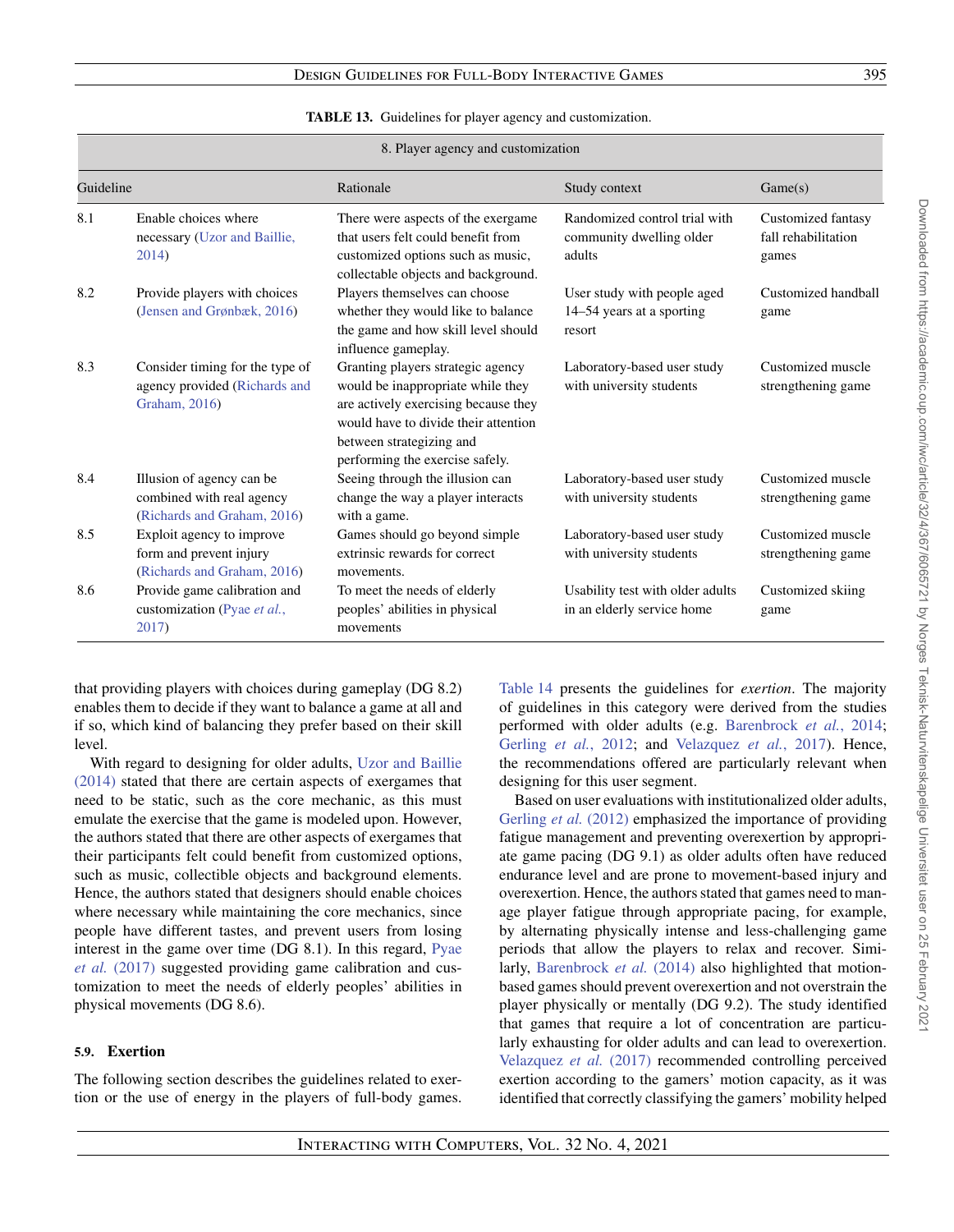| <b>TABLE 13.</b> Guidelines for player agency and customization. |  |  |
|------------------------------------------------------------------|--|--|
|------------------------------------------------------------------|--|--|

<span id="page-28-0"></span>

|           | 8. Player agency and customization                                                    |                                                                                                                                                                                                                       |                                                                     |                                                    |  |
|-----------|---------------------------------------------------------------------------------------|-----------------------------------------------------------------------------------------------------------------------------------------------------------------------------------------------------------------------|---------------------------------------------------------------------|----------------------------------------------------|--|
| Guideline |                                                                                       | Rationale                                                                                                                                                                                                             | Study context                                                       | Game(s)                                            |  |
| 8.1       | Enable choices where<br>necessary (Uzor and Baillie,<br>2014)                         | There were aspects of the exergame<br>that users felt could benefit from<br>customized options such as music,<br>collectable objects and background.                                                                  | Randomized control trial with<br>community dwelling older<br>adults | Customized fantasy<br>fall rehabilitation<br>games |  |
| 8.2       | Provide players with choices<br>(Jensen and Grønbæk, 2016)                            | Players themselves can choose<br>whether they would like to balance<br>the game and how skill level should<br>influence gameplay.                                                                                     | User study with people aged<br>14–54 years at a sporting<br>resort  | Customized handball<br>game                        |  |
| 8.3       | Consider timing for the type of<br>agency provided (Richards and<br>Graham, 2016)     | Granting players strategic agency<br>would be inappropriate while they<br>are actively exercising because they<br>would have to divide their attention<br>between strategizing and<br>performing the exercise safely. | Laboratory-based user study<br>with university students             | Customized muscle<br>strengthening game            |  |
| 8.4       | Illusion of agency can be<br>combined with real agency<br>(Richards and Graham, 2016) | Seeing through the illusion can<br>change the way a player interacts<br>with a game.                                                                                                                                  | Laboratory-based user study<br>with university students             | Customized muscle<br>strengthening game            |  |
| 8.5       | Exploit agency to improve<br>form and prevent injury<br>(Richards and Graham, 2016)   | Games should go beyond simple<br>extrinsic rewards for correct<br>movements.                                                                                                                                          | Laboratory-based user study<br>with university students             | Customized muscle<br>strengthening game            |  |
| 8.6       | Provide game calibration and<br>customization (Pyae et al.,<br>2017)                  | To meet the needs of elderly<br>peoples' abilities in physical<br>movements                                                                                                                                           | Usability test with older adults<br>in an elderly service home      | Customized skiing<br>game                          |  |

that providing players with choices during gameplay (DG 8.2) enables them to decide if they want to balance a game at all and if so, which kind of balancing they prefer based on their skill level.

With regard to designing for older adults, Uzor and Baillie (2014) [stated that there are certain aspects of exergames that](#page-38-25) need to be static, such as the core mechanic, as this must emulate the exercise that the game is modeled upon. However, the authors stated that there are other aspects of exergames that their participants felt could benefit from customized options, such as music, collectible objects and background elements. Hence, the authors stated that designers should enable choices where necessary while maintaining the core mechanics, since people have different tastes, and prevent users from losing [interest in the game over time \(DG 8.1\). In this regard,](#page-38-22) Pyae *et al.* (2017) suggested providing game calibration and customization to meet the needs of elderly peoples' abilities in physical movements (DG 8.6).

# **5.9. Exertion**

The following section describes the guidelines related to exertion or the use of energy in the players of full-body games.

[Table 14](#page-29-0) presents the guidelines for *exertion*. The majority of guidelines in this category were derived from the studies performed with older adults (e.g. [Barenbrock](#page-36-15) *et al.*, 2014; [Gerling](#page-37-12) *et al.*, 2012; and [Velazquez](#page-38-24) *et al.*, 2017). Hence, the recommendations offered are particularly relevant when designing for this user segment.

Based on user evaluations with institutionalized older adults, [Gerling](#page-37-12) *et al.* (2012) emphasized the importance of providing fatigue management and preventing overexertion by appropriate game pacing (DG 9.1) as older adults often have reduced endurance level and are prone to movement-based injury and overexertion. Hence, the authors stated that games need to manage player fatigue through appropriate pacing, for example, by alternating physically intense and less-challenging game periods that allow the players to relax and recover. Simi-larly, [Barenbrock](#page-36-15) *et al.* (2014) also highlighted that motionbased games should prevent overexertion and not overstrain the player physically or mentally (DG 9.2). The study identified that games that require a lot of concentration are particularly exhausting for older adults and can lead to overexertion. [Velazquez](#page-38-24) *et al.* (2017) recommended controlling perceived exertion according to the gamers' motion capacity, as it was identified that correctly classifying the gamers' mobility helped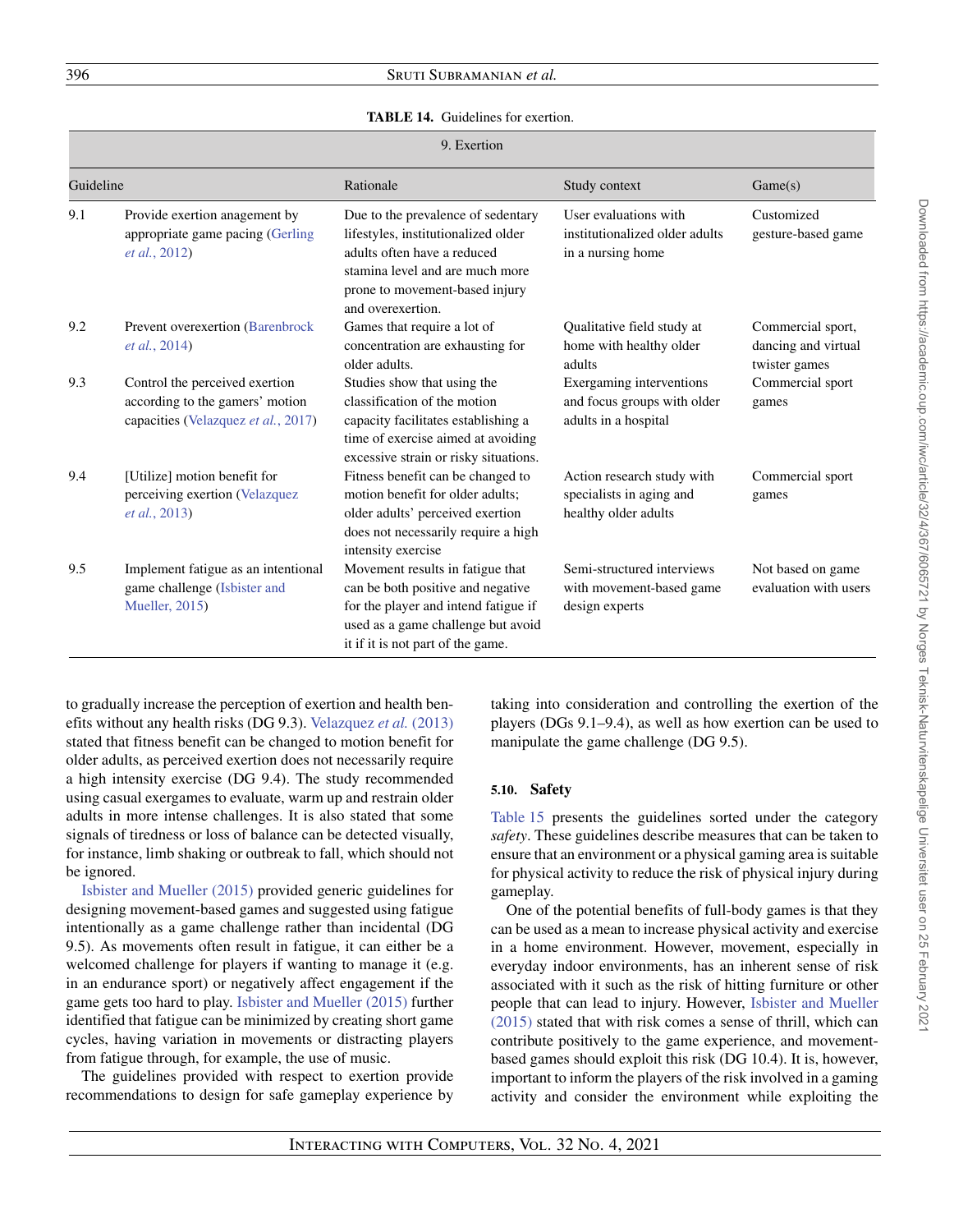# <span id="page-29-0"></span>396 Sruti Subramanian *et al.*

#### **TABLE 14.** Guidelines for exertion.

| 9. Exertion |
|-------------|
|             |

| Guideline |                                                                                                          | Rationale                                                                                                                                                                                          | Study context                                                                   | Game(s)                                                   |
|-----------|----------------------------------------------------------------------------------------------------------|----------------------------------------------------------------------------------------------------------------------------------------------------------------------------------------------------|---------------------------------------------------------------------------------|-----------------------------------------------------------|
| 9.1       | Provide exertion anagement by<br>appropriate game pacing (Gerling<br>et al., 2012)                       | Due to the prevalence of sedentary<br>lifestyles, institutionalized older<br>adults often have a reduced<br>stamina level and are much more<br>prone to movement-based injury<br>and overexertion. | User evaluations with<br>institutionalized older adults<br>in a nursing home    | Customized<br>gesture-based game                          |
| 9.2       | Prevent overexertion (Barenbrock<br><i>et al.</i> , 2014)                                                | Games that require a lot of<br>concentration are exhausting for<br>older adults.                                                                                                                   | Qualitative field study at<br>home with healthy older<br>adults                 | Commercial sport,<br>dancing and virtual<br>twister games |
| 9.3       | Control the perceived exertion<br>according to the gamers' motion<br>capacities (Velazquez et al., 2017) | Studies show that using the<br>classification of the motion<br>capacity facilitates establishing a<br>time of exercise aimed at avoiding<br>excessive strain or risky situations.                  | Exergaming interventions<br>and focus groups with older<br>adults in a hospital | Commercial sport<br>games                                 |
| 9.4       | [Utilize] motion benefit for<br>perceiving exertion (Velazquez<br><i>et al.</i> , 2013)                  | Fitness benefit can be changed to<br>motion benefit for older adults;<br>older adults' perceived exertion<br>does not necessarily require a high<br>intensity exercise                             | Action research study with<br>specialists in aging and<br>healthy older adults  | Commercial sport<br>games                                 |
| 9.5       | Implement fatigue as an intentional<br>game challenge (Isbister and<br><b>Mueller</b> , 2015)            | Movement results in fatigue that<br>can be both positive and negative<br>for the player and intend fatigue if<br>used as a game challenge but avoid<br>it if it is not part of the game.           | Semi-structured interviews<br>with movement-based game<br>design experts        | Not based on game<br>evaluation with users                |

to gradually increase the perception of exertion and health benefits without any health risks (DG 9.3). [Velazquez](#page-38-23) *et al.* (2013) stated that fitness benefit can be changed to motion benefit for older adults, as perceived exertion does not necessarily require a high intensity exercise (DG 9.4). The study recommended using casual exergames to evaluate, warm up and restrain older adults in more intense challenges. It is also stated that some signals of tiredness or loss of balance can be detected visually, for instance, limb shaking or outbreak to fall, which should not be ignored.

[Isbister and Mueller \(2015\)](#page-37-16) provided generic guidelines for designing movement-based games and suggested using fatigue intentionally as a game challenge rather than incidental (DG 9.5). As movements often result in fatigue, it can either be a welcomed challenge for players if wanting to manage it (e.g. in an endurance sport) or negatively affect engagement if the game gets too hard to play. [Isbister and Mueller \(2015\)](#page-37-16) further identified that fatigue can be minimized by creating short game cycles, having variation in movements or distracting players from fatigue through, for example, the use of music.

The guidelines provided with respect to exertion provide recommendations to design for safe gameplay experience by taking into consideration and controlling the exertion of the players (DGs 9.1–9.4), as well as how exertion can be used to manipulate the game challenge (DG 9.5).

## **5.10. Safety**

[Table 15](#page-30-0) presents the guidelines sorted under the category *safety*. These guidelines describe measures that can be taken to ensure that an environment or a physical gaming area is suitable for physical activity to reduce the risk of physical injury during gameplay.

One of the potential benefits of full-body games is that they can be used as a mean to increase physical activity and exercise in a home environment. However, movement, especially in everyday indoor environments, has an inherent sense of risk associated with it such as the risk of hitting furniture or other people that can lead to injury. However, Isbister and Mueller (2015) [stated that with risk comes a sense of thrill, which can](#page-37-16) contribute positively to the game experience, and movementbased games should exploit this risk (DG 10.4). It is, however, important to inform the players of the risk involved in a gaming activity and consider the environment while exploiting the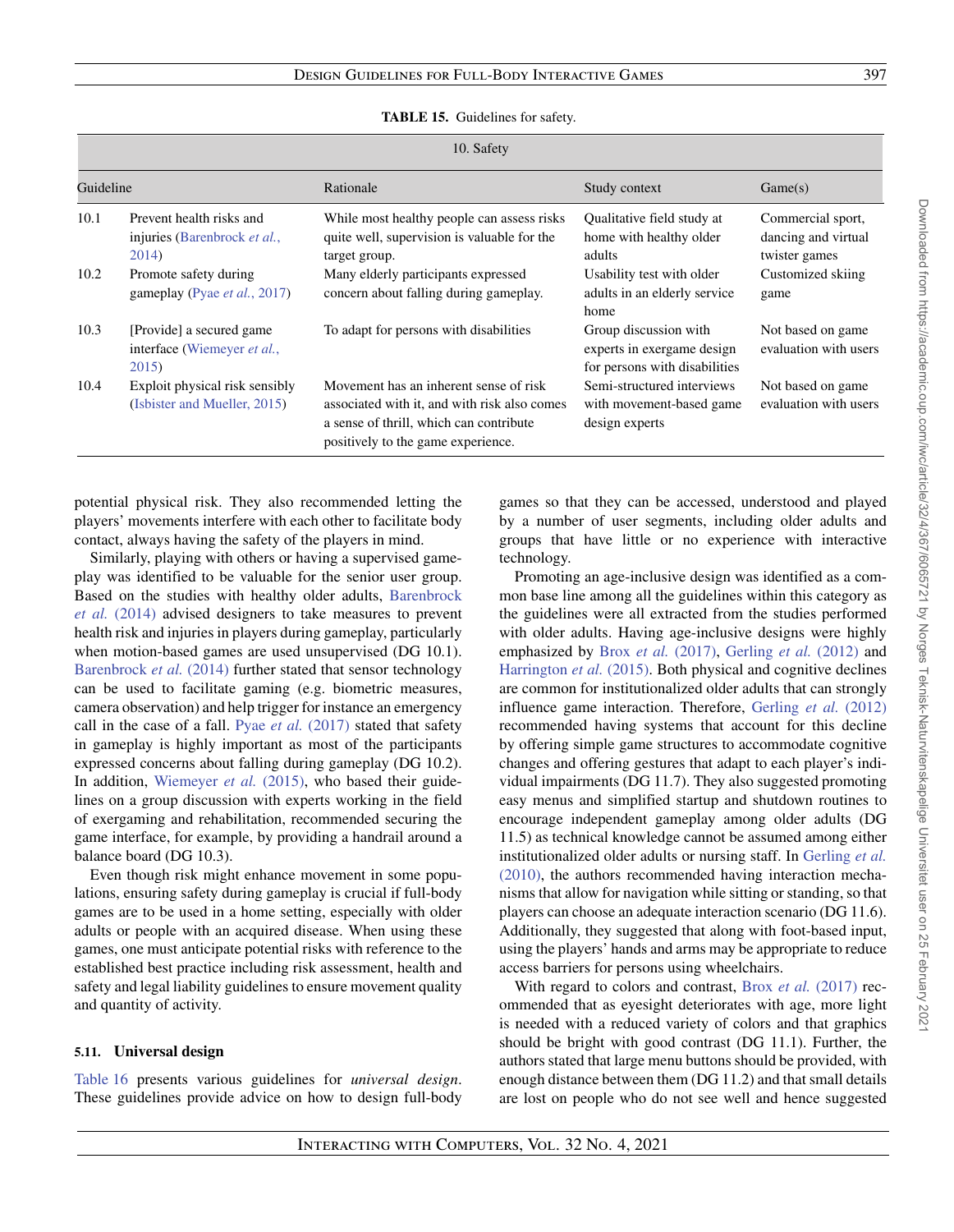<span id="page-30-0"></span>

| 10. Safety |                                                                   |                                                                                                                                                                         |                                                                                      |                                                           |
|------------|-------------------------------------------------------------------|-------------------------------------------------------------------------------------------------------------------------------------------------------------------------|--------------------------------------------------------------------------------------|-----------------------------------------------------------|
| Guideline  |                                                                   | Rationale                                                                                                                                                               | Study context                                                                        | Game(s)                                                   |
| 10.1       | Prevent health risks and<br>injuries (Barenbrock et al.,<br>2014) | While most healthy people can assess risks<br>quite well, supervision is valuable for the<br>target group.                                                              | Qualitative field study at<br>home with healthy older<br>adults                      | Commercial sport,<br>dancing and virtual<br>twister games |
| 10.2       | Promote safety during<br>gameplay (Pyae <i>et al.</i> , 2017)     | Many elderly participants expressed<br>concern about falling during gameplay.                                                                                           | Usability test with older<br>adults in an elderly service<br>home                    | Customized skiing<br>game                                 |
| 10.3       | [Provide] a secured game<br>interface (Wiemeyer et al.,<br>2015)  | To adapt for persons with disabilities                                                                                                                                  | Group discussion with<br>experts in exergame design<br>for persons with disabilities | Not based on game<br>evaluation with users                |
| 10.4       | Exploit physical risk sensibly<br>(Isbister and Mueller, 2015)    | Movement has an inherent sense of risk<br>associated with it, and with risk also comes<br>a sense of thrill, which can contribute<br>positively to the game experience. | Semi-structured interviews<br>with movement-based game<br>design experts             | Not based on game<br>evaluation with users                |

| <b>TABLE 15.</b> Guidelines for safety. |  |  |  |
|-----------------------------------------|--|--|--|
|-----------------------------------------|--|--|--|

potential physical risk. They also recommended letting the players' movements interfere with each other to facilitate body contact, always having the safety of the players in mind.

Similarly, playing with others or having a supervised gameplay was identified to be valuable for the senior user group. [Based on the studies with healthy older adults,](#page-36-15) Barenbrock *et al.* (2014) advised designers to take measures to prevent health risk and injuries in players during gameplay, particularly when motion-based games are used unsupervised (DG 10.1). [Barenbrock](#page-36-15) *et al.* (2014) further stated that sensor technology can be used to facilitate gaming (e.g. biometric measures, camera observation) and help trigger for instance an emergency call in the case of a fall. Pyae *et al.* [\(2017\)](#page-38-22) stated that safety in gameplay is highly important as most of the participants expressed concerns about falling during gameplay (DG 10.2). In addition, [Wiemeyer](#page-39-0) *et al.* (2015), who based their guidelines on a group discussion with experts working in the field of exergaming and rehabilitation, recommended securing the game interface, for example, by providing a handrail around a balance board (DG 10.3).

Even though risk might enhance movement in some populations, ensuring safety during gameplay is crucial if full-body games are to be used in a home setting, especially with older adults or people with an acquired disease. When using these games, one must anticipate potential risks with reference to the established best practice including risk assessment, health and safety and legal liability guidelines to ensure movement quality and quantity of activity.

## **5.11. Universal design**

[Table 16](#page-31-1) presents various guidelines for *universal design*. These guidelines provide advice on how to design full-body games so that they can be accessed, understood and played by a number of user segments, including older adults and groups that have little or no experience with interactive technology.

Promoting an age-inclusive design was identified as a common base line among all the guidelines within this category as the guidelines were all extracted from the studies performed with older adults. Having age-inclusive designs were highly emphasized by Brox *et al.* [\(2017\),](#page-36-13) [Gerling](#page-37-12) *et al.* (2012) and [Harrington](#page-37-18) *et al.* (2015). Both physical and cognitive declines are common for institutionalized older adults that can strongly influence game interaction. Therefore, [Gerling](#page-37-12) *et al.* (2012) recommended having systems that account for this decline by offering simple game structures to accommodate cognitive changes and offering gestures that adapt to each player's individual impairments (DG 11.7). They also suggested promoting easy menus and simplified startup and shutdown routines to encourage independent gameplay among older adults (DG 11.5) as technical knowledge cannot be assumed among either institutionalized older adults or nursing staff. In Gerling *et al.* [\(2010\), the authors recommended having interaction mecha](#page-37-17)nisms that allow for navigation while sitting or standing, so that players can choose an adequate interaction scenario (DG 11.6). Additionally, they suggested that along with foot-based input, using the players' hands and arms may be appropriate to reduce access barriers for persons using wheelchairs.

With regard to colors and contrast, Brox *et al.* [\(2017\)](#page-36-13) recommended that as eyesight deteriorates with age, more light is needed with a reduced variety of colors and that graphics should be bright with good contrast (DG 11.1). Further, the authors stated that large menu buttons should be provided, with enough distance between them (DG 11.2) and that small details are lost on people who do not see well and hence suggested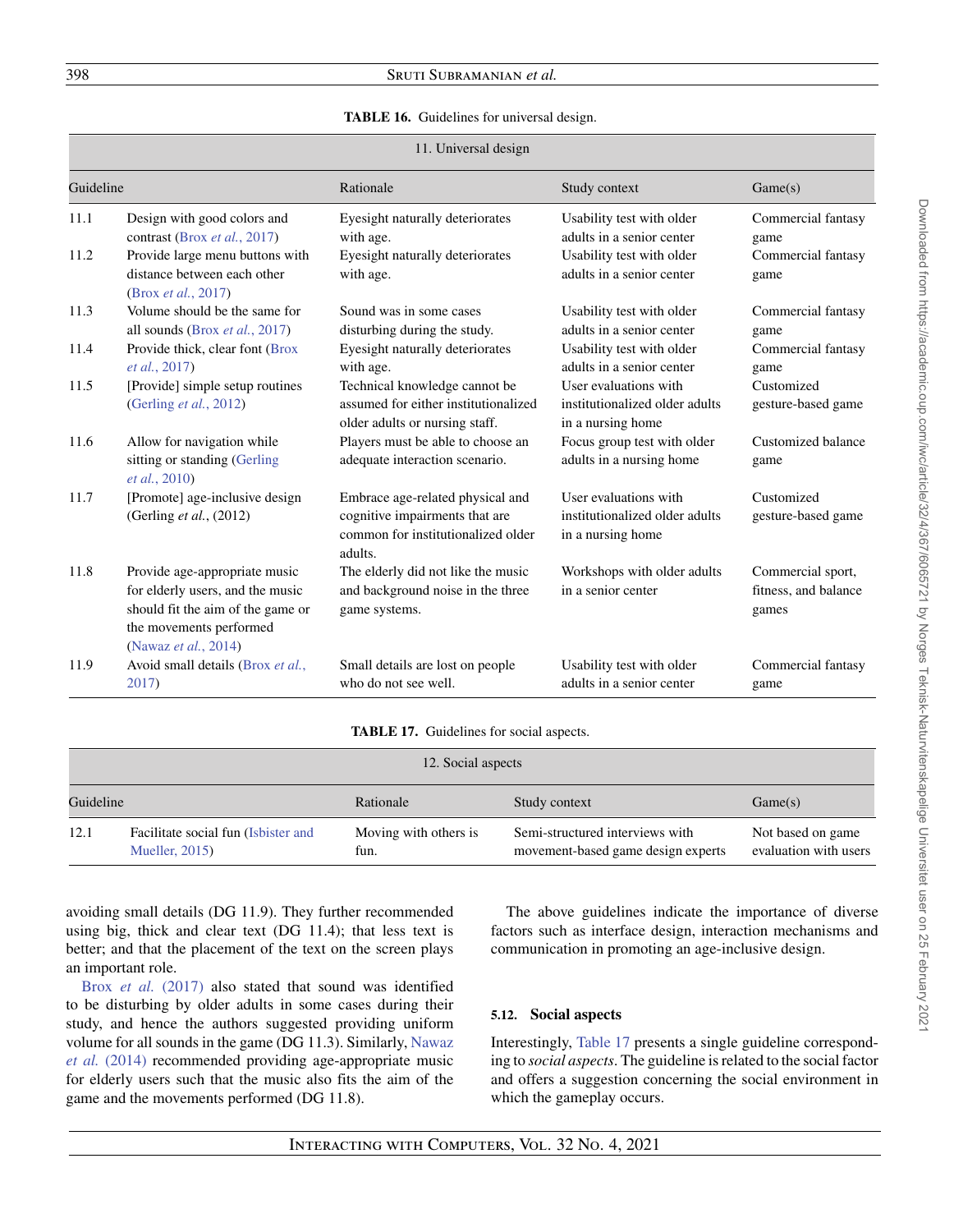#### **TABLE 16.** Guidelines for universal design.

<span id="page-31-1"></span>

| 11. Universal design |                                                                                                                                                           |                                                                                                                     |                                                                              |                                                    |
|----------------------|-----------------------------------------------------------------------------------------------------------------------------------------------------------|---------------------------------------------------------------------------------------------------------------------|------------------------------------------------------------------------------|----------------------------------------------------|
| Guideline            |                                                                                                                                                           | Rationale                                                                                                           | Study context                                                                | Game(s)                                            |
| 11.1                 | Design with good colors and<br>contrast (Brox et al., 2017)                                                                                               | Eyesight naturally deteriorates<br>with age.                                                                        | Usability test with older<br>adults in a senior center                       | Commercial fantasy<br>game                         |
| 11.2                 | Provide large menu buttons with<br>distance between each other<br>(Brox et al., 2017)                                                                     | Eyesight naturally deteriorates<br>with age.                                                                        | Usability test with older<br>adults in a senior center                       | Commercial fantasy<br>game                         |
| 11.3                 | Volume should be the same for<br>all sounds (Brox et al., 2017)                                                                                           | Sound was in some cases<br>disturbing during the study.                                                             | Usability test with older<br>adults in a senior center                       | Commercial fantasy<br>game                         |
| 11.4                 | Provide thick, clear font (Brox<br><i>et al.</i> , 2017)                                                                                                  | Eyesight naturally deteriorates<br>with age.                                                                        | Usability test with older<br>adults in a senior center                       | Commercial fantasy<br>game                         |
| 11.5                 | [Provide] simple setup routines<br>(Gerling et al., 2012)                                                                                                 | Technical knowledge cannot be<br>assumed for either institutionalized<br>older adults or nursing staff.             | User evaluations with<br>institutionalized older adults<br>in a nursing home | Customized<br>gesture-based game                   |
| 11.6                 | Allow for navigation while<br>sitting or standing (Gerling<br>et al., 2010)                                                                               | Players must be able to choose an<br>adequate interaction scenario.                                                 | Focus group test with older<br>adults in a nursing home                      | Customized balance<br>game                         |
| 11.7                 | [Promote] age-inclusive design<br>(Gerling $et al., (2012)$                                                                                               | Embrace age-related physical and<br>cognitive impairments that are<br>common for institutionalized older<br>adults. | User evaluations with<br>institutionalized older adults<br>in a nursing home | Customized<br>gesture-based game                   |
| 11.8                 | Provide age-appropriate music<br>for elderly users, and the music<br>should fit the aim of the game or<br>the movements performed<br>(Nawaz et al., 2014) | The elderly did not like the music<br>and background noise in the three<br>game systems.                            | Workshops with older adults<br>in a senior center                            | Commercial sport,<br>fitness, and balance<br>games |
| 11.9                 | Avoid small details (Brox et al.,<br>2017)                                                                                                                | Small details are lost on people<br>who do not see well.                                                            | Usability test with older<br>adults in a senior center                       | Commercial fantasy<br>game                         |

### **TABLE 17.** Guidelines for social aspects.

<span id="page-31-0"></span>

| 12. Social aspects |                                                               |                               |                                                                       |                                            |  |
|--------------------|---------------------------------------------------------------|-------------------------------|-----------------------------------------------------------------------|--------------------------------------------|--|
| Guideline          |                                                               | Rationale<br>Study context    |                                                                       | Game(s)                                    |  |
| 12.1               | Facilitate social fun (Isbister and<br><b>Mueller</b> , 2015) | Moving with others is<br>fun. | Semi-structured interviews with<br>movement-based game design experts | Not based on game<br>evaluation with users |  |

avoiding small details (DG 11.9). They further recommended using big, thick and clear text (DG 11.4); that less text is better; and that the placement of the text on the screen plays an important role.

Brox *et al.* [\(2017\)](#page-36-13) also stated that sound was identified to be disturbing by older adults in some cases during their study, and hence the authors suggested providing uniform [volume for all sounds in the game \(DG 11.3\). Similarly,](#page-38-26) Nawaz *et al.* (2014) recommended providing age-appropriate music for elderly users such that the music also fits the aim of the game and the movements performed (DG 11.8).

The above guidelines indicate the importance of diverse factors such as interface design, interaction mechanisms and communication in promoting an age-inclusive design.

## **5.12. Social aspects**

Interestingly, [Table 17](#page-31-0) presents a single guideline corresponding to *social aspects*. The guideline is related to the social factor and offers a suggestion concerning the social environment in which the gameplay occurs.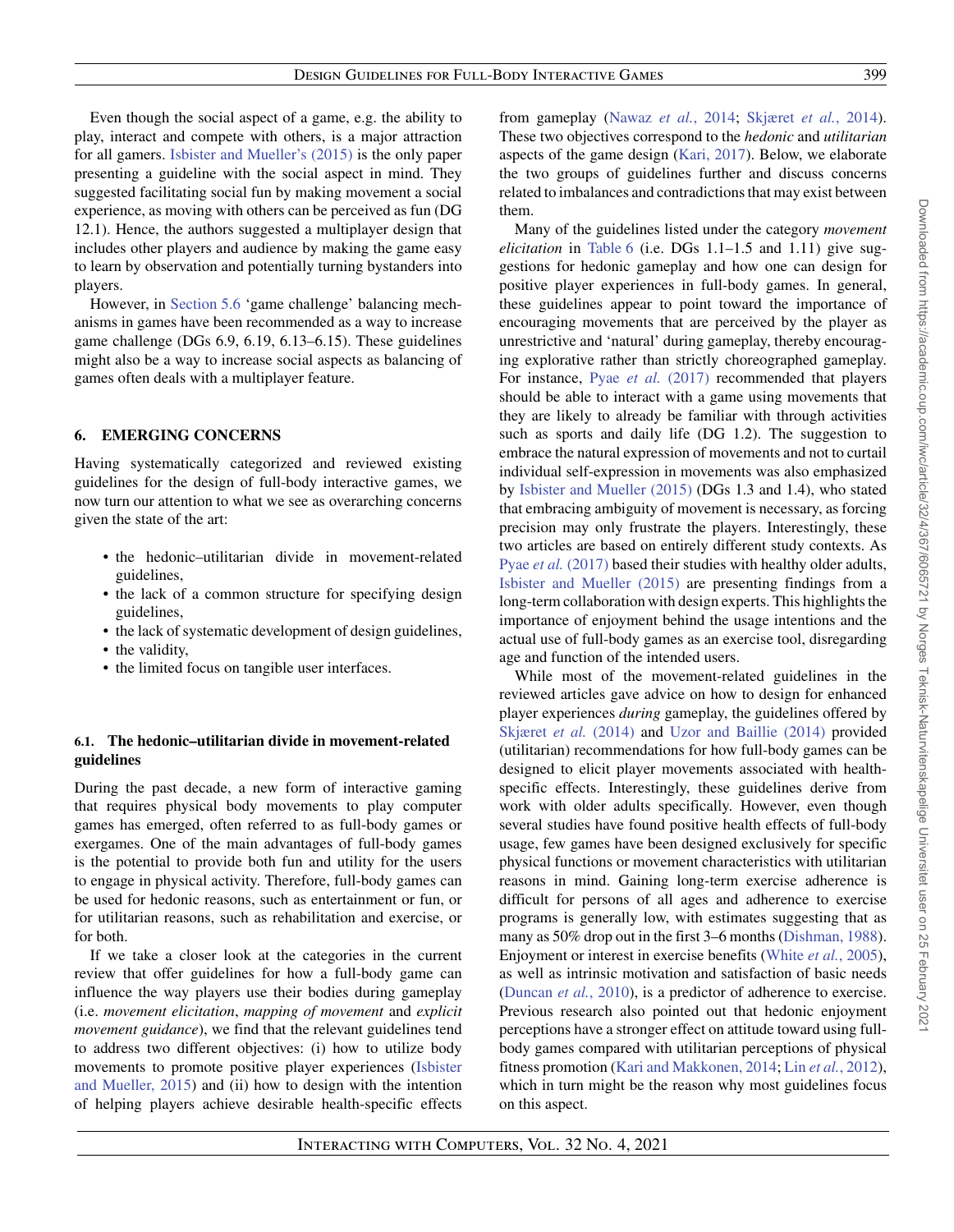Even though the social aspect of a game, e.g. the ability to play, interact and compete with others, is a major attraction for all gamers. [Isbister and Mueller's \(2015\)](#page-37-16) is the only paper presenting a guideline with the social aspect in mind. They suggested facilitating social fun by making movement a social experience, as moving with others can be perceived as fun (DG 12.1). Hence, the authors suggested a multiplayer design that includes other players and audience by making the game easy to learn by observation and potentially turning bystanders into players.

However, in [Section 5.6](#page-21-0) 'game challenge' balancing mechanisms in games have been recommended as a way to increase game challenge (DGs 6.9, 6.19, 6.13–6.15). These guidelines might also be a way to increase social aspects as balancing of games often deals with a multiplayer feature.

# <span id="page-32-0"></span>**6. EMERGING CONCERNS**

Having systematically categorized and reviewed existing guidelines for the design of full-body interactive games, we now turn our attention to what we see as overarching concerns given the state of the art:

- the hedonic–utilitarian divide in movement-related guidelines,
- the lack of a common structure for specifying design guidelines,
- the lack of systematic development of design guidelines,
- the validity,
- the limited focus on tangible user interfaces.

# <span id="page-32-1"></span>**6.1. The hedonic–utilitarian divide in movement-related guidelines**

During the past decade, a new form of interactive gaming that requires physical body movements to play computer games has emerged, often referred to as full-body games or exergames. One of the main advantages of full-body games is the potential to provide both fun and utility for the users to engage in physical activity. Therefore, full-body games can be used for hedonic reasons, such as entertainment or fun, or for utilitarian reasons, such as rehabilitation and exercise, or for both.

If we take a closer look at the categories in the current review that offer guidelines for how a full-body game can influence the way players use their bodies during gameplay (i.e. *movement elicitation*, *mapping of movement* and *explicit movement guidance*), we find that the relevant guidelines tend to address two different objectives: (i) how to utilize body movements to promote positive player experiences (Isbister [and Mueller, 2015\) and \(ii\) how to design with the intention](#page-37-16) of helping players achieve desirable health-specific effects from gameplay [\(Nawaz](#page-38-26) *et al.*, 2014; [Skjæret](#page-38-18) *et al.*, 2014). These two objectives correspond to the *hedonic* and *utilitarian* aspects of the game design [\(Kari, 2017\)](#page-37-24). Below, we elaborate the two groups of guidelines further and discuss concerns related to imbalances and contradictions that may exist between them.

Many of the guidelines listed under the category *movement elicitation* in [Table 6](#page-15-0) (i.e. DGs 1.1–1.5 and 1.11) give suggestions for hedonic gameplay and how one can design for positive player experiences in full-body games. In general, these guidelines appear to point toward the importance of encouraging movements that are perceived by the player as unrestrictive and 'natural' during gameplay, thereby encouraging explorative rather than strictly choreographed gameplay. For instance, Pyae *et al.* [\(2017\)](#page-38-22) recommended that players should be able to interact with a game using movements that they are likely to already be familiar with through activities such as sports and daily life (DG 1.2). The suggestion to embrace the natural expression of movements and not to curtail individual self-expression in movements was also emphasized by [Isbister and Mueller \(2015\)](#page-37-16) (DGs 1.3 and 1.4), who stated that embracing ambiguity of movement is necessary, as forcing precision may only frustrate the players. Interestingly, these two articles are based on entirely different study contexts. As Pyae *et al.* [\(2017\)](#page-38-22) based their studies with healthy older adults, [Isbister and Mueller \(2015\)](#page-37-16) are presenting findings from a long-term collaboration with design experts. This highlights the importance of enjoyment behind the usage intentions and the actual use of full-body games as an exercise tool, disregarding age and function of the intended users.

While most of the movement-related guidelines in the reviewed articles gave advice on how to design for enhanced player experiences *during* gameplay, the guidelines offered by [Skjæret](#page-38-18) *et al.* (2014) and [Uzor and Baillie \(2014\)](#page-38-25) provided (utilitarian) recommendations for how full-body games can be designed to elicit player movements associated with healthspecific effects. Interestingly, these guidelines derive from work with older adults specifically. However, even though several studies have found positive health effects of full-body usage, few games have been designed exclusively for specific physical functions or movement characteristics with utilitarian reasons in mind. Gaining long-term exercise adherence is difficult for persons of all ages and adherence to exercise programs is generally low, with estimates suggesting that as many as 50% drop out in the first 3–6 months [\(Dishman, 1988\)](#page-36-17). Enjoyment or interest in exercise benefits (White *et al.*[, 2005\)](#page-39-4), as well as intrinsic motivation and satisfaction of basic needs [\(Duncan](#page-37-25) *et al.*, 2010), is a predictor of adherence to exercise. Previous research also pointed out that hedonic enjoyment perceptions have a stronger effect on attitude toward using fullbody games compared with utilitarian perceptions of physical fitness promotion [\(Kari and Makkonen, 2014;](#page-37-26) Lin *et al.*[, 2012\)](#page-37-27), which in turn might be the reason why most guidelines focus on this aspect.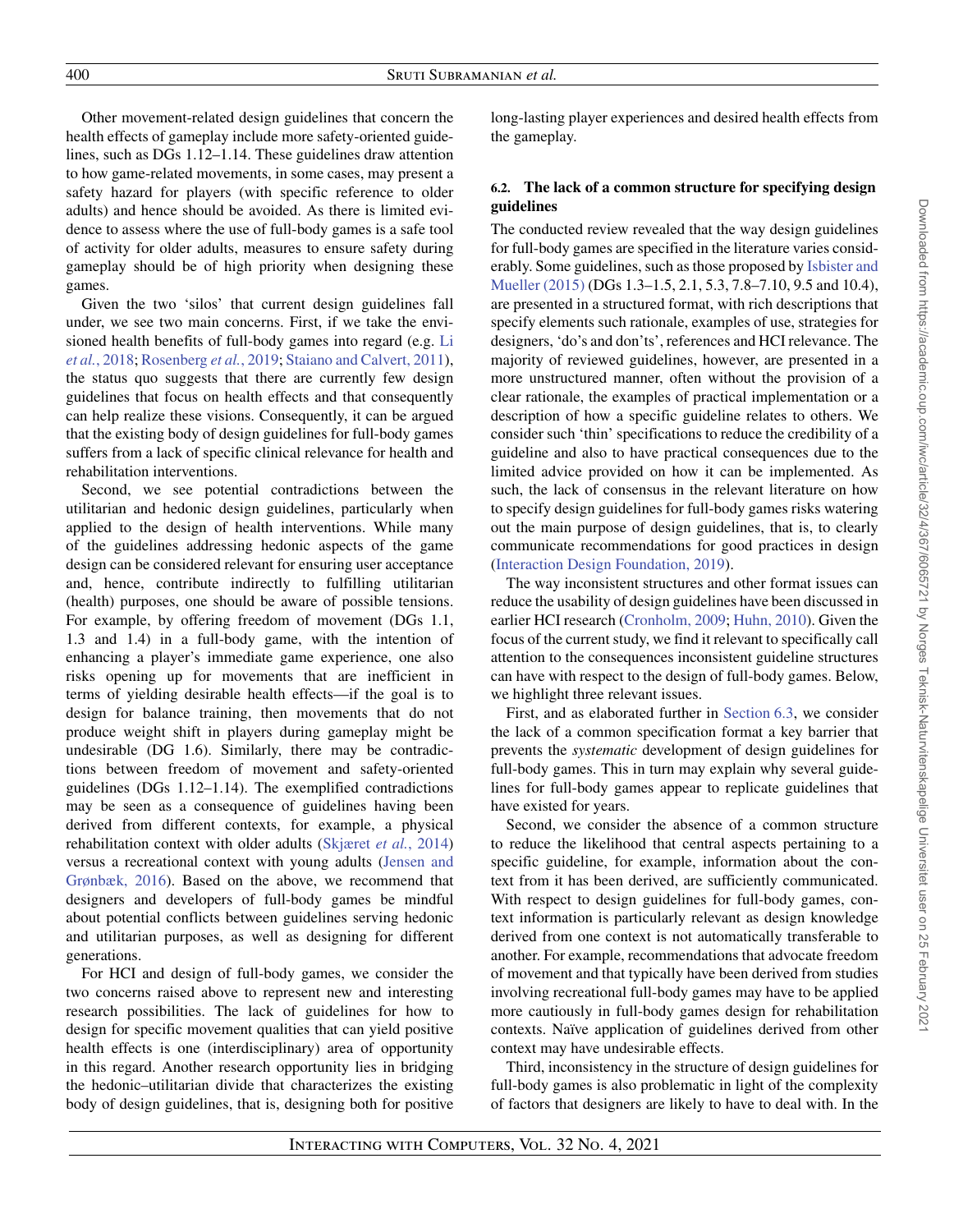Other movement-related design guidelines that concern the health effects of gameplay include more safety-oriented guidelines, such as DGs 1.12–1.14. These guidelines draw attention to how game-related movements, in some cases, may present a safety hazard for players (with specific reference to older adults) and hence should be avoided. As there is limited evidence to assess where the use of full-body games is a safe tool of activity for older adults, measures to ensure safety during gameplay should be of high priority when designing these games.

Given the two 'silos' that current design guidelines fall under, we see two main concerns. First, if we take the envi[sioned health benefits of full-body games into regard \(e.g.](#page-37-0) Li *et al.*, 2018; [Rosenberg](#page-38-1) *et al.*, 2019; [Staiano and Calvert, 2011\)](#page-38-2), the status quo suggests that there are currently few design guidelines that focus on health effects and that consequently can help realize these visions. Consequently, it can be argued that the existing body of design guidelines for full-body games suffers from a lack of specific clinical relevance for health and rehabilitation interventions.

Second, we see potential contradictions between the utilitarian and hedonic design guidelines, particularly when applied to the design of health interventions. While many of the guidelines addressing hedonic aspects of the game design can be considered relevant for ensuring user acceptance and, hence, contribute indirectly to fulfilling utilitarian (health) purposes, one should be aware of possible tensions. For example, by offering freedom of movement (DGs 1.1, 1.3 and 1.4) in a full-body game, with the intention of enhancing a player's immediate game experience, one also risks opening up for movements that are inefficient in terms of yielding desirable health effects—if the goal is to design for balance training, then movements that do not produce weight shift in players during gameplay might be undesirable (DG 1.6). Similarly, there may be contradictions between freedom of movement and safety-oriented guidelines (DGs 1.12–1.14). The exemplified contradictions may be seen as a consequence of guidelines having been derived from different contexts, for example, a physical rehabilitation context with older adults [\(Skjæret](#page-38-18) *et al.*, 2014) versus a recreational context with young adults (Jensen and [Grønbæk, 2016\). Based on the above, we recommend that](#page-37-20) designers and developers of full-body games be mindful about potential conflicts between guidelines serving hedonic and utilitarian purposes, as well as designing for different generations.

For HCI and design of full-body games, we consider the two concerns raised above to represent new and interesting research possibilities. The lack of guidelines for how to design for specific movement qualities that can yield positive health effects is one (interdisciplinary) area of opportunity in this regard. Another research opportunity lies in bridging the hedonic–utilitarian divide that characterizes the existing body of design guidelines, that is, designing both for positive

<span id="page-33-0"></span>long-lasting player experiences and desired health effects from the gameplay.

# **6.2. The lack of a common structure for specifying design guidelines**

The conducted review revealed that the way design guidelines for full-body games are specified in the literature varies consid[erably. Some guidelines, such as those proposed by](#page-37-16) Isbister and Mueller (2015) (DGs 1.3–1.5, 2.1, 5.3, 7.8–7.10, 9.5 and 10.4), are presented in a structured format, with rich descriptions that specify elements such rationale, examples of use, strategies for designers, 'do's and don'ts', references and HCI relevance. The majority of reviewed guidelines, however, are presented in a more unstructured manner, often without the provision of a clear rationale, the examples of practical implementation or a description of how a specific guideline relates to others. We consider such 'thin' specifications to reduce the credibility of a guideline and also to have practical consequences due to the limited advice provided on how it can be implemented. As such, the lack of consensus in the relevant literature on how to specify design guidelines for full-body games risks watering out the main purpose of design guidelines, that is, to clearly communicate recommendations for good practices in design [\(Interaction Design Foundation, 2019\)](#page-37-28).

The way inconsistent structures and other format issues can reduce the usability of design guidelines have been discussed in earlier HCI research [\(Cronholm, 2009;](#page-36-2) [Huhn, 2010\)](#page-37-4). Given the focus of the current study, we find it relevant to specifically call attention to the consequences inconsistent guideline structures can have with respect to the design of full-body games. Below, we highlight three relevant issues.

First, and as elaborated further in [Section 6.3,](#page-34-0) we consider the lack of a common specification format a key barrier that prevents the *systematic* development of design guidelines for full-body games. This in turn may explain why several guidelines for full-body games appear to replicate guidelines that have existed for years.

Second, we consider the absence of a common structure to reduce the likelihood that central aspects pertaining to a specific guideline, for example, information about the context from it has been derived, are sufficiently communicated. With respect to design guidelines for full-body games, context information is particularly relevant as design knowledge derived from one context is not automatically transferable to another. For example, recommendations that advocate freedom of movement and that typically have been derived from studies involving recreational full-body games may have to be applied more cautiously in full-body games design for rehabilitation contexts. Naïve application of guidelines derived from other context may have undesirable effects.

Third, inconsistency in the structure of design guidelines for full-body games is also problematic in light of the complexity of factors that designers are likely to have to deal with. In the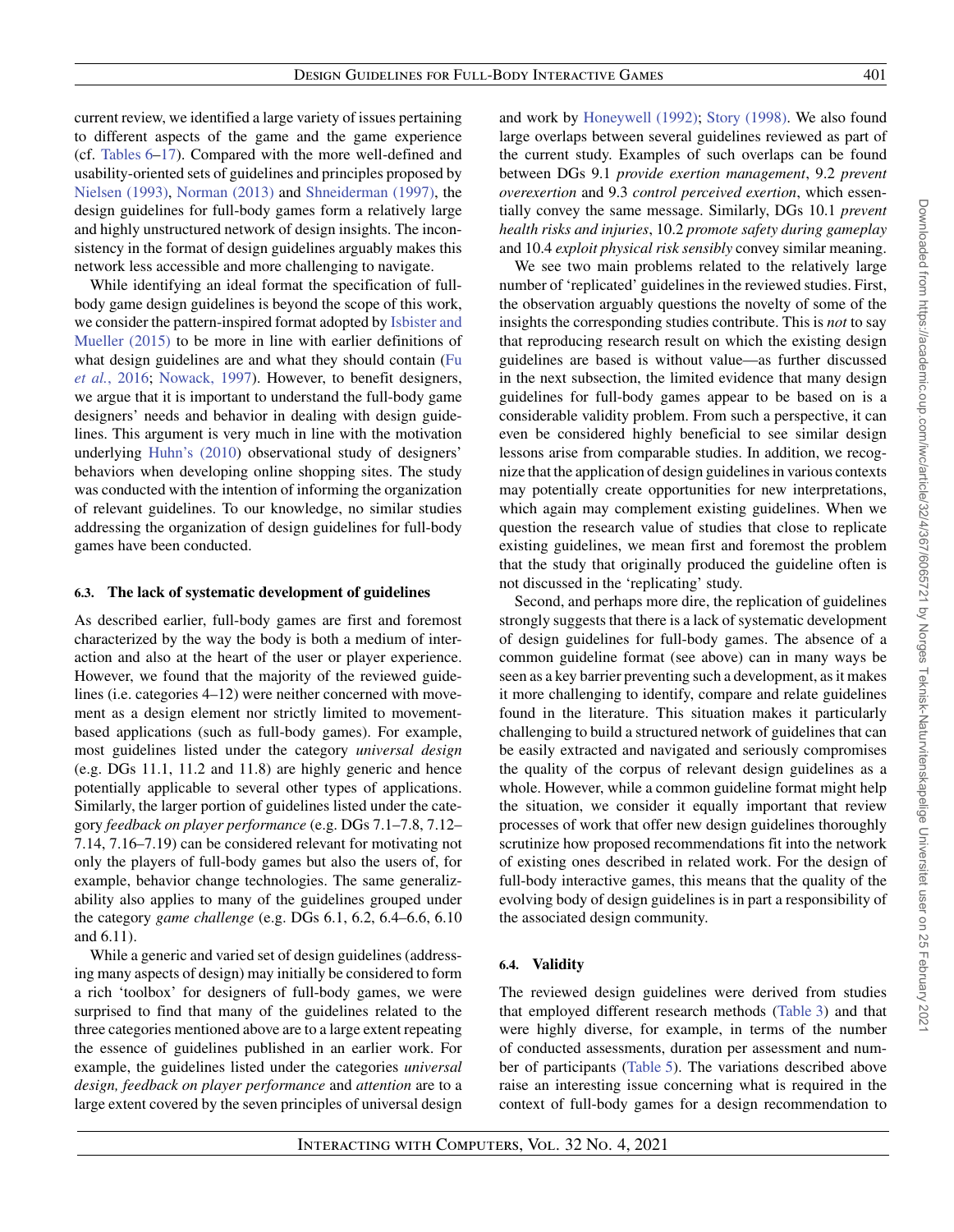current review, we identified a large variety of issues pertaining to different aspects of the game and the game experience (cf. [Tables 6](#page-15-0)[–17\)](#page-31-0). Compared with the more well-defined and usability-oriented sets of guidelines and principles proposed by [Nielsen \(1993\),](#page-38-10) [Norman \(2013\)](#page-38-11) and [Shneiderman \(1997\),](#page-38-7) the design guidelines for full-body games form a relatively large and highly unstructured network of design insights. The inconsistency in the format of design guidelines arguably makes this network less accessible and more challenging to navigate.

While identifying an ideal format the specification of fullbody game design guidelines is beyond the scope of this work, [we consider the pattern-inspired format adopted by](#page-37-16) Isbister and Mueller (2015) to be more in line with earlier definitions of [what design guidelines are and what they should contain \(Fu](#page-37-3) *et al.*, 2016; [Nowack, 1997\)](#page-38-6). However, to benefit designers, we argue that it is important to understand the full-body game designers' needs and behavior in dealing with design guidelines. This argument is very much in line with the motivation underlying [Huhn's \(2010\)](#page-37-4) observational study of designers' behaviors when developing online shopping sites. The study was conducted with the intention of informing the organization of relevant guidelines. To our knowledge, no similar studies addressing the organization of design guidelines for full-body games have been conducted.

## <span id="page-34-0"></span>**6.3. The lack of systematic development of guidelines**

As described earlier, full-body games are first and foremost characterized by the way the body is both a medium of interaction and also at the heart of the user or player experience. However, we found that the majority of the reviewed guidelines (i.e. categories 4–12) were neither concerned with movement as a design element nor strictly limited to movementbased applications (such as full-body games). For example, most guidelines listed under the category *universal design* (e.g. DGs 11.1, 11.2 and 11.8) are highly generic and hence potentially applicable to several other types of applications. Similarly, the larger portion of guidelines listed under the category *feedback on player performance* (e.g. DGs 7.1–7.8, 7.12– 7.14, 7.16–7.19) can be considered relevant for motivating not only the players of full-body games but also the users of, for example, behavior change technologies. The same generalizability also applies to many of the guidelines grouped under the category *game challenge* (e.g. DGs 6.1, 6.2, 6.4–6.6, 6.10 and 6.11).

While a generic and varied set of design guidelines (addressing many aspects of design) may initially be considered to form a rich 'toolbox' for designers of full-body games, we were surprised to find that many of the guidelines related to the three categories mentioned above are to a large extent repeating the essence of guidelines published in an earlier work. For example, the guidelines listed under the categories *universal design, feedback on player performance* and *attention* are to a large extent covered by the seven principles of universal design

and work by [Honeywell \(1992\);](#page-37-29) [Story \(1998\).](#page-38-32) We also found large overlaps between several guidelines reviewed as part of the current study. Examples of such overlaps can be found between DGs 9.1 *provide exertion management*, 9.2 *prevent overexertion* and 9.3 *control perceived exertion*, which essentially convey the same message. Similarly, DGs 10.1 *prevent health risks and injuries*, 10.2 *promote safety during gameplay* and 10.4 *exploit physical risk sensibly* convey similar meaning.

We see two main problems related to the relatively large number of 'replicated' guidelines in the reviewed studies. First, the observation arguably questions the novelty of some of the insights the corresponding studies contribute. This is *not* to say that reproducing research result on which the existing design guidelines are based is without value—as further discussed in the next subsection, the limited evidence that many design guidelines for full-body games appear to be based on is a considerable validity problem. From such a perspective, it can even be considered highly beneficial to see similar design lessons arise from comparable studies. In addition, we recognize that the application of design guidelines in various contexts may potentially create opportunities for new interpretations, which again may complement existing guidelines. When we question the research value of studies that close to replicate existing guidelines, we mean first and foremost the problem that the study that originally produced the guideline often is not discussed in the 'replicating' study.

Second, and perhaps more dire, the replication of guidelines strongly suggests that there is a lack of systematic development of design guidelines for full-body games. The absence of a common guideline format (see above) can in many ways be seen as a key barrier preventing such a development, as it makes it more challenging to identify, compare and relate guidelines found in the literature. This situation makes it particularly challenging to build a structured network of guidelines that can be easily extracted and navigated and seriously compromises the quality of the corpus of relevant design guidelines as a whole. However, while a common guideline format might help the situation, we consider it equally important that review processes of work that offer new design guidelines thoroughly scrutinize how proposed recommendations fit into the network of existing ones described in related work. For the design of full-body interactive games, this means that the quality of the evolving body of design guidelines is in part a responsibility of the associated design community.

# **6.4. Validity**

The reviewed design guidelines were derived from studies that employed different research methods [\(Table 3\)](#page-5-1) and that were highly diverse, for example, in terms of the number of conducted assessments, duration per assessment and number of participants [\(Table 5\)](#page-7-0). The variations described above raise an interesting issue concerning what is required in the context of full-body games for a design recommendation to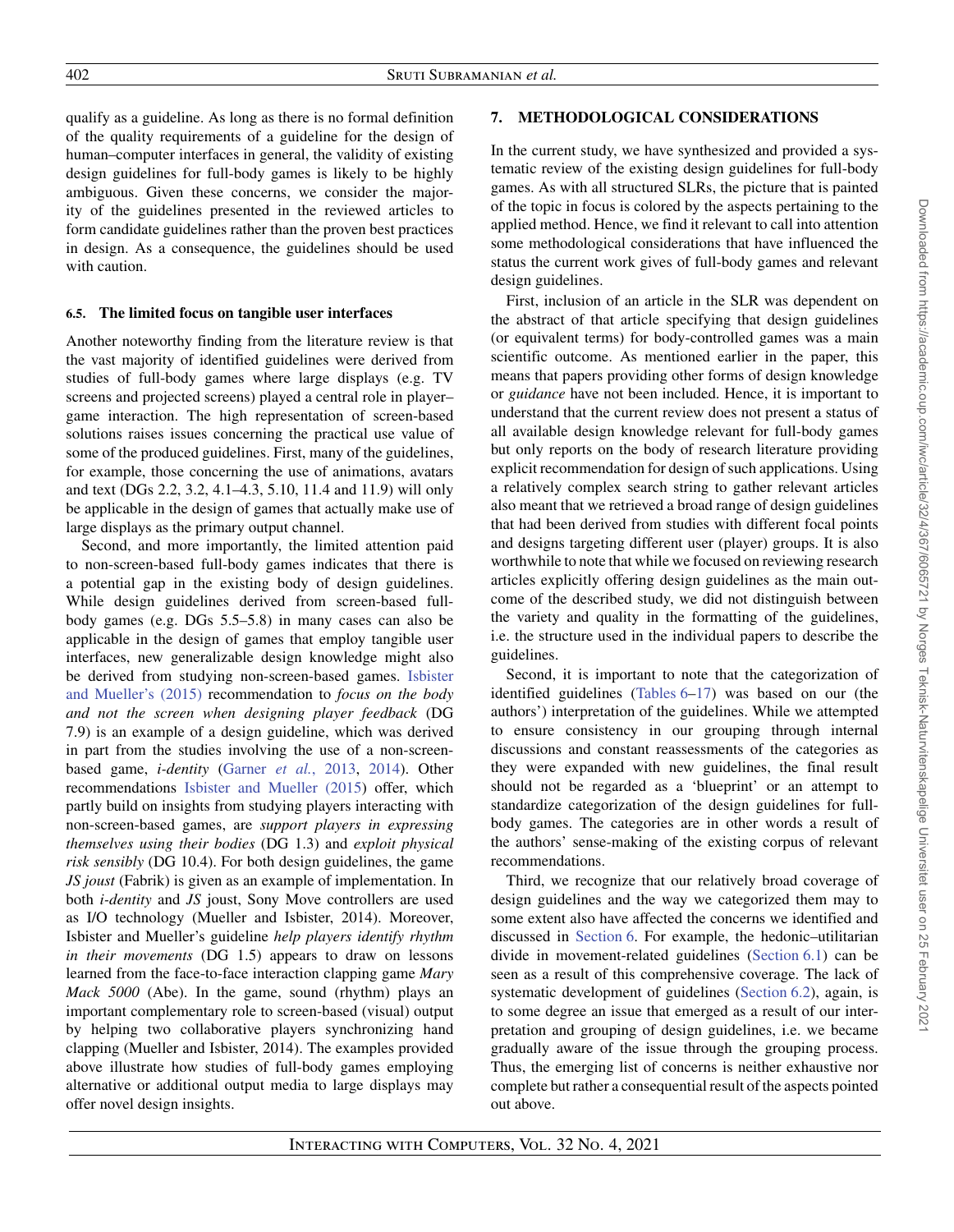qualify as a guideline. As long as there is no formal definition of the quality requirements of a guideline for the design of human–computer interfaces in general, the validity of existing design guidelines for full-body games is likely to be highly ambiguous. Given these concerns, we consider the major-

ity of the guidelines presented in the reviewed articles to form candidate guidelines rather than the proven best practices in design. As a consequence, the guidelines should be used with caution.

# **6.5. The limited focus on tangible user interfaces**

Another noteworthy finding from the literature review is that the vast majority of identified guidelines were derived from studies of full-body games where large displays (e.g. TV screens and projected screens) played a central role in player– game interaction. The high representation of screen-based solutions raises issues concerning the practical use value of some of the produced guidelines. First, many of the guidelines, for example, those concerning the use of animations, avatars and text (DGs 2.2, 3.2, 4.1–4.3, 5.10, 11.4 and 11.9) will only be applicable in the design of games that actually make use of large displays as the primary output channel.

Second, and more importantly, the limited attention paid to non-screen-based full-body games indicates that there is a potential gap in the existing body of design guidelines. While design guidelines derived from screen-based fullbody games (e.g. DGs 5.5–5.8) in many cases can also be applicable in the design of games that employ tangible user interfaces, new generalizable design knowledge might also [be derived from studying non-screen-based games.](#page-37-16) Isbister and Mueller's (2015) recommendation to *focus on the body and not the screen when designing player feedback* (DG 7.9) is an example of a design guideline, which was derived in part from the studies involving the use of a non-screenbased game, *i-dentity* (Garner *et al.*[, 2013,](#page-37-30) [2014\)](#page-37-31). Other recommendations [Isbister and Mueller \(2015\)](#page-37-16) offer, which partly build on insights from studying players interacting with non-screen-based games, are *support players in expressing themselves using their bodies* (DG 1.3) and *exploit physical risk sensibly* (DG 10.4). For both design guidelines, the game *JS joust* (Fabrik) is given as an example of implementation. In both *i-dentity* and *JS* joust, Sony Move controllers are used as I/O technology (Mueller and Isbister, 2014). Moreover, Isbister and Mueller's guideline *help players identify rhythm in their movements* (DG 1.5) appears to draw on lessons learned from the face-to-face interaction clapping game *Mary Mack 5000* (Abe). In the game, sound (rhythm) plays an important complementary role to screen-based (visual) output by helping two collaborative players synchronizing hand clapping (Mueller and Isbister, 2014). The examples provided above illustrate how studies of full-body games employing alternative or additional output media to large displays may offer novel design insights.

# **7. METHODOLOGICAL CONSIDERATIONS**

In the current study, we have synthesized and provided a systematic review of the existing design guidelines for full-body games. As with all structured SLRs, the picture that is painted of the topic in focus is colored by the aspects pertaining to the applied method. Hence, we find it relevant to call into attention some methodological considerations that have influenced the status the current work gives of full-body games and relevant design guidelines.

First, inclusion of an article in the SLR was dependent on the abstract of that article specifying that design guidelines (or equivalent terms) for body-controlled games was a main scientific outcome. As mentioned earlier in the paper, this means that papers providing other forms of design knowledge or *guidance* have not been included. Hence, it is important to understand that the current review does not present a status of all available design knowledge relevant for full-body games but only reports on the body of research literature providing explicit recommendation for design of such applications. Using a relatively complex search string to gather relevant articles also meant that we retrieved a broad range of design guidelines that had been derived from studies with different focal points and designs targeting different user (player) groups. It is also worthwhile to note that while we focused on reviewing research articles explicitly offering design guidelines as the main outcome of the described study, we did not distinguish between the variety and quality in the formatting of the guidelines, i.e. the structure used in the individual papers to describe the guidelines.

Second, it is important to note that the categorization of identified guidelines [\(Tables 6](#page-15-0)[–17\)](#page-31-0) was based on our (the authors') interpretation of the guidelines. While we attempted to ensure consistency in our grouping through internal discussions and constant reassessments of the categories as they were expanded with new guidelines, the final result should not be regarded as a 'blueprint' or an attempt to standardize categorization of the design guidelines for fullbody games. The categories are in other words a result of the authors' sense-making of the existing corpus of relevant recommendations.

<span id="page-35-1"></span><span id="page-35-0"></span>Third, we recognize that our relatively broad coverage of design guidelines and the way we categorized them may to some extent also have affected the concerns we identified and discussed in [Section 6.](#page-32-0) For example, the hedonic–utilitarian divide in movement-related guidelines [\(Section 6.1\)](#page-32-1) can be seen as a result of this comprehensive coverage. The lack of systematic development of guidelines [\(Section 6.2\)](#page-33-0), again, is to some degree an issue that emerged as a result of our interpretation and grouping of design guidelines, i.e. we became gradually aware of the issue through the grouping process. Thus, the emerging list of concerns is neither exhaustive nor complete but rather a consequential result of the aspects pointed out above.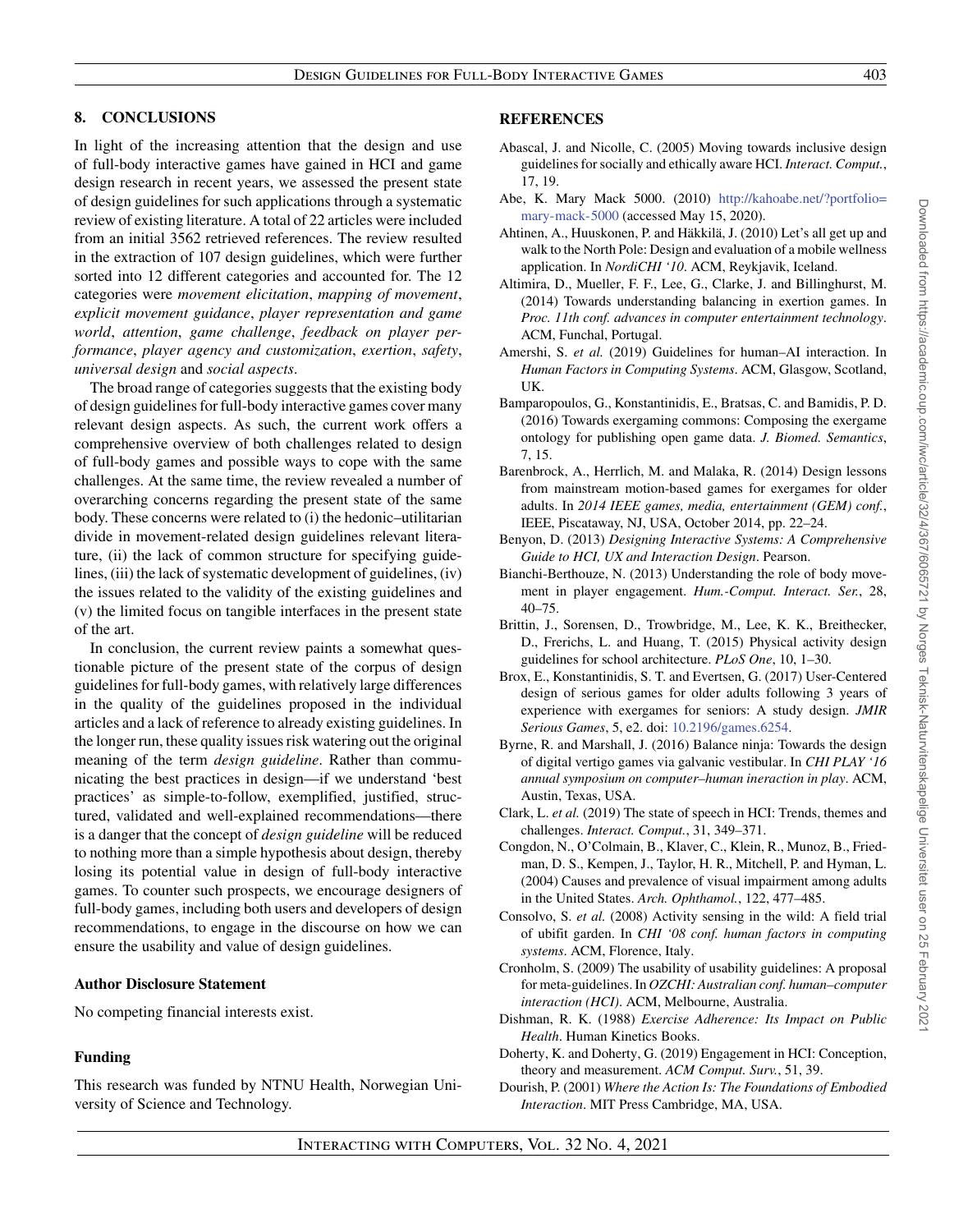# **8. CONCLUSIONS**

In light of the increasing attention that the design and use of full-body interactive games have gained in HCI and game design research in recent years, we assessed the present state of design guidelines for such applications through a systematic review of existing literature. A total of 22 articles were included from an initial 3562 retrieved references. The review resulted in the extraction of 107 design guidelines, which were further sorted into 12 different categories and accounted for. The 12 categories were *movement elicitation*, *mapping of movement*, *explicit movement guidance*, *player representation and game world*, *attention*, *game challenge*, *feedback on player performance*, *player agency and customization*, *exertion*, *safety*, *universal design* and *social aspects*.

The broad range of categories suggests that the existing body of design guidelines for full-body interactive games cover many relevant design aspects. As such, the current work offers a comprehensive overview of both challenges related to design of full-body games and possible ways to cope with the same challenges. At the same time, the review revealed a number of overarching concerns regarding the present state of the same body. These concerns were related to (i) the hedonic–utilitarian divide in movement-related design guidelines relevant literature, (ii) the lack of common structure for specifying guidelines, (iii) the lack of systematic development of guidelines, (iv) the issues related to the validity of the existing guidelines and (v) the limited focus on tangible interfaces in the present state of the art.

In conclusion, the current review paints a somewhat questionable picture of the present state of the corpus of design guidelines for full-body games, with relatively large differences in the quality of the guidelines proposed in the individual articles and a lack of reference to already existing guidelines. In the longer run, these quality issues risk watering out the original meaning of the term *design guideline*. Rather than communicating the best practices in design—if we understand 'best practices' as simple-to-follow, exemplified, justified, structured, validated and well-explained recommendations—there is a danger that the concept of *design guideline* will be reduced to nothing more than a simple hypothesis about design, thereby losing its potential value in design of full-body interactive games. To counter such prospects, we encourage designers of full-body games, including both users and developers of design recommendations, to engage in the discourse on how we can ensure the usability and value of design guidelines.

#### **Author Disclosure Statement**

No competing financial interests exist.

# **Funding**

This research was funded by NTNU Health, Norwegian University of Science and Technology.

## **REFERENCES**

- <span id="page-36-4"></span>Abascal, J. and Nicolle, C. (2005) Moving towards inclusive design guidelines for socially and ethically aware HCI. *Interact. Comput.*, 17, 19.
- Abe, K. Mary Mack 5000. (2010) [http://kahoabe.net/?portfolio=](http://kahoabe.net/?portfolio=mary-mack-5000) [mary-mack-5000](http://kahoabe.net/?portfolio=mary-mack-5000) (accessed May 15, 2020).
- <span id="page-36-7"></span>Ahtinen, A., Huuskonen, P. and Häkkilä, J. (2010) Let's all get up and walk to the North Pole: Design and evaluation of a mobile wellness application. In *NordiCHI '10*. ACM, Reykjavik, Iceland.
- <span id="page-36-14"></span>Altimira, D., Mueller, F. F., Lee, G., Clarke, J. and Billinghurst, M. (2014) Towards understanding balancing in exertion games. In *Proc. 11th conf. advances in computer entertainment technology*. ACM, Funchal, Portugal.
- <span id="page-36-6"></span>Amershi, S. *et al.* (2019) Guidelines for human–AI interaction. In *Human Factors in Computing Systems*. ACM, Glasgow, Scotland, UK.
- <span id="page-36-0"></span>Bamparopoulos, G., Konstantinidis, E., Bratsas, C. and Bamidis, P. D. (2016) Towards exergaming commons: Composing the exergame ontology for publishing open game data. *J. Biomed. Semantics*, 7, 15.
- <span id="page-36-15"></span>Barenbrock, A., Herrlich, M. and Malaka, R. (2014) Design lessons from mainstream motion-based games for exergames for older adults. In *2014 IEEE games, media, entertainment (GEM) conf.*, IEEE, Piscataway, NJ, USA, October 2014, pp. 22–24.
- <span id="page-36-5"></span>Benyon, D. (2013) *Designing Interactive Systems: A Comprehensive Guide to HCI, UX and Interaction Design*. Pearson.
- <span id="page-36-12"></span>Bianchi-Berthouze, N. (2013) Understanding the role of body movement in player engagement. *Hum.-Comput. Interact. Ser.*, 28, 40–75.
- <span id="page-36-3"></span>Brittin, J., Sorensen, D., Trowbridge, M., Lee, K. K., Breithecker, D., Frerichs, L. and Huang, T. (2015) Physical activity design guidelines for school architecture. *PLoS One*, 10, 1–30.
- <span id="page-36-13"></span>Brox, E., Konstantinidis, S. T. and Evertsen, G. (2017) User-Centered design of serious games for older adults following 3 years of experience with exergames for seniors: A study design. *JMIR Serious Games*, 5, e2. doi: [10.2196/games.6254.](https://doi.org/10.2196/games.6254)
- <span id="page-36-9"></span>Byrne, R. and Marshall, J. (2016) Balance ninja: Towards the design of digital vertigo games via galvanic vestibular. In *CHI PLAY '16 annual symposium on computer–human ineraction in play*. ACM, Austin, Texas, USA.
- <span id="page-36-10"></span>Clark, L. *et al.* (2019) The state of speech in HCI: Trends, themes and challenges. *Interact. Comput.*, 31, 349–371.
- <span id="page-36-16"></span>Congdon, N., O'Colmain, B., Klaver, C., Klein, R., Munoz, B., Friedman, D. S., Kempen, J., Taylor, H. R., Mitchell, P. and Hyman, L. (2004) Causes and prevalence of visual impairment among adults in the United States. *Arch. Ophthamol.*, 122, 477–485.
- <span id="page-36-8"></span>Consolvo, S. *et al.* (2008) Activity sensing in the wild: A field trial of ubifit garden. In *CHI '08 conf. human factors in computing systems*. ACM, Florence, Italy.
- <span id="page-36-2"></span>Cronholm, S. (2009) The usability of usability guidelines: A proposal for meta-guidelines. In *OZCHI: Australian conf. human–computer interaction (HCI)*. ACM, Melbourne, Australia.
- <span id="page-36-17"></span>Dishman, R. K. (1988) *Exercise Adherence: Its Impact on Public Health*. Human Kinetics Books.
- <span id="page-36-11"></span>Doherty, K. and Doherty, G. (2019) Engagement in HCI: Conception, theory and measurement. *ACM Comput. Surv.*, 51, 39.
- <span id="page-36-1"></span>Dourish, P. (2001) *Where the Action Is: The Foundations of Embodied Interaction*. MIT Press Cambridge, MA, USA.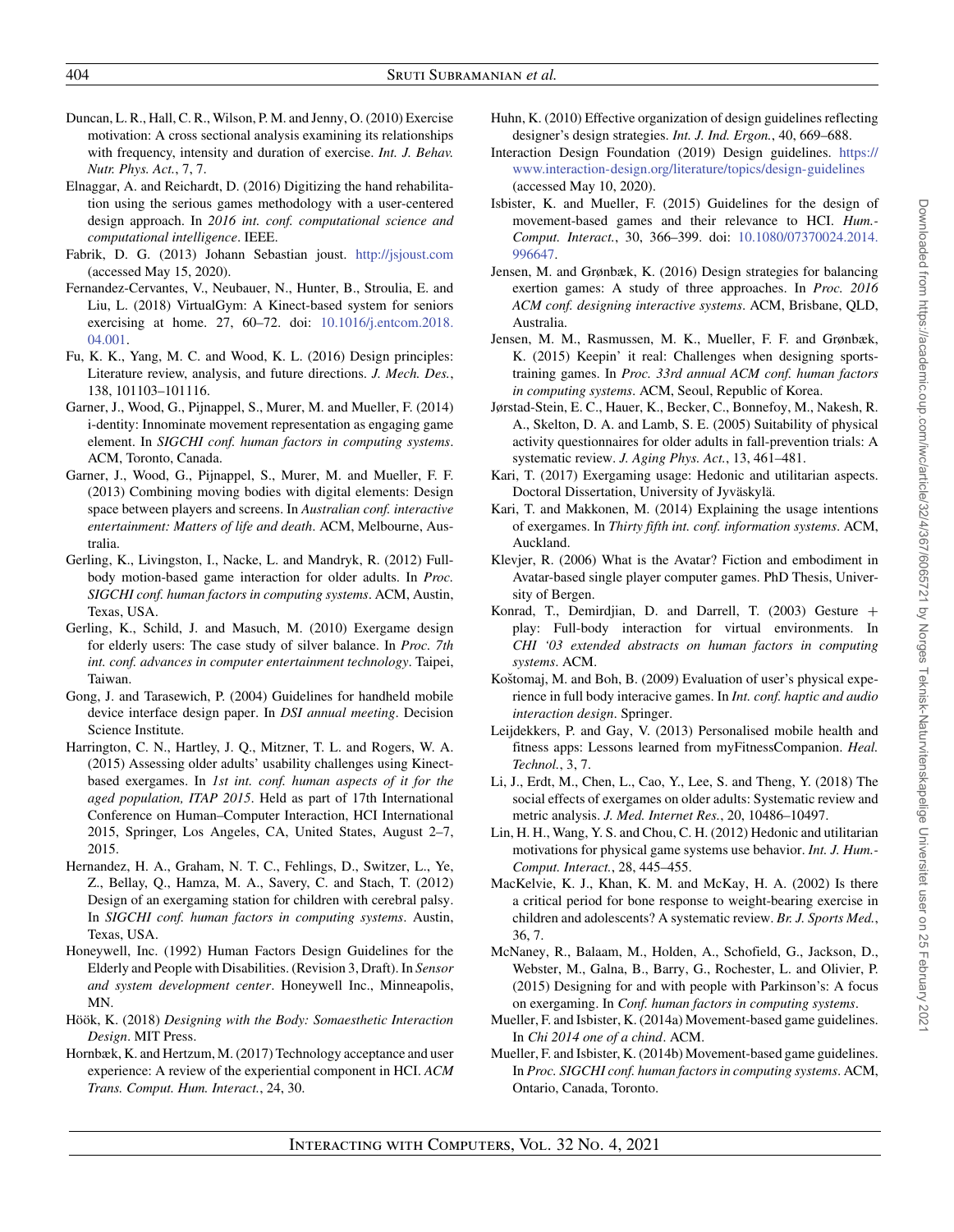- <span id="page-37-25"></span>Duncan, L. R., Hall, C. R., Wilson, P. M. and Jenny, O. (2010) Exercise motivation: A cross sectional analysis examining its relationships with frequency, intensity and duration of exercise. *Int. J. Behav. Nutr. Phys. Act.*, 7, 7.
- <span id="page-37-8"></span>Elnaggar, A. and Reichardt, D. (2016) Digitizing the hand rehabilitation using the serious games methodology with a user-centered design approach. In *2016 int. conf. computational science and computational intelligence*. IEEE.
- Fabrik, D. G. (2013) Johann Sebastian joust. <http://jsjoust.com> (accessed May 15, 2020).
- <span id="page-37-21"></span>Fernandez-Cervantes, V., Neubauer, N., Hunter, B., Stroulia, E. and Liu, L. (2018) VirtualGym: A Kinect-based system for seniors [exercising at home. 27, 60–72. doi:](https://doi.org/10.1016/j.entcom.2018.&break;04.001) 10.1016/j.entcom.2018. 04.001.
- <span id="page-37-3"></span>Fu, K. K., Yang, M. C. and Wood, K. L. (2016) Design principles: Literature review, analysis, and future directions. *J. Mech. Des.*, 138, 101103–101116.
- <span id="page-37-31"></span>Garner, J., Wood, G., Pijnappel, S., Murer, M. and Mueller, F. (2014) i-dentity: Innominate movement representation as engaging game element. In *SIGCHI conf. human factors in computing systems*. ACM, Toronto, Canada.
- <span id="page-37-30"></span>Garner, J., Wood, G., Pijnappel, S., Murer, M. and Mueller, F. F. (2013) Combining moving bodies with digital elements: Design space between players and screens. In *Australian conf. interactive entertainment: Matters of life and death*. ACM, Melbourne, Australia.
- <span id="page-37-12"></span>Gerling, K., Livingston, I., Nacke, L. and Mandryk, R. (2012) Fullbody motion-based game interaction for older adults. In *Proc. SIGCHI conf. human factors in computing systems*. ACM, Austin, Texas, USA.
- <span id="page-37-17"></span>Gerling, K., Schild, J. and Masuch, M. (2010) Exergame design for elderly users: The case study of silver balance. In *Proc. 7th int. conf. advances in computer entertainment technology*. Taipei, Taiwan.
- <span id="page-37-5"></span>Gong, J. and Tarasewich, P. (2004) Guidelines for handheld mobile device interface design paper. In *DSI annual meeting*. Decision Science Institute.
- <span id="page-37-18"></span>Harrington, C. N., Hartley, J. Q., Mitzner, T. L. and Rogers, W. A. (2015) Assessing older adults' usability challenges using Kinectbased exergames. In *1st int. conf. human aspects of it for the aged population, ITAP 2015*. Held as part of 17th International Conference on Human–Computer Interaction, HCI International 2015, Springer, Los Angeles, CA, United States, August 2–7, 2015.
- <span id="page-37-9"></span>Hernandez, H. A., Graham, N. T. C., Fehlings, D., Switzer, L., Ye, Z., Bellay, Q., Hamza, M. A., Savery, C. and Stach, T. (2012) Design of an exergaming station for children with cerebral palsy. In *SIGCHI conf. human factors in computing systems*. Austin, Texas, USA.
- <span id="page-37-29"></span>Honeywell, Inc. (1992) Human Factors Design Guidelines for the Elderly and People with Disabilities. (Revision 3, Draft). In *Sensor and system development center*. Honeywell Inc., Minneapolis, MN.
- <span id="page-37-1"></span>Höök, K. (2018) *Designing with the Body: Somaesthetic Interaction Design*. MIT Press.
- <span id="page-37-11"></span>Hornbæk, K. and Hertzum, M. (2017) Technology acceptance and user experience: A review of the experiential component in HCI. *ACM Trans. Comput. Hum. Interact.*, 24, 30.
- <span id="page-37-4"></span>Huhn, K. (2010) Effective organization of design guidelines reflecting designer's design strategies. *Int. J. Ind. Ergon.*, 40, 669–688.
- <span id="page-37-28"></span>Interaction Design Foundation (2019) Design guidelines. [https://](https://www.interaction-design.org/literature/topics/design-guidelines) [www.interaction-design.org/literature/topics/design-guidelines](https://www.interaction-design.org/literature/topics/design-guidelines) (accessed May 10, 2020).
- <span id="page-37-16"></span>Isbister, K. and Mueller, F. (2015) Guidelines for the design of movement-based games and their relevance to HCI. *Hum.- Comput. Interact.*, 30, 366–399. doi: [10.1080/07370024.2014.](https://doi.org/10.1080/07370024.2014.&break;996647) 996647.
- <span id="page-37-20"></span>Jensen, M. and Grønbæk, K. (2016) Design strategies for balancing exertion games: A study of three approaches. In *Proc. 2016 ACM conf. designing interactive systems*. ACM, Brisbane, QLD, Australia.
- <span id="page-37-19"></span>Jensen, M. M., Rasmussen, M. K., Mueller, F. F. and Grønbæk, K. (2015) Keepin' it real: Challenges when designing sportstraining games. In *Proc. 33rd annual ACM conf. human factors in computing systems*. ACM, Seoul, Republic of Korea.
- <span id="page-37-22"></span>Jørstad-Stein, E. C., Hauer, K., Becker, C., Bonnefoy, M., Nakesh, R. A., Skelton, D. A. and Lamb, S. E. (2005) Suitability of physical activity questionnaires for older adults in fall-prevention trials: A systematic review. *J. Aging Phys. Act.*, 13, 461–481.
- <span id="page-37-24"></span>Kari, T. (2017) Exergaming usage: Hedonic and utilitarian aspects. Doctoral Dissertation, University of Jyväskylä.
- <span id="page-37-26"></span>Kari, T. and Makkonen, M. (2014) Explaining the usage intentions of exergames. In *Thirty fifth int. conf. information systems*. ACM, Auckland.
- <span id="page-37-23"></span>Klevjer, R. (2006) What is the Avatar? Fiction and embodiment in Avatar-based single player computer games. PhD Thesis, University of Bergen.
- <span id="page-37-2"></span>Konrad, T., Demirdjian, D. and Darrell, T. (2003) Gesture + play: Full-body interaction for virtual environments. In *CHI '03 extended abstracts on human factors in computing systems*. ACM.
- <span id="page-37-6"></span>Koštomaj, M. and Boh, B. (2009) Evaluation of user's physical experience in full body interacive games. In *Int. conf. haptic and audio interaction design*. Springer.
- <span id="page-37-10"></span>Leijdekkers, P. and Gay, V. (2013) Personalised mobile health and fitness apps: Lessons learned from myFitnessCompanion. *Heal. Technol.*, 3, 7.
- <span id="page-37-0"></span>Li, J., Erdt, M., Chen, L., Cao, Y., Lee, S. and Theng, Y. (2018) The social effects of exergames on older adults: Systematic review and metric analysis. *J. Med. Internet Res.*, 20, 10486–10497.
- <span id="page-37-27"></span>Lin, H. H., Wang, Y. S. and Chou, C. H. (2012) Hedonic and utilitarian motivations for physical game systems use behavior. *Int. J. Hum.- Comput. Interact.*, 28, 445–455.
- <span id="page-37-7"></span>MacKelvie, K. J., Khan, K. M. and McKay, H. A. (2002) Is there a critical period for bone response to weight-bearing exercise in children and adolescents? A systematic review. *Br. J. Sports Med.*, 36, 7.
- <span id="page-37-13"></span>McNaney, R., Balaam, M., Holden, A., Schofield, G., Jackson, D., Webster, M., Galna, B., Barry, G., Rochester, L. and Olivier, P. (2015) Designing for and with people with Parkinson's: A focus on exergaming. In *Conf. human factors in computing systems*.
- <span id="page-37-14"></span>Mueller, F. and Isbister, K. (2014a) Movement-based game guidelines. In *Chi 2014 one of a chind*. ACM.
- <span id="page-37-15"></span>Mueller, F. and Isbister, K. (2014b) Movement-based game guidelines. In *Proc. SIGCHI conf. human factors in computing systems*. ACM, Ontario, Canada, Toronto.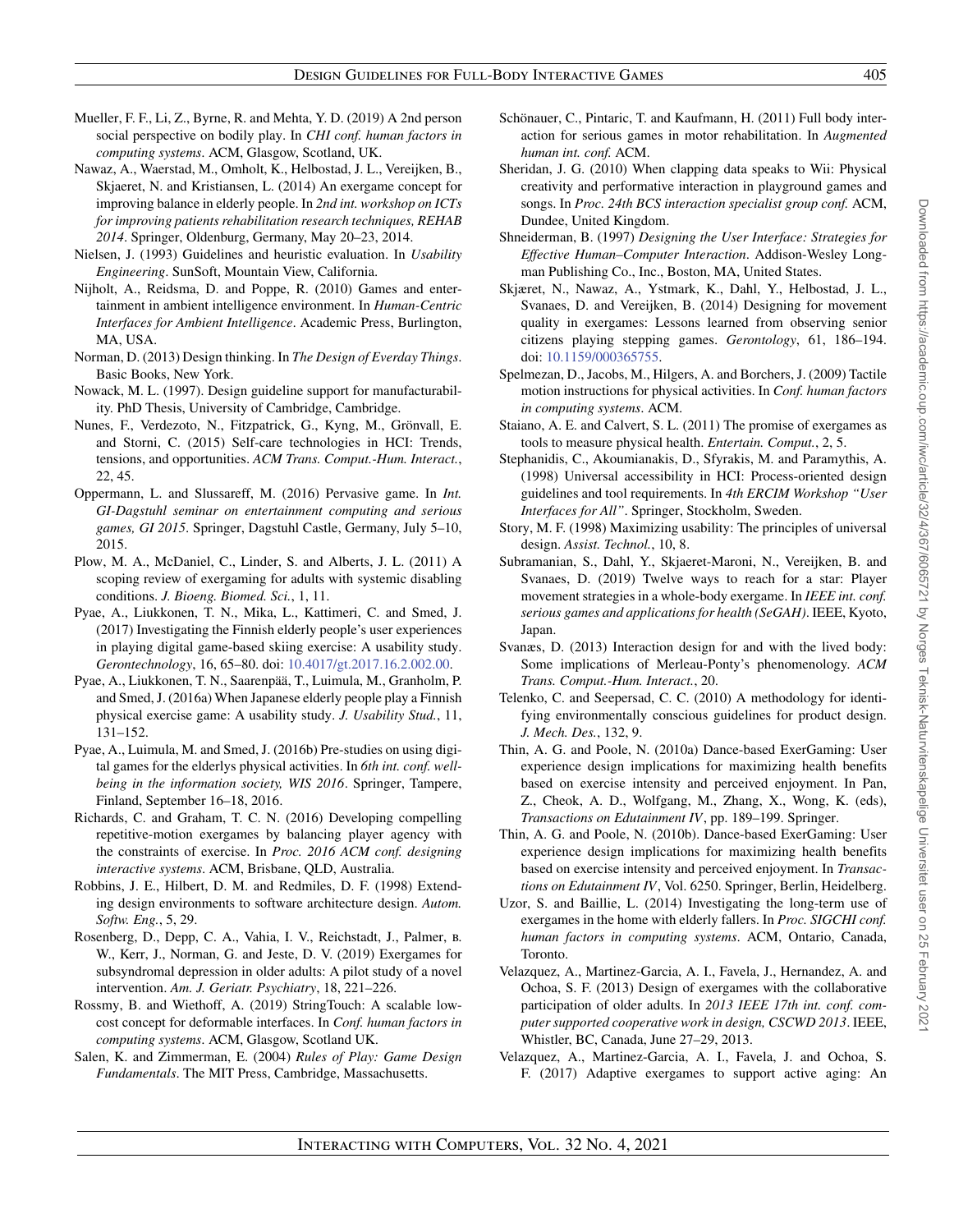- <span id="page-38-4"></span>Mueller, F. F., Li, Z., Byrne, R. and Mehta, Y. D. (2019) A 2nd person social perspective on bodily play. In *CHI conf. human factors in computing systems*. ACM, Glasgow, Scotland, UK.
- <span id="page-38-26"></span>Nawaz, A., Waerstad, M., Omholt, K., Helbostad, J. L., Vereijken, B., Skjaeret, N. and Kristiansen, L. (2014) An exergame concept for improving balance in elderly people. In *2nd int. workshop on ICTs for improving patients rehabilitation research techniques, REHAB 2014*. Springer, Oldenburg, Germany, May 20–23, 2014.
- <span id="page-38-10"></span>Nielsen, J. (1993) Guidelines and heuristic evaluation. In *Usability Engineering*. SunSoft, Mountain View, California.
- <span id="page-38-0"></span>Nijholt, A., Reidsma, D. and Poppe, R. (2010) Games and entertainment in ambient intelligence environment. In *Human-Centric Interfaces for Ambient Intelligence*. Academic Press, Burlington, MA, USA.
- <span id="page-38-11"></span>Norman, D. (2013) Design thinking. In *The Design of Everday Things*. Basic Books, New York.
- <span id="page-38-6"></span>Nowack, M. L. (1997). Design guideline support for manufacturability. PhD Thesis, University of Cambridge, Cambridge.
- <span id="page-38-17"></span>Nunes, F., Verdezoto, N., Fitzpatrick, G., Kyng, M., Grönvall, E. and Storni, C. (2015) Self-care technologies in HCI: Trends, tensions, and opportunities. *ACM Trans. Comput.-Hum. Interact.*, 22, 45.
- <span id="page-38-31"></span>Oppermann, L. and Slussareff, M. (2016) Pervasive game. In *Int. GI-Dagstuhl seminar on entertainment computing and serious games, GI 2015*. Springer, Dagstuhl Castle, Germany, July 5–10, 2015.
- <span id="page-38-3"></span>Plow, M. A., McDaniel, C., Linder, S. and Alberts, J. L. (2011) A scoping review of exergaming for adults with systemic disabling conditions. *J. Bioeng. Biomed. Sci.*, 1, 11.
- <span id="page-38-22"></span>Pyae, A., Liukkonen, T. N., Mika, L., Kattimeri, C. and Smed, J. (2017) Investigating the Finnish elderly people's user experiences in playing digital game-based skiing exercise: A usability study. *Gerontechnology*, 16, 65–80. doi: [10.4017/gt.2017.16.2.002.00.](https://doi.org/10.4017/gt.2017.16.2.002.00)
- <span id="page-38-20"></span>Pyae, A., Liukkonen, T. N., Saarenpää, T., Luimula, M., Granholm, P. and Smed, J. (2016a) When Japanese elderly people play a Finnish physical exercise game: A usability study. *J. Usability Stud.*, 11, 131–152.
- <span id="page-38-21"></span>Pyae, A., Luimula, M. and Smed, J. (2016b) Pre-studies on using digital games for the elderlys physical activities. In *6th int. conf. wellbeing in the information society, WIS 2016*. Springer, Tampere, Finland, September 16–18, 2016.
- <span id="page-38-19"></span>Richards, C. and Graham, T. C. N. (2016) Developing compelling repetitive-motion exergames by balancing player agency with the constraints of exercise. In *Proc. 2016 ACM conf. designing interactive systems*. ACM, Brisbane, QLD, Australia.
- <span id="page-38-9"></span>Robbins, J. E., Hilbert, D. M. and Redmiles, D. F. (1998) Extending design environments to software architecture design. *Autom. Softw. Eng.*, 5, 29.
- <span id="page-38-1"></span>Rosenberg, D., Depp, C. A., Vahia, I. V., Reichstadt, J., Palmer, b. W., Kerr, J., Norman, G. and Jeste, D. V. (2019) Exergames for subsyndromal depression in older adults: A pilot study of a novel intervention. *Am. J. Geriatr. Psychiatry*, 18, 221–226.
- <span id="page-38-13"></span>Rossmy, B. and Wiethoff, A. (2019) StringTouch: A scalable lowcost concept for deformable interfaces. In *Conf. human factors in computing systems*. ACM, Glasgow, Scotland UK.
- <span id="page-38-14"></span>Salen, K. and Zimmerman, E. (2004) *Rules of Play: Game Design Fundamentals*. The MIT Press, Cambridge, Massachusetts.
- <span id="page-38-16"></span>Schönauer, C., Pintaric, T. and Kaufmann, H. (2011) Full body interaction for serious games in motor rehabilitation. In *Augmented human int. conf.* ACM.
- <span id="page-38-15"></span>Sheridan, J. G. (2010) When clapping data speaks to Wii: Physical creativity and performative interaction in playground games and songs. In *Proc. 24th BCS interaction specialist group conf.* ACM, Dundee, United Kingdom.
- <span id="page-38-7"></span>Shneiderman, B. (1997) *Designing the User Interface: Strategies for Effective Human–Computer Interaction*. Addison-Wesley Longman Publishing Co., Inc., Boston, MA, United States.
- <span id="page-38-18"></span>Skjæret, N., Nawaz, A., Ystmark, K., Dahl, Y., Helbostad, J. L., Svanaes, D. and Vereijken, B. (2014) Designing for movement quality in exergames: Lessons learned from observing senior citizens playing stepping games. *Gerontology*, 61, 186–194. doi: [10.1159/000365755.](https://doi.org/10.1159/000365755)
- <span id="page-38-30"></span>Spelmezan, D., Jacobs, M., Hilgers, A. and Borchers, J. (2009) Tactile motion instructions for physical activities. In *Conf. human factors in computing systems*. ACM.
- <span id="page-38-2"></span>Staiano, A. E. and Calvert, S. L. (2011) The promise of exergames as tools to measure physical health. *Entertain. Comput.*, 2, 5.
- <span id="page-38-12"></span>Stephanidis, C., Akoumianakis, D., Sfyrakis, M. and Paramythis, A. (1998) Universal accessibility in HCI: Process-oriented design guidelines and tool requirements. In *4th ERCIM Workshop "User Interfaces for All"*. Springer, Stockholm, Sweden.
- <span id="page-38-32"></span>Story, M. F. (1998) Maximizing usability: The principles of universal design. *Assist. Technol.*, 10, 8.
- <span id="page-38-29"></span>Subramanian, S., Dahl, Y., Skjaeret-Maroni, N., Vereijken, B. and Svanaes, D. (2019) Twelve ways to reach for a star: Player movement strategies in a whole-body exergame. In *IEEE int. conf. serious games and applications for health (SeGAH)*. IEEE, Kyoto, Japan.
- <span id="page-38-5"></span>Svanæs, D. (2013) Interaction design for and with the lived body: Some implications of Merleau-Ponty's phenomenology. *ACM Trans. Comput.-Hum. Interact.*, 20.
- <span id="page-38-8"></span>Telenko, C. and Seepersad, C. C. (2010) A methodology for identifying environmentally conscious guidelines for product design. *J. Mech. Des.*, 132, 9.
- <span id="page-38-27"></span>Thin, A. G. and Poole, N. (2010a) Dance-based ExerGaming: User experience design implications for maximizing health benefits based on exercise intensity and perceived enjoyment. In Pan, Z., Cheok, A. D., Wolfgang, M., Zhang, X., Wong, K. (eds), *Transactions on Edutainment IV*, pp. 189–199. Springer.
- <span id="page-38-28"></span>Thin, A. G. and Poole, N. (2010b). Dance-based ExerGaming: User experience design implications for maximizing health benefits based on exercise intensity and perceived enjoyment. In *Transactions on Edutainment IV*, Vol. 6250. Springer, Berlin, Heidelberg.
- <span id="page-38-25"></span>Uzor, S. and Baillie, L. (2014) Investigating the long-term use of exergames in the home with elderly fallers. In *Proc. SIGCHI conf. human factors in computing systems*. ACM, Ontario, Canada, Toronto.
- <span id="page-38-23"></span>Velazquez, A., Martinez-Garcia, A. I., Favela, J., Hernandez, A. and Ochoa, S. F. (2013) Design of exergames with the collaborative participation of older adults. In *2013 IEEE 17th int. conf. computer supported cooperative work in design, CSCWD 2013*. IEEE, Whistler, BC, Canada, June 27–29, 2013.
- <span id="page-38-24"></span>Velazquez, A., Martinez-Garcia, A. I., Favela, J. and Ochoa, S. F. (2017) Adaptive exergames to support active aging: An